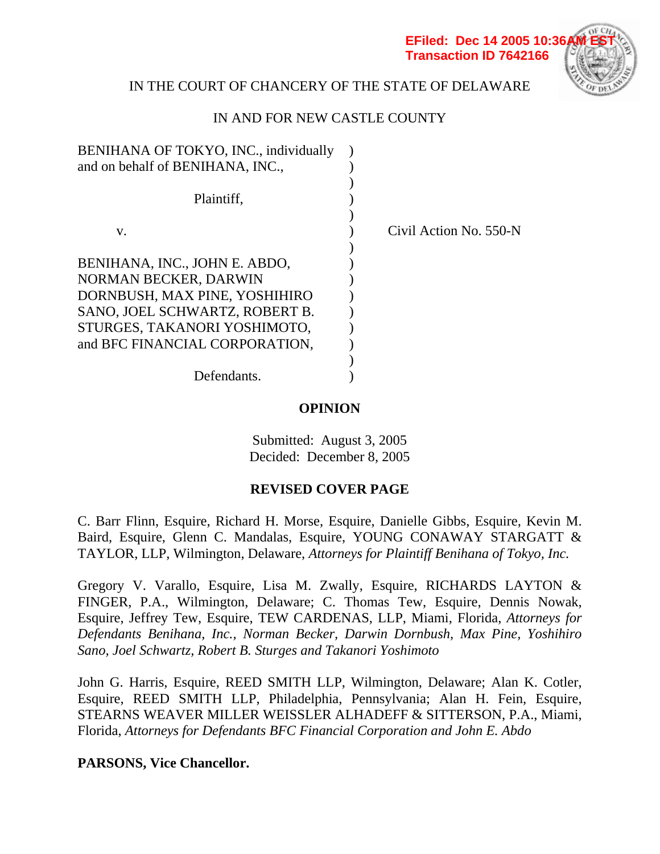**EFiled: Dec 14 2005 10:36 Transaction ID 7642166**

Civil Action No. 550-N



## IN THE COURT OF CHANCERY OF THE STATE OF DELAWARE

## IN AND FOR NEW CASTLE COUNTY

| BENIHANA OF TOKYO, INC., individually |  |
|---------------------------------------|--|
| and on behalf of BENIHANA, INC.,      |  |
|                                       |  |
| Plaintiff,                            |  |
|                                       |  |
| V.                                    |  |
|                                       |  |
| BENIHANA, INC., JOHN E. ABDO,         |  |
| NORMAN BECKER, DARWIN                 |  |
| DORNBUSH, MAX PINE, YOSHIHIRO         |  |
| SANO, JOEL SCHWARTZ, ROBERT B.        |  |
| STURGES, TAKANORI YOSHIMOTO,          |  |
| and BFC FINANCIAL CORPORATION,        |  |
|                                       |  |
| Defendants.                           |  |
|                                       |  |

**OPINION** 

Submitted: August 3, 2005 Decided: December 8, 2005

## **REVISED COVER PAGE**

C. Barr Flinn, Esquire, Richard H. Morse, Esquire, Danielle Gibbs, Esquire, Kevin M. Baird, Esquire, Glenn C. Mandalas, Esquire, YOUNG CONAWAY STARGATT & TAYLOR, LLP, Wilmington, Delaware, *Attorneys for Plaintiff Benihana of Tokyo, Inc.*

Gregory V. Varallo, Esquire, Lisa M. Zwally, Esquire, RICHARDS LAYTON & FINGER, P.A., Wilmington, Delaware; C. Thomas Tew, Esquire, Dennis Nowak, Esquire, Jeffrey Tew, Esquire, TEW CARDENAS, LLP, Miami, Florida, *Attorneys for Defendants Benihana, Inc., Norman Becker, Darwin Dornbush, Max Pine, Yoshihiro Sano, Joel Schwartz, Robert B. Sturges and Takanori Yoshimoto*

John G. Harris, Esquire, REED SMITH LLP, Wilmington, Delaware; Alan K. Cotler, Esquire, REED SMITH LLP, Philadelphia, Pennsylvania; Alan H. Fein, Esquire, STEARNS WEAVER MILLER WEISSLER ALHADEFF & SITTERSON, P.A., Miami, Florida, *Attorneys for Defendants BFC Financial Corporation and John E. Abdo*

**PARSONS, Vice Chancellor.**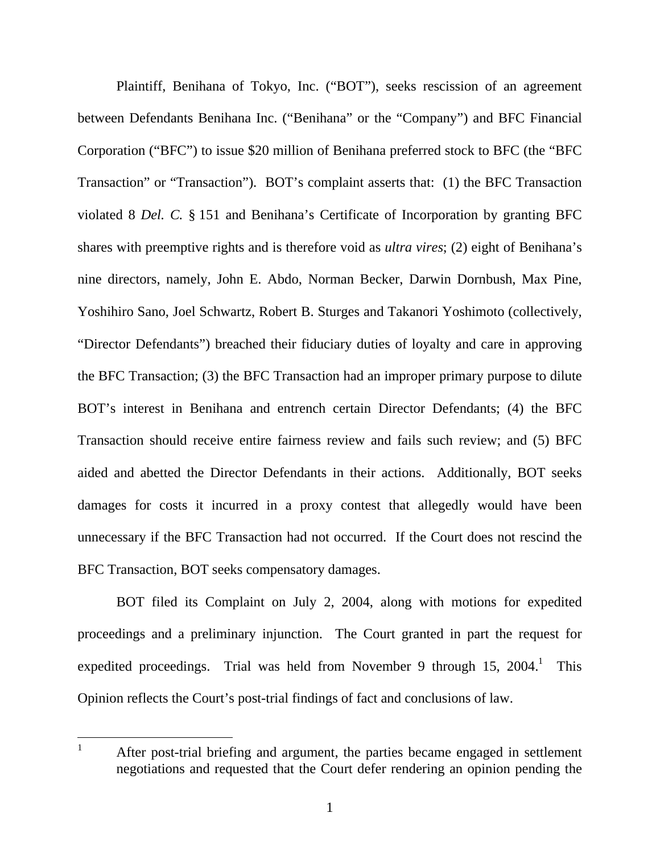Plaintiff, Benihana of Tokyo, Inc. ("BOT"), seeks rescission of an agreement between Defendants Benihana Inc. ("Benihana" or the "Company") and BFC Financial Corporation ("BFC") to issue \$20 million of Benihana preferred stock to BFC (the "BFC Transaction" or "Transaction"). BOT's complaint asserts that: (1) the BFC Transaction violated 8 *Del. C.* § 151 and Benihana's Certificate of Incorporation by granting BFC shares with preemptive rights and is therefore void as *ultra vires*; (2) eight of Benihana's nine directors, namely, John E. Abdo, Norman Becker, Darwin Dornbush, Max Pine, Yoshihiro Sano, Joel Schwartz, Robert B. Sturges and Takanori Yoshimoto (collectively, "Director Defendants") breached their fiduciary duties of loyalty and care in approving the BFC Transaction; (3) the BFC Transaction had an improper primary purpose to dilute BOT's interest in Benihana and entrench certain Director Defendants; (4) the BFC Transaction should receive entire fairness review and fails such review; and (5) BFC aided and abetted the Director Defendants in their actions. Additionally, BOT seeks damages for costs it incurred in a proxy contest that allegedly would have been unnecessary if the BFC Transaction had not occurred. If the Court does not rescind the BFC Transaction, BOT seeks compensatory damages.

BOT filed its Complaint on July 2, 2004, along with motions for expedited proceedings and a preliminary injunction. The Court granted in part the request for expedited proceedings. Trial was held from November 9 through  $15$ ,  $2004$ .<sup>1</sup> This Opinion reflects the Court's post-trial findings of fact and conclusions of law.

1 After post-trial briefing and argument, the parties became engaged in settlement negotiations and requested that the Court defer rendering an opinion pending the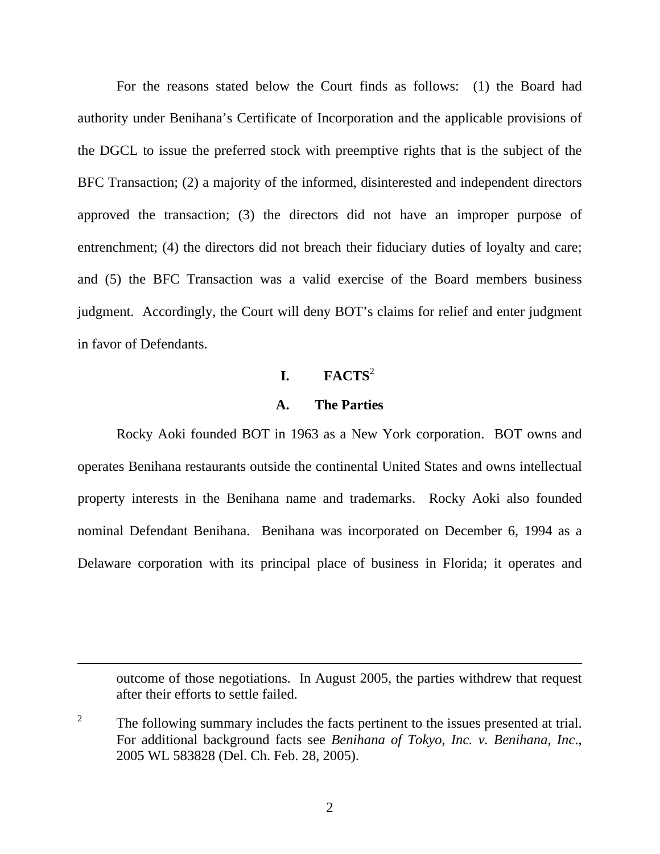For the reasons stated below the Court finds as follows: (1) the Board had authority under Benihana's Certificate of Incorporation and the applicable provisions of the DGCL to issue the preferred stock with preemptive rights that is the subject of the BFC Transaction; (2) a majority of the informed, disinterested and independent directors approved the transaction; (3) the directors did not have an improper purpose of entrenchment; (4) the directors did not breach their fiduciary duties of loyalty and care; and (5) the BFC Transaction was a valid exercise of the Board members business judgment. Accordingly, the Court will deny BOT's claims for relief and enter judgment in favor of Defendants.

# $I.$  **FACTS**<sup>2</sup>

#### **A. The Parties**

Rocky Aoki founded BOT in 1963 as a New York corporation. BOT owns and operates Benihana restaurants outside the continental United States and owns intellectual property interests in the Benihana name and trademarks. Rocky Aoki also founded nominal Defendant Benihana. Benihana was incorporated on December 6, 1994 as a Delaware corporation with its principal place of business in Florida; it operates and

outcome of those negotiations. In August 2005, the parties withdrew that request after their efforts to settle failed.

 $\overline{a}$ 

<sup>2</sup> The following summary includes the facts pertinent to the issues presented at trial. For additional background facts see *Benihana of Tokyo, Inc. v. Benihana, Inc*., 2005 WL 583828 (Del. Ch. Feb. 28, 2005).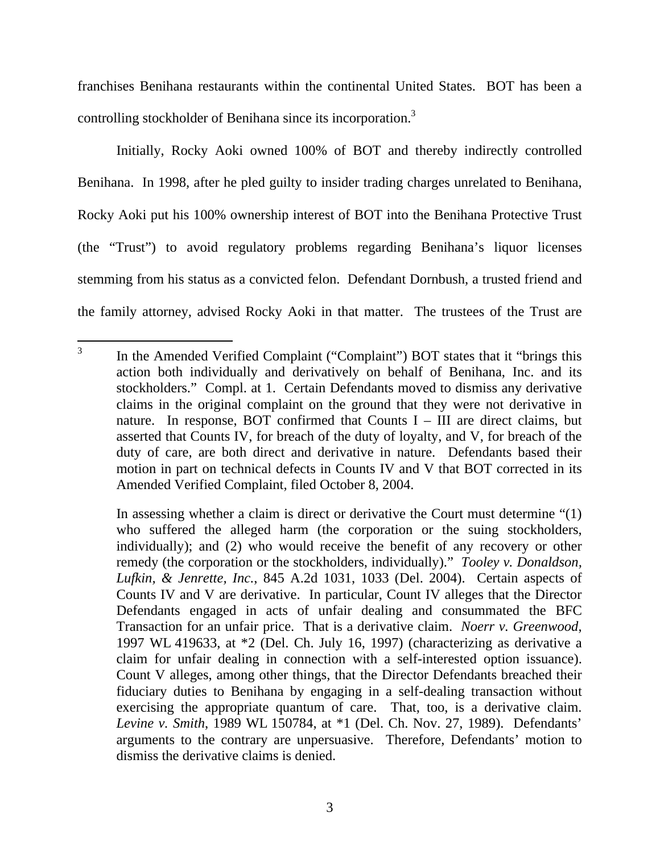franchises Benihana restaurants within the continental United States. BOT has been a controlling stockholder of Benihana since its incorporation.<sup>3</sup>

Initially, Rocky Aoki owned 100% of BOT and thereby indirectly controlled Benihana. In 1998, after he pled guilty to insider trading charges unrelated to Benihana, Rocky Aoki put his 100% ownership interest of BOT into the Benihana Protective Trust (the "Trust") to avoid regulatory problems regarding Benihana's liquor licenses stemming from his status as a convicted felon. Defendant Dornbush, a trusted friend and the family attorney, advised Rocky Aoki in that matter. The trustees of the Trust are

 3 In the Amended Verified Complaint ("Complaint") BOT states that it "brings this action both individually and derivatively on behalf of Benihana, Inc. and its stockholders." Compl. at 1. Certain Defendants moved to dismiss any derivative claims in the original complaint on the ground that they were not derivative in nature. In response, BOT confirmed that Counts  $I - III$  are direct claims, but asserted that Counts IV, for breach of the duty of loyalty, and V, for breach of the duty of care, are both direct and derivative in nature. Defendants based their motion in part on technical defects in Counts IV and V that BOT corrected in its Amended Verified Complaint, filed October 8, 2004.

In assessing whether a claim is direct or derivative the Court must determine "(1) who suffered the alleged harm (the corporation or the suing stockholders, individually); and (2) who would receive the benefit of any recovery or other remedy (the corporation or the stockholders, individually)." *Tooley v. Donaldson, Lufkin, & Jenrette, Inc.*, 845 A.2d 1031, 1033 (Del. 2004). Certain aspects of Counts IV and V are derivative. In particular, Count IV alleges that the Director Defendants engaged in acts of unfair dealing and consummated the BFC Transaction for an unfair price. That is a derivative claim. *Noerr v. Greenwood*, 1997 WL 419633, at \*2 (Del. Ch. July 16, 1997) (characterizing as derivative a claim for unfair dealing in connection with a self-interested option issuance). Count V alleges, among other things, that the Director Defendants breached their fiduciary duties to Benihana by engaging in a self-dealing transaction without exercising the appropriate quantum of care. That, too, is a derivative claim. *Levine v. Smith*, 1989 WL 150784, at \*1 (Del. Ch. Nov. 27, 1989). Defendants' arguments to the contrary are unpersuasive. Therefore, Defendants' motion to dismiss the derivative claims is denied.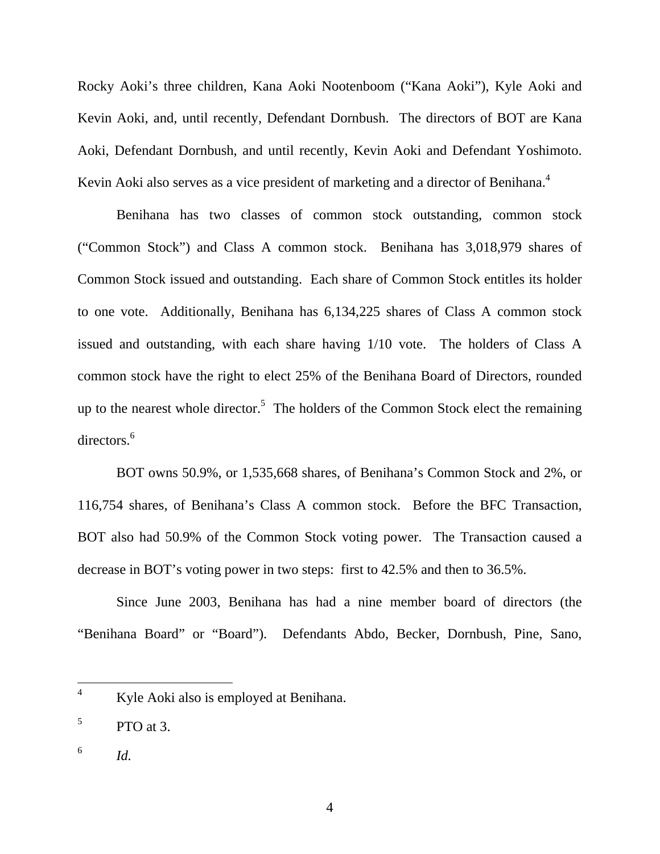Rocky Aoki's three children, Kana Aoki Nootenboom ("Kana Aoki"), Kyle Aoki and Kevin Aoki, and, until recently, Defendant Dornbush. The directors of BOT are Kana Aoki, Defendant Dornbush, and until recently, Kevin Aoki and Defendant Yoshimoto. Kevin Aoki also serves as a vice president of marketing and a director of Benihana.<sup>4</sup>

Benihana has two classes of common stock outstanding, common stock ("Common Stock") and Class A common stock. Benihana has 3,018,979 shares of Common Stock issued and outstanding. Each share of Common Stock entitles its holder to one vote. Additionally, Benihana has 6,134,225 shares of Class A common stock issued and outstanding, with each share having 1/10 vote. The holders of Class A common stock have the right to elect 25% of the Benihana Board of Directors, rounded up to the nearest whole director.<sup>5</sup> The holders of the Common Stock elect the remaining directors.<sup>6</sup>

BOT owns 50.9%, or 1,535,668 shares, of Benihana's Common Stock and 2%, or 116,754 shares, of Benihana's Class A common stock. Before the BFC Transaction, BOT also had 50.9% of the Common Stock voting power. The Transaction caused a decrease in BOT's voting power in two steps: first to 42.5% and then to 36.5%.

Since June 2003, Benihana has had a nine member board of directors (the "Benihana Board" or "Board"). Defendants Abdo, Becker, Dornbush, Pine, Sano,

<sup>4</sup> Kyle Aoki also is employed at Benihana.

<sup>5</sup> PTO at 3.

 $\frac{6}{10}$  *Id.*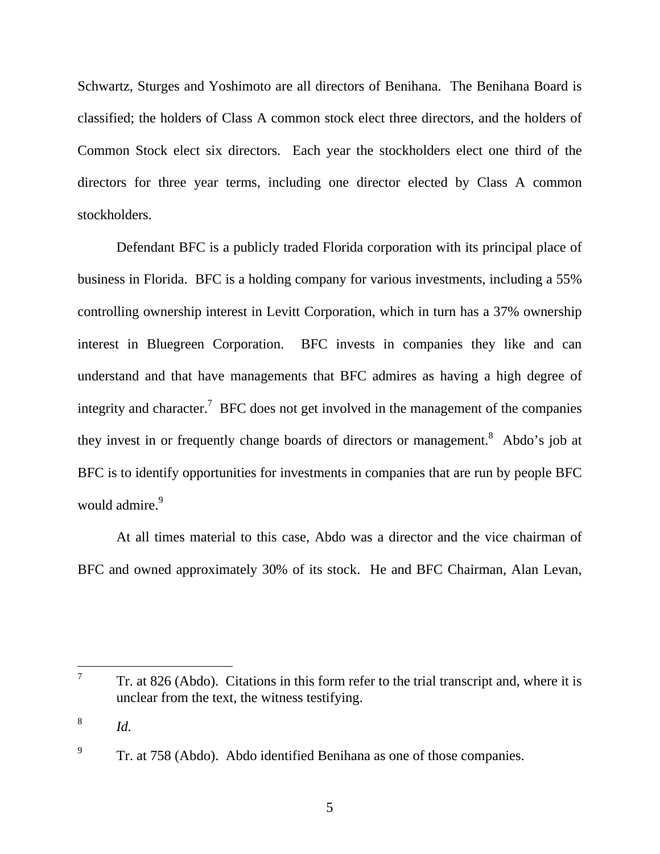Schwartz, Sturges and Yoshimoto are all directors of Benihana. The Benihana Board is classified; the holders of Class A common stock elect three directors, and the holders of Common Stock elect six directors. Each year the stockholders elect one third of the directors for three year terms, including one director elected by Class A common stockholders.

Defendant BFC is a publicly traded Florida corporation with its principal place of business in Florida. BFC is a holding company for various investments, including a 55% controlling ownership interest in Levitt Corporation, which in turn has a 37% ownership interest in Bluegreen Corporation. BFC invests in companies they like and can understand and that have managements that BFC admires as having a high degree of integrity and character.<sup>7</sup> BFC does not get involved in the management of the companies they invest in or frequently change boards of directors or management.<sup>8</sup> Abdo's job at BFC is to identify opportunities for investments in companies that are run by people BFC would admire.<sup>9</sup>

At all times material to this case, Abdo was a director and the vice chairman of BFC and owned approximately 30% of its stock. He and BFC Chairman, Alan Levan,

 $\overline{a}$ 

<sup>7</sup> Tr. at 826 (Abdo). Citations in this form refer to the trial transcript and, where it is unclear from the text, the witness testifying.

<sup>8</sup> *Id.* 

<sup>9</sup> Tr. at 758 (Abdo). Abdo identified Benihana as one of those companies.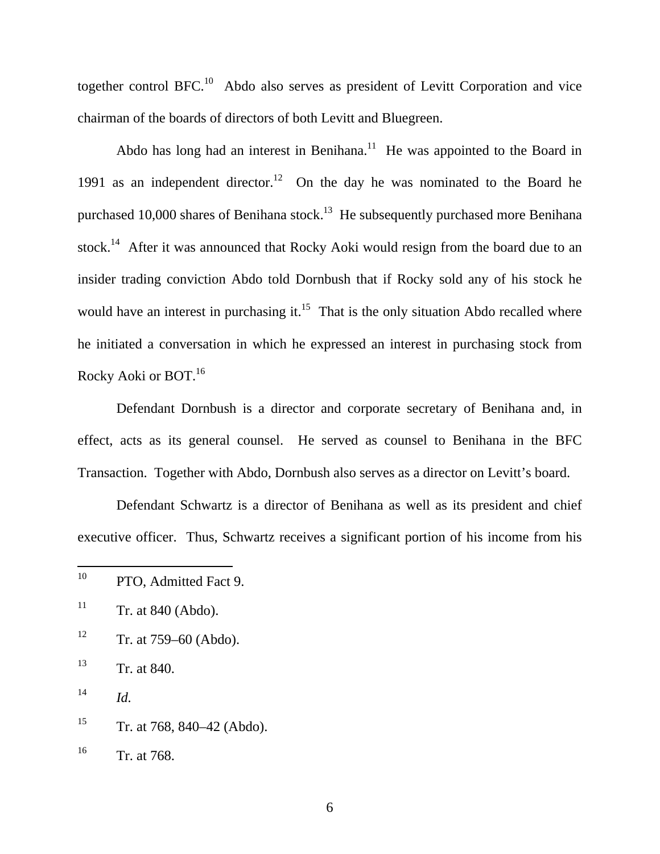together control BFC.10 Abdo also serves as president of Levitt Corporation and vice chairman of the boards of directors of both Levitt and Bluegreen.

Abdo has long had an interest in Benihana.<sup>11</sup> He was appointed to the Board in 1991 as an independent director.<sup>12</sup> On the day he was nominated to the Board he purchased 10,000 shares of Benihana stock.<sup>13</sup> He subsequently purchased more Benihana stock.<sup>14</sup> After it was announced that Rocky Aoki would resign from the board due to an insider trading conviction Abdo told Dornbush that if Rocky sold any of his stock he would have an interest in purchasing it.<sup>15</sup> That is the only situation Abdo recalled where he initiated a conversation in which he expressed an interest in purchasing stock from Rocky Aoki or BOT.16

Defendant Dornbush is a director and corporate secretary of Benihana and, in effect, acts as its general counsel. He served as counsel to Benihana in the BFC Transaction. Together with Abdo, Dornbush also serves as a director on Levitt's board.

Defendant Schwartz is a director of Benihana as well as its president and chief executive officer. Thus, Schwartz receives a significant portion of his income from his

 $12$  Tr. at 759–60 (Abdo).

13 Tr. at 840.

 $14$  *Id.* 

<sup>15</sup> Tr. at 768, 840–42 (Abdo).

<sup>10</sup> PTO, Admitted Fact 9.

 $11$  Tr. at 840 (Abdo).

<sup>16</sup> Tr. at 768.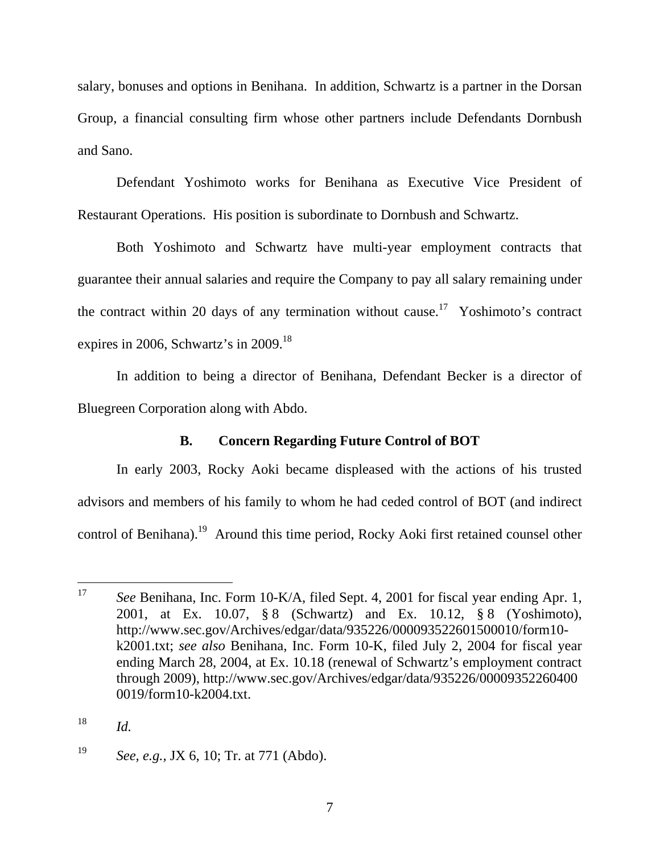salary, bonuses and options in Benihana. In addition, Schwartz is a partner in the Dorsan Group, a financial consulting firm whose other partners include Defendants Dornbush and Sano.

Defendant Yoshimoto works for Benihana as Executive Vice President of Restaurant Operations. His position is subordinate to Dornbush and Schwartz.

Both Yoshimoto and Schwartz have multi-year employment contracts that guarantee their annual salaries and require the Company to pay all salary remaining under the contract within 20 days of any termination without cause.<sup>17</sup> Yoshimoto's contract expires in 2006, Schwartz's in 2009.<sup>18</sup>

In addition to being a director of Benihana, Defendant Becker is a director of Bluegreen Corporation along with Abdo.

## **B. Concern Regarding Future Control of BOT**

In early 2003, Rocky Aoki became displeased with the actions of his trusted advisors and members of his family to whom he had ceded control of BOT (and indirect control of Benihana).<sup>19</sup> Around this time period, Rocky Aoki first retained counsel other

<sup>17</sup> See Benihana, Inc. Form 10-K/A, filed Sept. 4, 2001 for fiscal year ending Apr. 1, 2001, at Ex. 10.07, § 8 (Schwartz) and Ex. 10.12, § 8 (Yoshimoto), http://www.sec.gov/Archives/edgar/data/935226/000093522601500010/form10 k2001.txt; *see also* Benihana, Inc. Form 10-K, filed July 2, 2004 for fiscal year ending March 28, 2004, at Ex. 10.18 (renewal of Schwartz's employment contract through 2009), http://www.sec.gov/Archives/edgar/data/935226/00009352260400 0019/form10-k2004.txt.

 $18$  *Id.* 

<sup>19</sup> *See, e.g.,* JX 6, 10; Tr. at 771 (Abdo).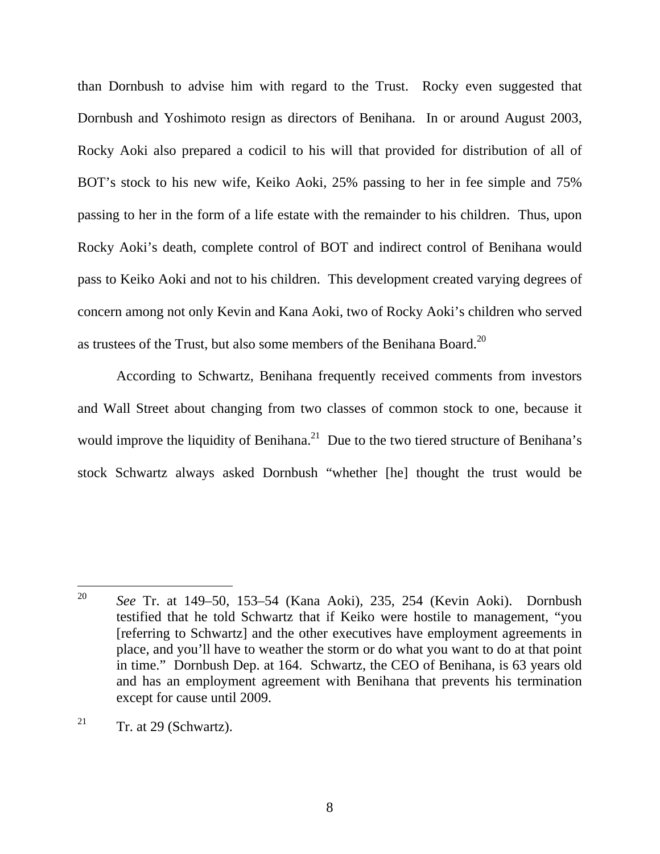than Dornbush to advise him with regard to the Trust. Rocky even suggested that Dornbush and Yoshimoto resign as directors of Benihana. In or around August 2003, Rocky Aoki also prepared a codicil to his will that provided for distribution of all of BOT's stock to his new wife, Keiko Aoki, 25% passing to her in fee simple and 75% passing to her in the form of a life estate with the remainder to his children. Thus, upon Rocky Aoki's death, complete control of BOT and indirect control of Benihana would pass to Keiko Aoki and not to his children. This development created varying degrees of concern among not only Kevin and Kana Aoki, two of Rocky Aoki's children who served as trustees of the Trust, but also some members of the Benihana Board.20

According to Schwartz, Benihana frequently received comments from investors and Wall Street about changing from two classes of common stock to one, because it would improve the liquidity of Benihana.<sup>21</sup> Due to the two tiered structure of Benihana's stock Schwartz always asked Dornbush "whether [he] thought the trust would be

<sup>20</sup> <sup>20</sup> *See* Tr. at 149–50, 153–54 (Kana Aoki), 235, 254 (Kevin Aoki). Dornbush testified that he told Schwartz that if Keiko were hostile to management, "you [referring to Schwartz] and the other executives have employment agreements in place, and you'll have to weather the storm or do what you want to do at that point in time." Dornbush Dep. at 164. Schwartz, the CEO of Benihana, is 63 years old and has an employment agreement with Benihana that prevents his termination except for cause until 2009.

<sup>&</sup>lt;sup>21</sup> Tr. at 29 (Schwartz).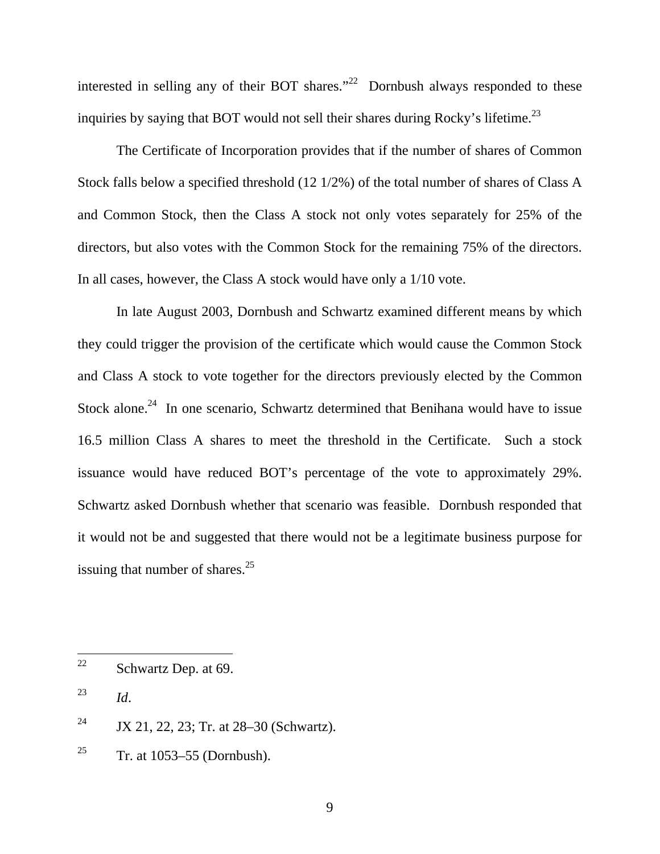interested in selling any of their BOT shares. $122$  Dornbush always responded to these inquiries by saying that BOT would not sell their shares during Rocky's lifetime.<sup>23</sup>

The Certificate of Incorporation provides that if the number of shares of Common Stock falls below a specified threshold (12 1/2%) of the total number of shares of Class A and Common Stock, then the Class A stock not only votes separately for 25% of the directors, but also votes with the Common Stock for the remaining 75% of the directors. In all cases, however, the Class A stock would have only a 1/10 vote.

In late August 2003, Dornbush and Schwartz examined different means by which they could trigger the provision of the certificate which would cause the Common Stock and Class A stock to vote together for the directors previously elected by the Common Stock alone.<sup>24</sup> In one scenario, Schwartz determined that Benihana would have to issue 16.5 million Class A shares to meet the threshold in the Certificate. Such a stock issuance would have reduced BOT's percentage of the vote to approximately 29%. Schwartz asked Dornbush whether that scenario was feasible. Dornbush responded that it would not be and suggested that there would not be a legitimate business purpose for issuing that number of shares. $^{25}$ 

<sup>25</sup> Tr. at 1053–55 (Dornbush).

<sup>22</sup> Schwartz Dep. at 69.

<sup>23</sup> *Id*.

<sup>&</sup>lt;sup>24</sup> JX 21, 22, 23; Tr. at  $28-30$  (Schwartz).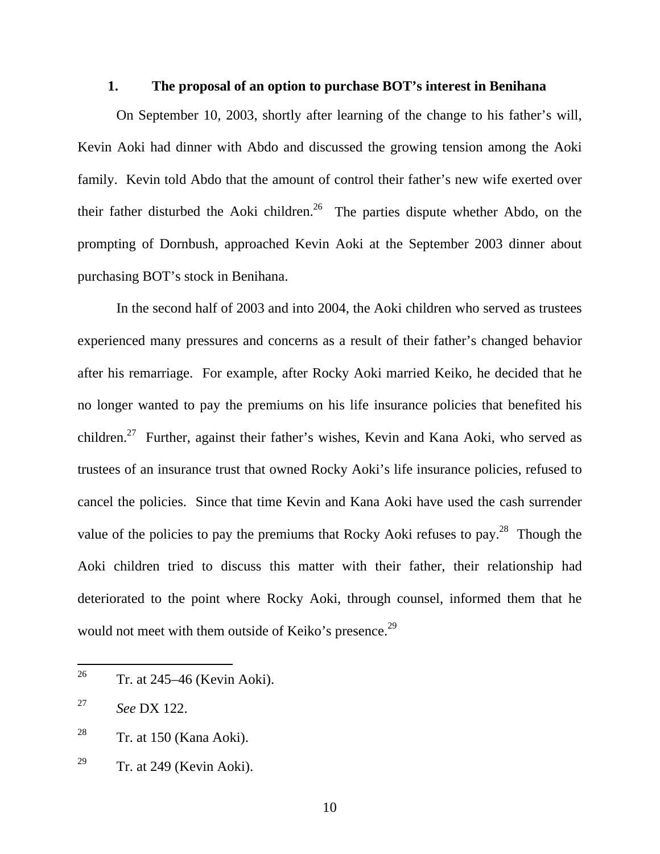### **1. The proposal of an option to purchase BOT's interest in Benihana**

On September 10, 2003, shortly after learning of the change to his father's will, Kevin Aoki had dinner with Abdo and discussed the growing tension among the Aoki family. Kevin told Abdo that the amount of control their father's new wife exerted over their father disturbed the Aoki children.<sup>26</sup> The parties dispute whether Abdo, on the prompting of Dornbush, approached Kevin Aoki at the September 2003 dinner about purchasing BOT's stock in Benihana.

In the second half of 2003 and into 2004, the Aoki children who served as trustees experienced many pressures and concerns as a result of their father's changed behavior after his remarriage. For example, after Rocky Aoki married Keiko, he decided that he no longer wanted to pay the premiums on his life insurance policies that benefited his children.27 Further, against their father's wishes, Kevin and Kana Aoki, who served as trustees of an insurance trust that owned Rocky Aoki's life insurance policies, refused to cancel the policies. Since that time Kevin and Kana Aoki have used the cash surrender value of the policies to pay the premiums that Rocky Aoki refuses to pay.<sup>28</sup> Though the Aoki children tried to discuss this matter with their father, their relationship had deteriorated to the point where Rocky Aoki, through counsel, informed them that he would not meet with them outside of Keiko's presence.<sup>29</sup>

 $26\,$ 26 Tr. at 245–46 (Kevin Aoki).

<sup>27</sup> *See* DX 122.

<sup>&</sup>lt;sup>28</sup> Tr. at 150 (Kana Aoki).

<sup>&</sup>lt;sup>29</sup> Tr. at 249 (Kevin Aoki).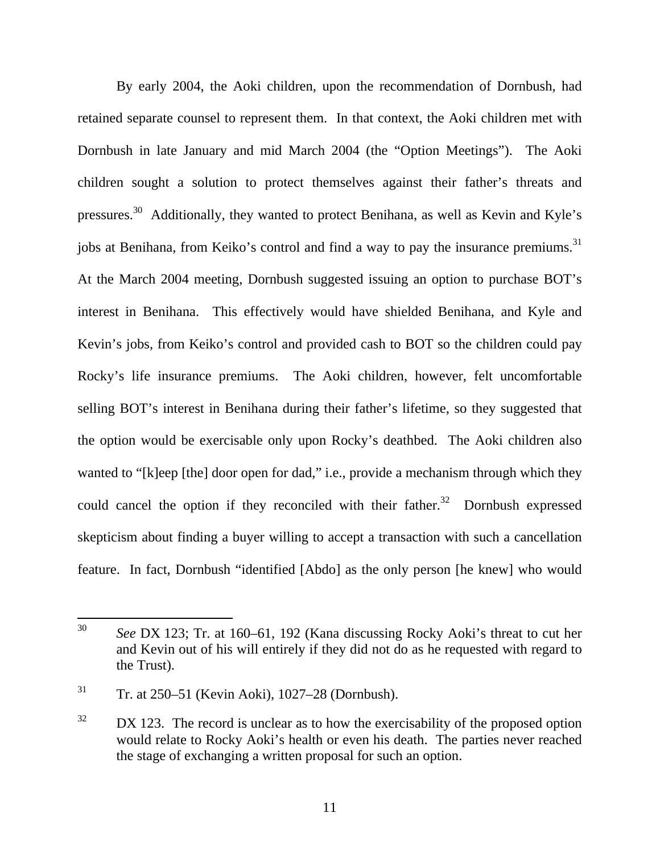By early 2004, the Aoki children, upon the recommendation of Dornbush, had retained separate counsel to represent them. In that context, the Aoki children met with Dornbush in late January and mid March 2004 (the "Option Meetings"). The Aoki children sought a solution to protect themselves against their father's threats and pressures.30 Additionally, they wanted to protect Benihana, as well as Kevin and Kyle's jobs at Benihana, from Keiko's control and find a way to pay the insurance premiums.<sup>31</sup> At the March 2004 meeting, Dornbush suggested issuing an option to purchase BOT's interest in Benihana. This effectively would have shielded Benihana, and Kyle and Kevin's jobs, from Keiko's control and provided cash to BOT so the children could pay Rocky's life insurance premiums. The Aoki children, however, felt uncomfortable selling BOT's interest in Benihana during their father's lifetime, so they suggested that the option would be exercisable only upon Rocky's deathbed. The Aoki children also wanted to "[k]eep [the] door open for dad," i.e., provide a mechanism through which they could cancel the option if they reconciled with their father.<sup>32</sup> Dornbush expressed skepticism about finding a buyer willing to accept a transaction with such a cancellation feature. In fact, Dornbush "identified [Abdo] as the only person [he knew] who would

<sup>30</sup> <sup>30</sup> *See* DX 123; Tr. at 160–61, 192 (Kana discussing Rocky Aoki's threat to cut her and Kevin out of his will entirely if they did not do as he requested with regard to the Trust).

 $31$  Tr. at 250–51 (Kevin Aoki), 1027–28 (Dornbush).

 $32$  DX 123. The record is unclear as to how the exercisability of the proposed option would relate to Rocky Aoki's health or even his death. The parties never reached the stage of exchanging a written proposal for such an option.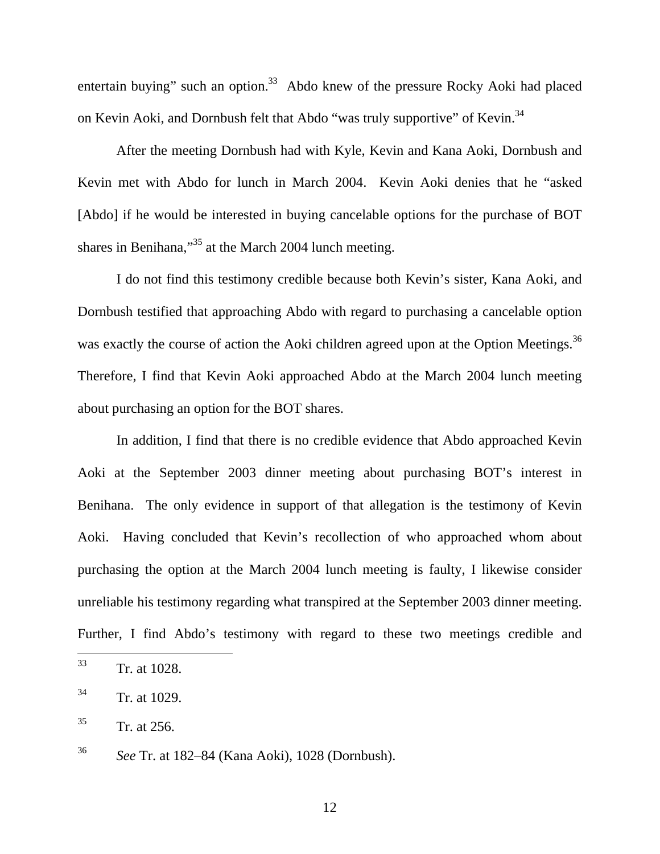entertain buying" such an option. $33$  Abdo knew of the pressure Rocky Aoki had placed on Kevin Aoki, and Dornbush felt that Abdo "was truly supportive" of Kevin.<sup>34</sup>

After the meeting Dornbush had with Kyle, Kevin and Kana Aoki, Dornbush and Kevin met with Abdo for lunch in March 2004. Kevin Aoki denies that he "asked [Abdo] if he would be interested in buying cancelable options for the purchase of BOT shares in Benihana,"<sup>35</sup> at the March 2004 lunch meeting.

I do not find this testimony credible because both Kevin's sister, Kana Aoki, and Dornbush testified that approaching Abdo with regard to purchasing a cancelable option was exactly the course of action the Aoki children agreed upon at the Option Meetings.<sup>36</sup> Therefore, I find that Kevin Aoki approached Abdo at the March 2004 lunch meeting about purchasing an option for the BOT shares.

In addition, I find that there is no credible evidence that Abdo approached Kevin Aoki at the September 2003 dinner meeting about purchasing BOT's interest in Benihana. The only evidence in support of that allegation is the testimony of Kevin Aoki. Having concluded that Kevin's recollection of who approached whom about purchasing the option at the March 2004 lunch meeting is faulty, I likewise consider unreliable his testimony regarding what transpired at the September 2003 dinner meeting. Further, I find Abdo's testimony with regard to these two meetings credible and

12

<sup>33</sup> Tr. at 1028.

<sup>34</sup> Tr. at 1029.

 $35$  Tr. at 256.

<sup>36</sup> *See* Tr. at 182–84 (Kana Aoki), 1028 (Dornbush).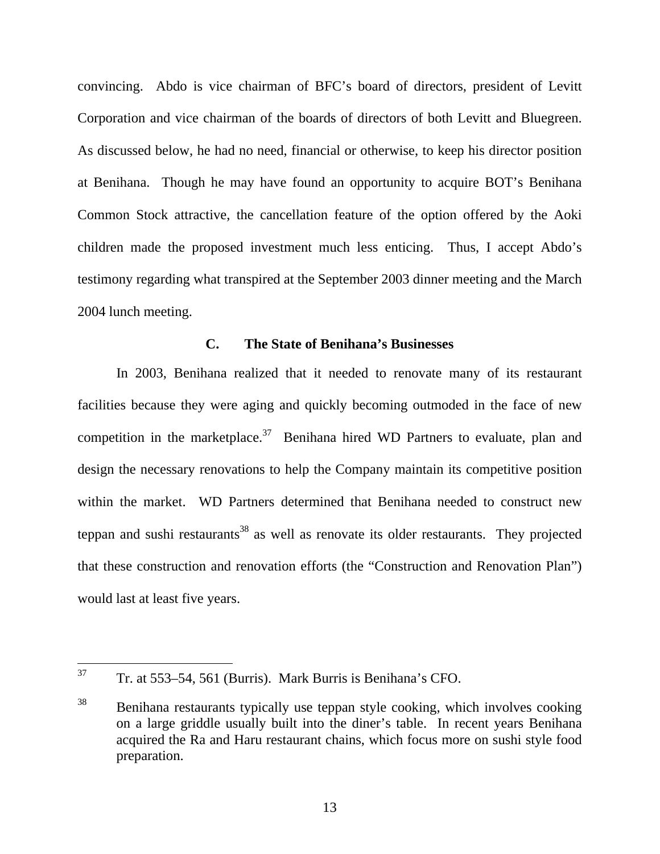convincing. Abdo is vice chairman of BFC's board of directors, president of Levitt Corporation and vice chairman of the boards of directors of both Levitt and Bluegreen. As discussed below, he had no need, financial or otherwise, to keep his director position at Benihana. Though he may have found an opportunity to acquire BOT's Benihana Common Stock attractive, the cancellation feature of the option offered by the Aoki children made the proposed investment much less enticing. Thus, I accept Abdo's testimony regarding what transpired at the September 2003 dinner meeting and the March 2004 lunch meeting.

#### **C. The State of Benihana's Businesses**

In 2003, Benihana realized that it needed to renovate many of its restaurant facilities because they were aging and quickly becoming outmoded in the face of new competition in the marketplace.<sup>37</sup> Benihana hired WD Partners to evaluate, plan and design the necessary renovations to help the Company maintain its competitive position within the market. WD Partners determined that Benihana needed to construct new teppan and sushi restaurants<sup>38</sup> as well as renovate its older restaurants. They projected that these construction and renovation efforts (the "Construction and Renovation Plan") would last at least five years.

<sup>37</sup> 37 Tr. at 553–54, 561 (Burris). Mark Burris is Benihana's CFO.

<sup>&</sup>lt;sup>38</sup> Benihana restaurants typically use teppan style cooking, which involves cooking on a large griddle usually built into the diner's table. In recent years Benihana acquired the Ra and Haru restaurant chains, which focus more on sushi style food preparation.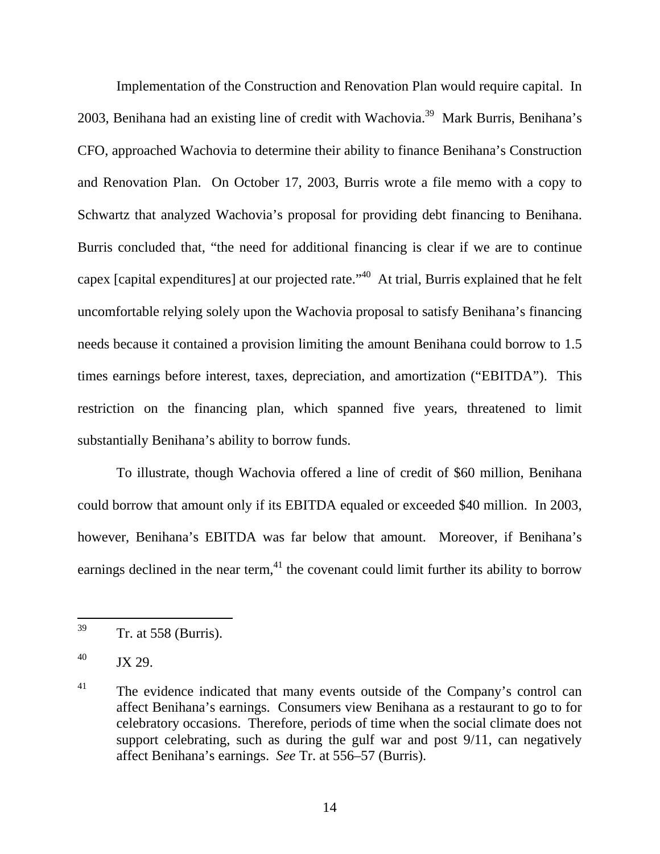Implementation of the Construction and Renovation Plan would require capital. In 2003, Benihana had an existing line of credit with Wachovia.<sup>39</sup> Mark Burris, Benihana's CFO, approached Wachovia to determine their ability to finance Benihana's Construction and Renovation Plan. On October 17, 2003, Burris wrote a file memo with a copy to Schwartz that analyzed Wachovia's proposal for providing debt financing to Benihana. Burris concluded that, "the need for additional financing is clear if we are to continue capex [capital expenditures] at our projected rate.<sup>140</sup> At trial, Burris explained that he felt uncomfortable relying solely upon the Wachovia proposal to satisfy Benihana's financing needs because it contained a provision limiting the amount Benihana could borrow to 1.5 times earnings before interest, taxes, depreciation, and amortization ("EBITDA"). This restriction on the financing plan, which spanned five years, threatened to limit substantially Benihana's ability to borrow funds.

To illustrate, though Wachovia offered a line of credit of \$60 million, Benihana could borrow that amount only if its EBITDA equaled or exceeded \$40 million. In 2003, however, Benihana's EBITDA was far below that amount. Moreover, if Benihana's earnings declined in the near term, $^{41}$  the covenant could limit further its ability to borrow

<sup>39</sup> Tr. at 558 (Burris).

 $^{40}$  JX 29.

 $41$  The evidence indicated that many events outside of the Company's control can affect Benihana's earnings. Consumers view Benihana as a restaurant to go to for celebratory occasions. Therefore, periods of time when the social climate does not support celebrating, such as during the gulf war and post 9/11, can negatively affect Benihana's earnings. *See* Tr. at 556–57 (Burris).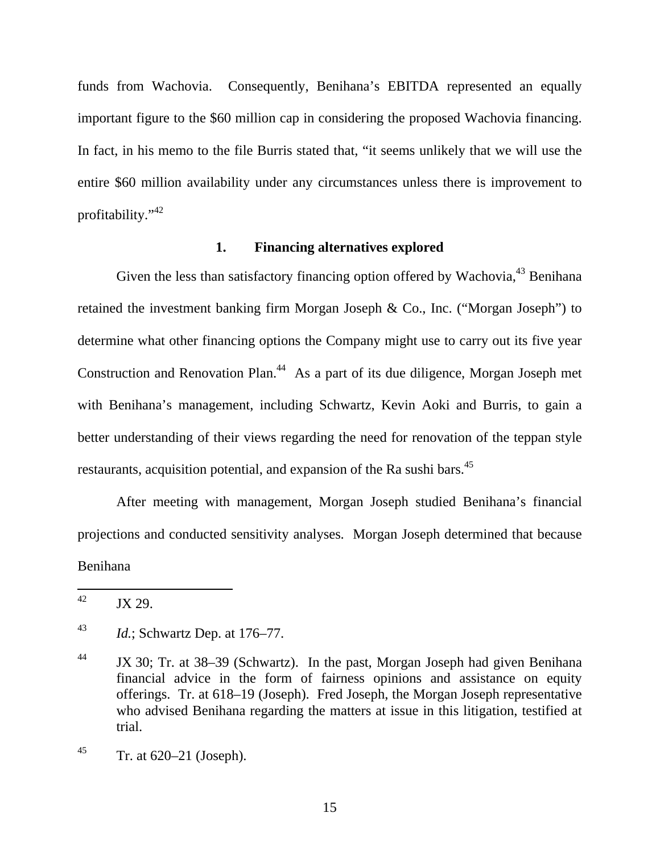funds from Wachovia. Consequently, Benihana's EBITDA represented an equally important figure to the \$60 million cap in considering the proposed Wachovia financing. In fact, in his memo to the file Burris stated that, "it seems unlikely that we will use the entire \$60 million availability under any circumstances unless there is improvement to profitability."42

#### **1. Financing alternatives explored**

Given the less than satisfactory financing option offered by Wachovia,  $43$  Benihana retained the investment banking firm Morgan Joseph & Co., Inc. ("Morgan Joseph") to determine what other financing options the Company might use to carry out its five year Construction and Renovation Plan.<sup>44</sup> As a part of its due diligence, Morgan Joseph met with Benihana's management, including Schwartz, Kevin Aoki and Burris, to gain a better understanding of their views regarding the need for renovation of the teppan style restaurants, acquisition potential, and expansion of the Ra sushi bars.<sup>45</sup>

After meeting with management, Morgan Joseph studied Benihana's financial projections and conducted sensitivity analyses. Morgan Joseph determined that because Benihana

<sup>42</sup> JX 29.

<sup>43</sup> *Id.*; Schwartz Dep. at 176–77.

<sup>&</sup>lt;sup>44</sup> JX 30; Tr. at 38–39 (Schwartz). In the past, Morgan Joseph had given Benihana financial advice in the form of fairness opinions and assistance on equity offerings. Tr. at 618–19 (Joseph). Fred Joseph, the Morgan Joseph representative who advised Benihana regarding the matters at issue in this litigation, testified at trial.

 $45$  Tr. at 620–21 (Joseph).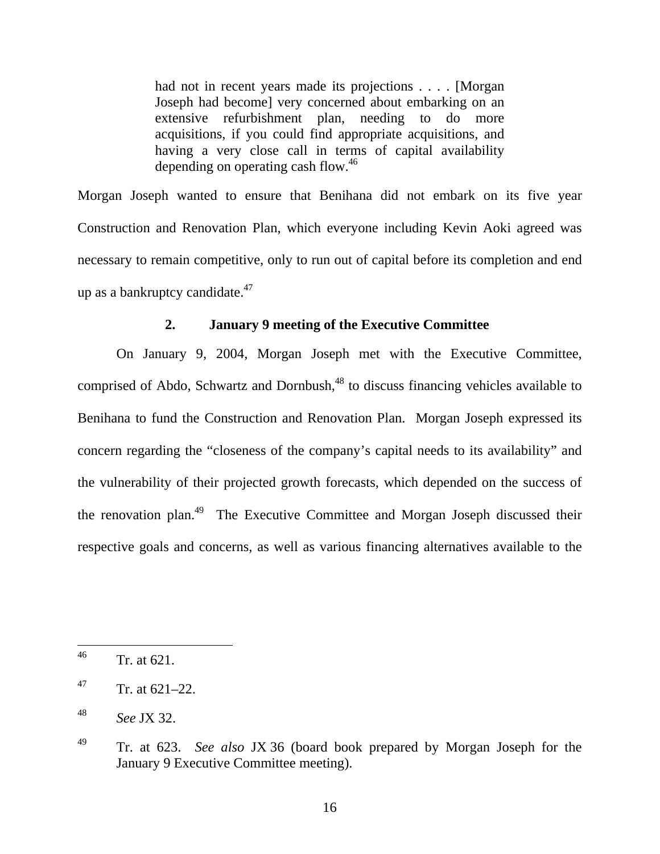had not in recent years made its projections . . . . [Morgan] Joseph had become] very concerned about embarking on an extensive refurbishment plan, needing to do more acquisitions, if you could find appropriate acquisitions, and having a very close call in terms of capital availability depending on operating cash flow.46

Morgan Joseph wanted to ensure that Benihana did not embark on its five year Construction and Renovation Plan, which everyone including Kevin Aoki agreed was necessary to remain competitive, only to run out of capital before its completion and end up as a bankruptcy candidate. $47$ 

## **2. January 9 meeting of the Executive Committee**

On January 9, 2004, Morgan Joseph met with the Executive Committee, comprised of Abdo, Schwartz and Dornbush,<sup>48</sup> to discuss financing vehicles available to Benihana to fund the Construction and Renovation Plan. Morgan Joseph expressed its concern regarding the "closeness of the company's capital needs to its availability" and the vulnerability of their projected growth forecasts, which depended on the success of the renovation plan.49 The Executive Committee and Morgan Joseph discussed their respective goals and concerns, as well as various financing alternatives available to the

 $^{46}$  Tr. at 621.

 $147$  Tr. at 621–22.

<sup>48</sup> *See* JX 32.

<sup>49</sup> Tr. at 623. *See also* JX 36 (board book prepared by Morgan Joseph for the January 9 Executive Committee meeting).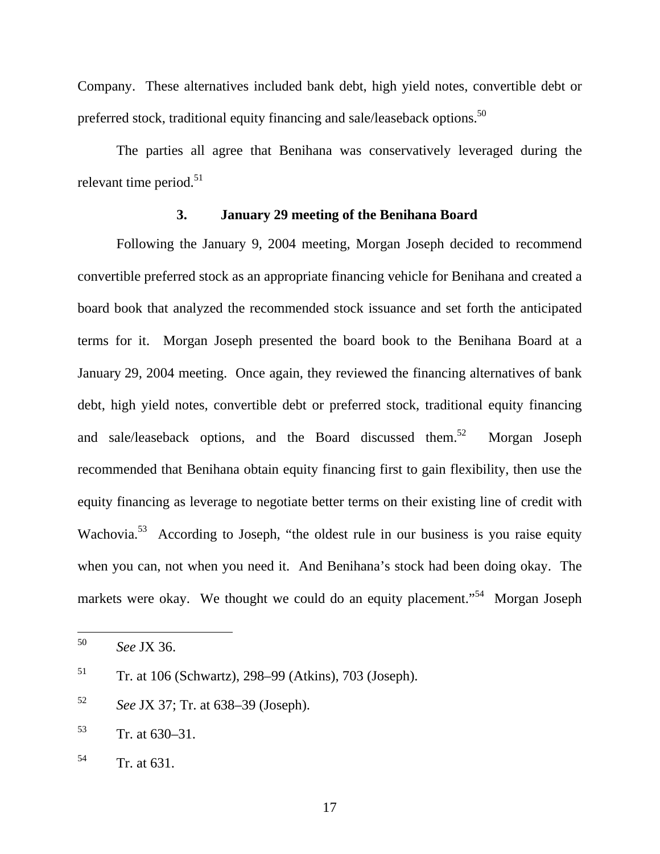Company. These alternatives included bank debt, high yield notes, convertible debt or preferred stock, traditional equity financing and sale/leaseback options.<sup>50</sup>

The parties all agree that Benihana was conservatively leveraged during the relevant time period. $51$ 

## **3. January 29 meeting of the Benihana Board**

Following the January 9, 2004 meeting, Morgan Joseph decided to recommend convertible preferred stock as an appropriate financing vehicle for Benihana and created a board book that analyzed the recommended stock issuance and set forth the anticipated terms for it. Morgan Joseph presented the board book to the Benihana Board at a January 29, 2004 meeting. Once again, they reviewed the financing alternatives of bank debt, high yield notes, convertible debt or preferred stock, traditional equity financing and sale/leaseback options, and the Board discussed them.<sup>52</sup> Morgan Joseph recommended that Benihana obtain equity financing first to gain flexibility, then use the equity financing as leverage to negotiate better terms on their existing line of credit with Wachovia.<sup>53</sup> According to Joseph, "the oldest rule in our business is you raise equity when you can, not when you need it. And Benihana's stock had been doing okay. The markets were okay. We thought we could do an equity placement."<sup>54</sup> Morgan Joseph

<sup>50</sup> <sup>50</sup> *See* JX 36.

<sup>51</sup> Tr. at 106 (Schwartz), 298–99 (Atkins), 703 (Joseph).

<sup>52</sup> *See* JX 37; Tr. at 638–39 (Joseph).

 $53$  Tr. at  $630-31$ .

 $54$  Tr. at 631.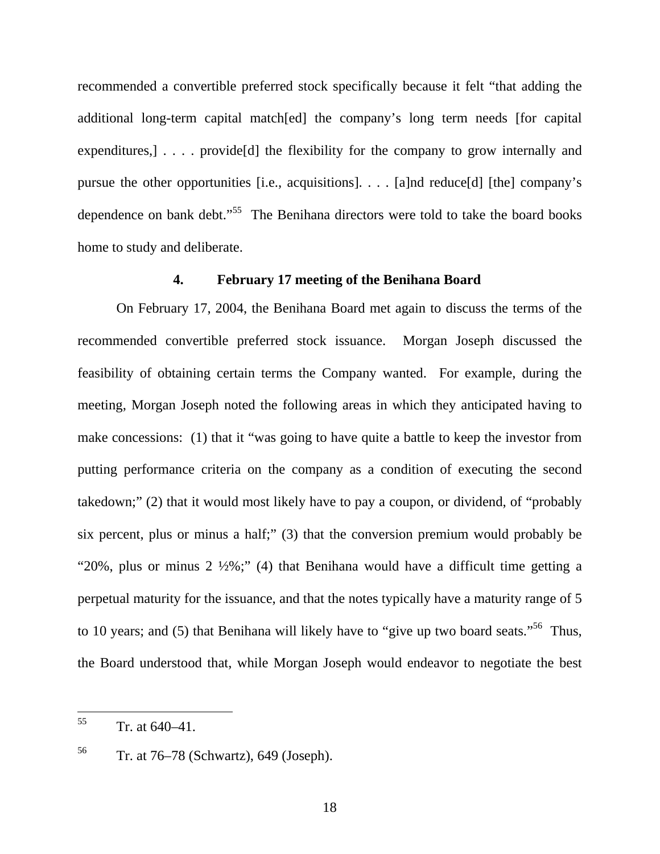recommended a convertible preferred stock specifically because it felt "that adding the additional long-term capital match[ed] the company's long term needs [for capital expenditures,  $\cdots$  provide<sup>[d]</sup> the flexibility for the company to grow internally and pursue the other opportunities [i.e., acquisitions]. . . . [a]nd reduce[d] [the] company's dependence on bank debt."<sup>55</sup> The Benihana directors were told to take the board books home to study and deliberate.

## **4. February 17 meeting of the Benihana Board**

On February 17, 2004, the Benihana Board met again to discuss the terms of the recommended convertible preferred stock issuance. Morgan Joseph discussed the feasibility of obtaining certain terms the Company wanted. For example, during the meeting, Morgan Joseph noted the following areas in which they anticipated having to make concessions: (1) that it "was going to have quite a battle to keep the investor from putting performance criteria on the company as a condition of executing the second takedown;" (2) that it would most likely have to pay a coupon, or dividend, of "probably six percent, plus or minus a half;" (3) that the conversion premium would probably be "20%, plus or minus  $2 \frac{1}{2}\%$ ;" (4) that Benihana would have a difficult time getting a perpetual maturity for the issuance, and that the notes typically have a maturity range of 5 to 10 years; and (5) that Benihana will likely have to "give up two board seats."<sup>56</sup> Thus, the Board understood that, while Morgan Joseph would endeavor to negotiate the best

<sup>55</sup>  $Tr.$  at  $640-41$ .

 $56$  Tr. at 76–78 (Schwartz), 649 (Joseph).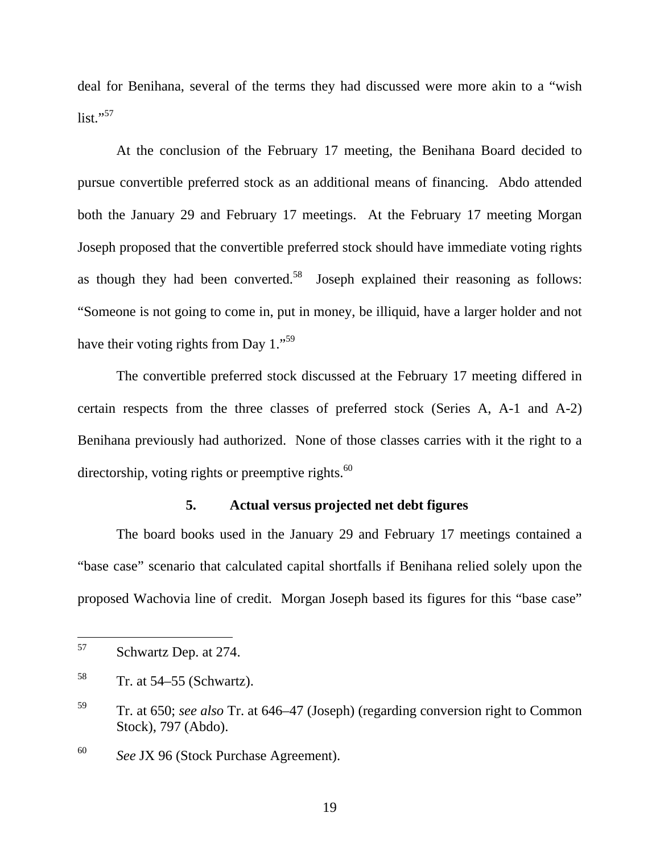deal for Benihana, several of the terms they had discussed were more akin to a "wish  $list. "57$ 

At the conclusion of the February 17 meeting, the Benihana Board decided to pursue convertible preferred stock as an additional means of financing. Abdo attended both the January 29 and February 17 meetings. At the February 17 meeting Morgan Joseph proposed that the convertible preferred stock should have immediate voting rights as though they had been converted.<sup>58</sup> Joseph explained their reasoning as follows: "Someone is not going to come in, put in money, be illiquid, have a larger holder and not have their voting rights from Day 1."<sup>59</sup>

The convertible preferred stock discussed at the February 17 meeting differed in certain respects from the three classes of preferred stock (Series A, A-1 and A-2) Benihana previously had authorized. None of those classes carries with it the right to a directorship, voting rights or preemptive rights. $60$ 

## **5. Actual versus projected net debt figures**

The board books used in the January 29 and February 17 meetings contained a "base case" scenario that calculated capital shortfalls if Benihana relied solely upon the proposed Wachovia line of credit. Morgan Joseph based its figures for this "base case"

<sup>57</sup> Schwartz Dep. at 274.

 $58$  Tr. at 54–55 (Schwartz).

<sup>59</sup> Tr. at 650; *see also* Tr. at 646–47 (Joseph) (regarding conversion right to Common Stock), 797 (Abdo).

<sup>60</sup> *See* JX 96 (Stock Purchase Agreement).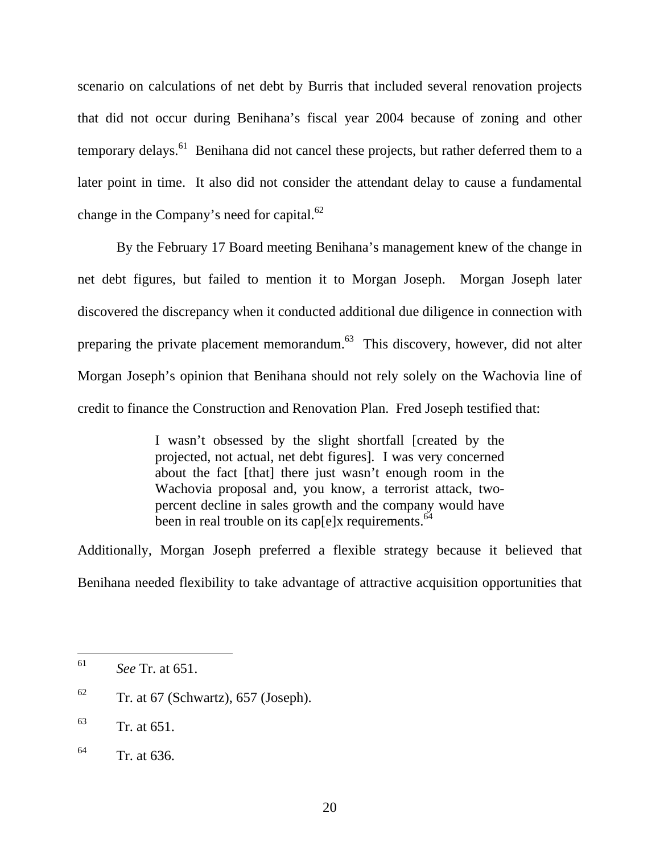scenario on calculations of net debt by Burris that included several renovation projects that did not occur during Benihana's fiscal year 2004 because of zoning and other temporary delays.<sup>61</sup> Benihana did not cancel these projects, but rather deferred them to a later point in time. It also did not consider the attendant delay to cause a fundamental change in the Company's need for capital.<sup>62</sup>

By the February 17 Board meeting Benihana's management knew of the change in net debt figures, but failed to mention it to Morgan Joseph. Morgan Joseph later discovered the discrepancy when it conducted additional due diligence in connection with preparing the private placement memorandum.<sup>63</sup> This discovery, however, did not alter Morgan Joseph's opinion that Benihana should not rely solely on the Wachovia line of credit to finance the Construction and Renovation Plan. Fred Joseph testified that:

> I wasn't obsessed by the slight shortfall [created by the projected, not actual, net debt figures]. I was very concerned about the fact [that] there just wasn't enough room in the Wachovia proposal and, you know, a terrorist attack, twopercent decline in sales growth and the company would have been in real trouble on its caplely requirements.<sup>64</sup>

Additionally, Morgan Joseph preferred a flexible strategy because it believed that Benihana needed flexibility to take advantage of attractive acquisition opportunities that

<sup>61</sup> *See* Tr. at 651.

 $62$  Tr. at 67 (Schwartz), 657 (Joseph).

 $^{63}$  Tr. at 651.

 $^{64}$  Tr. at 636.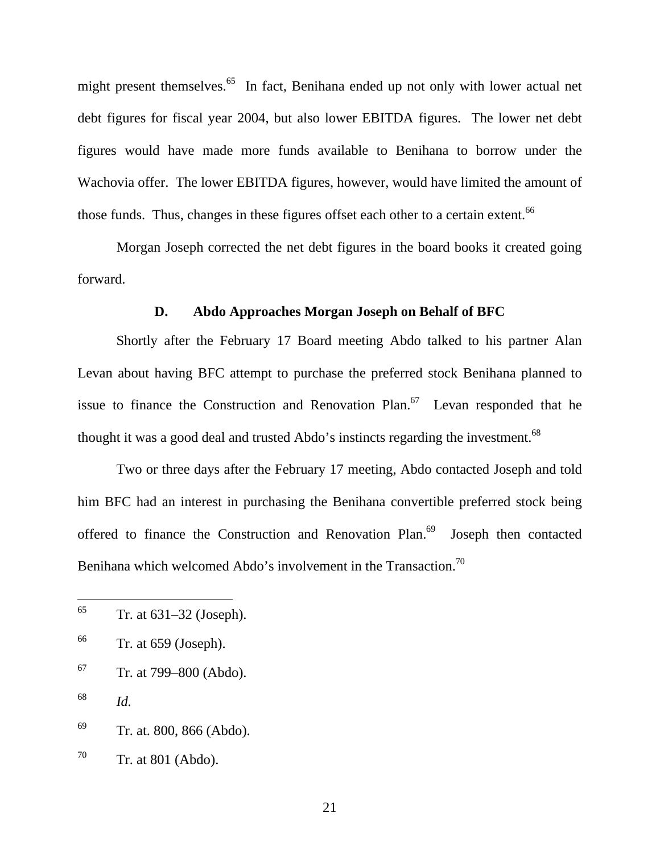might present themselves.<sup>65</sup> In fact, Benihana ended up not only with lower actual net debt figures for fiscal year 2004, but also lower EBITDA figures. The lower net debt figures would have made more funds available to Benihana to borrow under the Wachovia offer. The lower EBITDA figures, however, would have limited the amount of those funds. Thus, changes in these figures offset each other to a certain extent.<sup>66</sup>

Morgan Joseph corrected the net debt figures in the board books it created going forward.

#### **D. Abdo Approaches Morgan Joseph on Behalf of BFC**

Shortly after the February 17 Board meeting Abdo talked to his partner Alan Levan about having BFC attempt to purchase the preferred stock Benihana planned to issue to finance the Construction and Renovation Plan.<sup>67</sup> Levan responded that he thought it was a good deal and trusted Abdo's instincts regarding the investment.<sup>68</sup>

Two or three days after the February 17 meeting, Abdo contacted Joseph and told him BFC had an interest in purchasing the Benihana convertible preferred stock being offered to finance the Construction and Renovation Plan. $69$  Joseph then contacted Benihana which welcomed Abdo's involvement in the Transaction.<sup>70</sup>

 $67$  Tr. at 799–800 (Abdo).

<sup>65</sup> 65 Tr. at 631–32 (Joseph).

 $66$  Tr. at 659 (Joseph).

<sup>68</sup> *Id.* 

 $69$  Tr. at. 800, 866 (Abdo).

 $70$  Tr. at 801 (Abdo).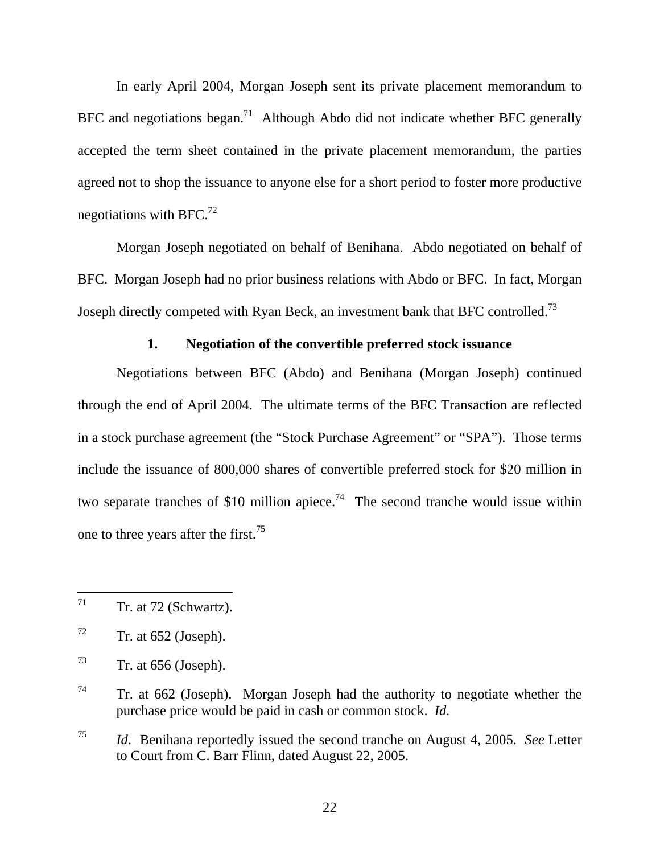In early April 2004, Morgan Joseph sent its private placement memorandum to BFC and negotiations began.<sup>71</sup> Although Abdo did not indicate whether BFC generally accepted the term sheet contained in the private placement memorandum, the parties agreed not to shop the issuance to anyone else for a short period to foster more productive negotiations with  $BFC.<sup>72</sup>$ 

Morgan Joseph negotiated on behalf of Benihana. Abdo negotiated on behalf of BFC. Morgan Joseph had no prior business relations with Abdo or BFC. In fact, Morgan Joseph directly competed with Ryan Beck, an investment bank that BFC controlled.<sup>73</sup>

## **1. Negotiation of the convertible preferred stock issuance**

Negotiations between BFC (Abdo) and Benihana (Morgan Joseph) continued through the end of April 2004. The ultimate terms of the BFC Transaction are reflected in a stock purchase agreement (the "Stock Purchase Agreement" or "SPA"). Those terms include the issuance of 800,000 shares of convertible preferred stock for \$20 million in two separate tranches of \$10 million apiece.<sup>74</sup> The second tranche would issue within one to three years after the first.<sup>75</sup>

 $71$ Tr. at 72 (Schwartz).

 $72$  Tr. at 652 (Joseph).

 $T^3$  Tr. at 656 (Joseph).

 $74$  Tr. at 662 (Joseph). Morgan Joseph had the authority to negotiate whether the purchase price would be paid in cash or common stock. *Id.* 

<sup>75</sup> *Id*. Benihana reportedly issued the second tranche on August 4, 2005. *See* Letter to Court from C. Barr Flinn, dated August 22, 2005.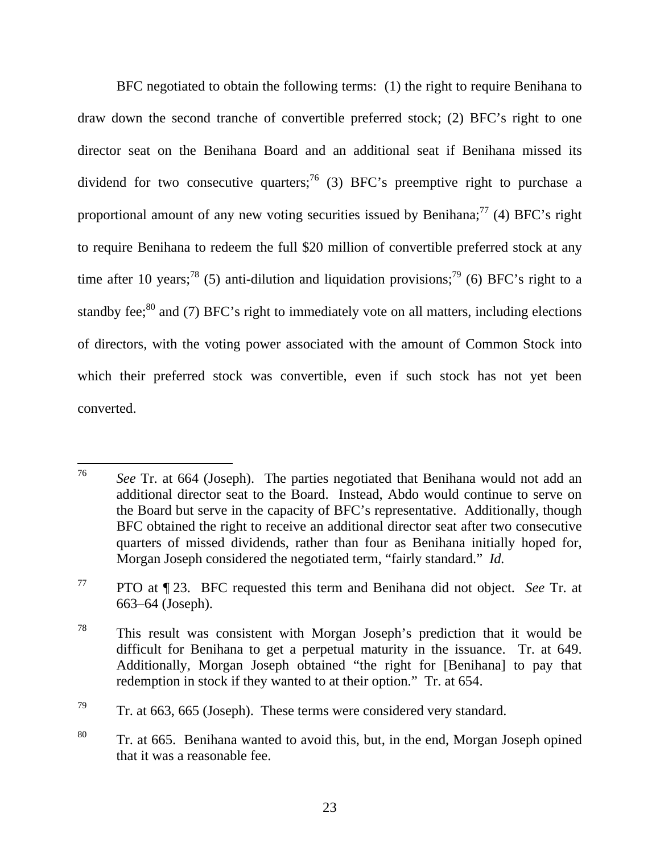BFC negotiated to obtain the following terms: (1) the right to require Benihana to draw down the second tranche of convertible preferred stock; (2) BFC's right to one director seat on the Benihana Board and an additional seat if Benihana missed its dividend for two consecutive quarters;<sup>76</sup> (3) BFC's preemptive right to purchase a proportional amount of any new voting securities issued by Benihana;<sup>77</sup> (4) BFC's right to require Benihana to redeem the full \$20 million of convertible preferred stock at any time after 10 years;<sup>78</sup> (5) anti-dilution and liquidation provisions;<sup>79</sup> (6) BFC's right to a standby fee; $^{80}$  and (7) BFC's right to immediately vote on all matters, including elections of directors, with the voting power associated with the amount of Common Stock into which their preferred stock was convertible, even if such stock has not yet been converted.

<sup>76</sup> See Tr. at 664 (Joseph). The parties negotiated that Benihana would not add an additional director seat to the Board. Instead, Abdo would continue to serve on the Board but serve in the capacity of BFC's representative. Additionally, though BFC obtained the right to receive an additional director seat after two consecutive quarters of missed dividends, rather than four as Benihana initially hoped for, Morgan Joseph considered the negotiated term, "fairly standard." *Id.* 

<sup>77</sup> PTO at ¶ 23. BFC requested this term and Benihana did not object. *See* Tr. at 663–64 (Joseph).

<sup>78</sup> This result was consistent with Morgan Joseph's prediction that it would be difficult for Benihana to get a perpetual maturity in the issuance. Tr. at 649. Additionally, Morgan Joseph obtained "the right for [Benihana] to pay that redemption in stock if they wanted to at their option." Tr. at 654.

 $79$  Tr. at 663, 665 (Joseph). These terms were considered very standard.

<sup>80</sup> Tr. at 665. Benihana wanted to avoid this, but, in the end, Morgan Joseph opined that it was a reasonable fee.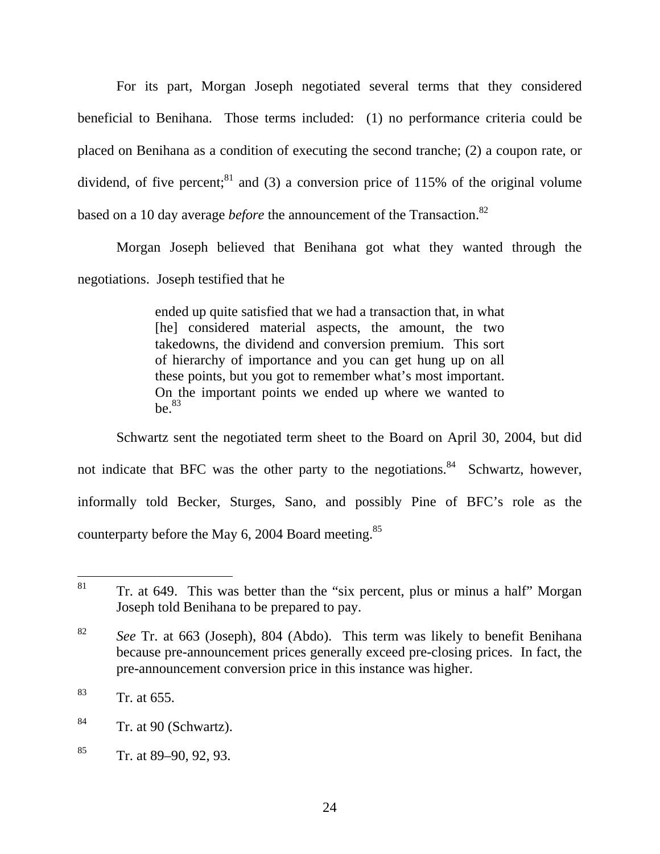For its part, Morgan Joseph negotiated several terms that they considered beneficial to Benihana. Those terms included: (1) no performance criteria could be placed on Benihana as a condition of executing the second tranche; (2) a coupon rate, or dividend, of five percent; $81$  and (3) a conversion price of 115% of the original volume based on a 10 day average *before* the announcement of the Transaction.<sup>82</sup>

Morgan Joseph believed that Benihana got what they wanted through the negotiations. Joseph testified that he

> ended up quite satisfied that we had a transaction that, in what [he] considered material aspects, the amount, the two takedowns, the dividend and conversion premium. This sort of hierarchy of importance and you can get hung up on all these points, but you got to remember what's most important. On the important points we ended up where we wanted to  $he<sup>83</sup>$

 Schwartz sent the negotiated term sheet to the Board on April 30, 2004, but did not indicate that BFC was the other party to the negotiations.<sup>84</sup> Schwartz, however, informally told Becker, Sturges, Sano, and possibly Pine of BFC's role as the counterparty before the May 6, 2004 Board meeting.<sup>85</sup>

<sup>81</sup> Tr. at 649. This was better than the "six percent, plus or minus a half" Morgan Joseph told Benihana to be prepared to pay.

<sup>82</sup> *See* Tr. at 663 (Joseph), 804 (Abdo). This term was likely to benefit Benihana because pre-announcement prices generally exceed pre-closing prices. In fact, the pre-announcement conversion price in this instance was higher.

 $83$  Tr. at 655.

 $84$  Tr. at 90 (Schwartz).

 $85$  Tr. at 89–90, 92, 93.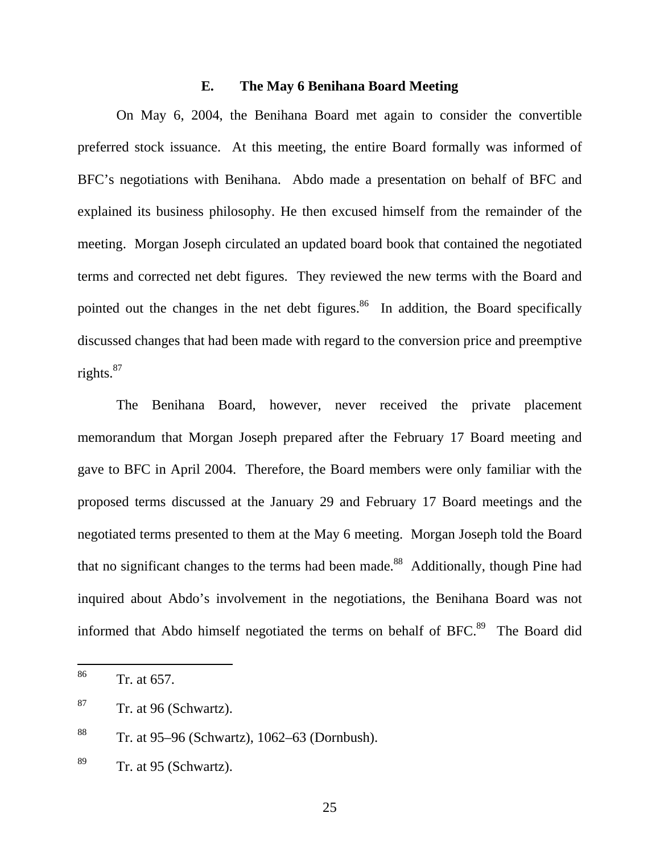## **E. The May 6 Benihana Board Meeting**

On May 6, 2004, the Benihana Board met again to consider the convertible preferred stock issuance. At this meeting, the entire Board formally was informed of BFC's negotiations with Benihana. Abdo made a presentation on behalf of BFC and explained its business philosophy. He then excused himself from the remainder of the meeting. Morgan Joseph circulated an updated board book that contained the negotiated terms and corrected net debt figures. They reviewed the new terms with the Board and pointed out the changes in the net debt figures.<sup>86</sup> In addition, the Board specifically discussed changes that had been made with regard to the conversion price and preemptive rights. $87$ 

The Benihana Board, however, never received the private placement memorandum that Morgan Joseph prepared after the February 17 Board meeting and gave to BFC in April 2004. Therefore, the Board members were only familiar with the proposed terms discussed at the January 29 and February 17 Board meetings and the negotiated terms presented to them at the May 6 meeting. Morgan Joseph told the Board that no significant changes to the terms had been made.<sup>88</sup> Additionally, though Pine had inquired about Abdo's involvement in the negotiations, the Benihana Board was not informed that Abdo himself negotiated the terms on behalf of BFC.<sup>89</sup> The Board did

<sup>86</sup> Tr. at 657.

 $87$  Tr. at 96 (Schwartz).

<sup>88</sup> Tr. at 95–96 (Schwartz), 1062–63 (Dornbush).

 $89$  Tr. at 95 (Schwartz).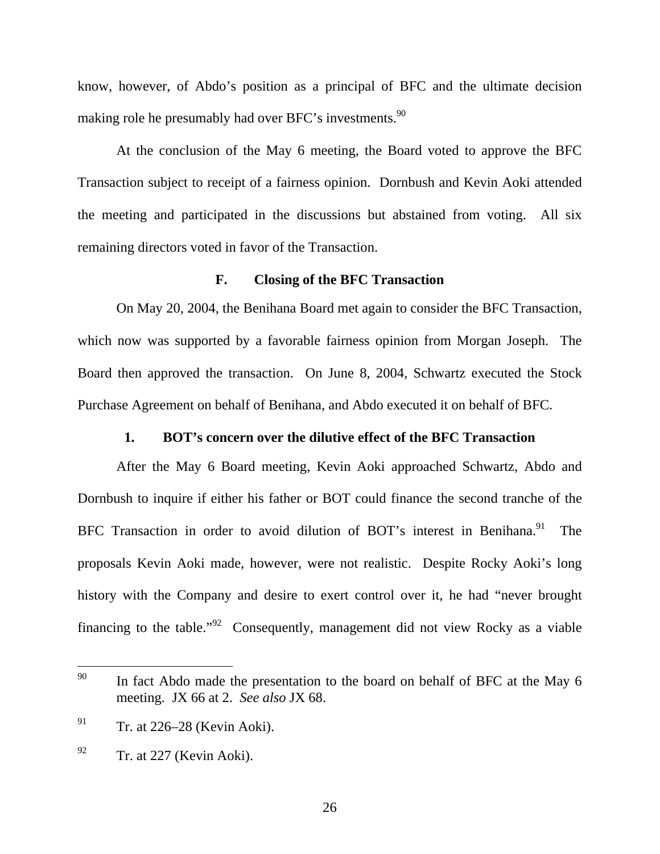know, however, of Abdo's position as a principal of BFC and the ultimate decision making role he presumably had over BFC's investments.<sup>90</sup>

At the conclusion of the May 6 meeting, the Board voted to approve the BFC Transaction subject to receipt of a fairness opinion. Dornbush and Kevin Aoki attended the meeting and participated in the discussions but abstained from voting. All six remaining directors voted in favor of the Transaction.

## **F. Closing of the BFC Transaction**

On May 20, 2004, the Benihana Board met again to consider the BFC Transaction, which now was supported by a favorable fairness opinion from Morgan Joseph. The Board then approved the transaction. On June 8, 2004, Schwartz executed the Stock Purchase Agreement on behalf of Benihana, and Abdo executed it on behalf of BFC.

## **1. BOT's concern over the dilutive effect of the BFC Transaction**

After the May 6 Board meeting, Kevin Aoki approached Schwartz, Abdo and Dornbush to inquire if either his father or BOT could finance the second tranche of the BFC Transaction in order to avoid dilution of BOT's interest in Benihana.<sup>91</sup> The proposals Kevin Aoki made, however, were not realistic. Despite Rocky Aoki's long history with the Company and desire to exert control over it, he had "never brought financing to the table."<sup>92</sup> Consequently, management did not view Rocky as a viable

<sup>90</sup> In fact Abdo made the presentation to the board on behalf of BFC at the May 6 meeting. JX 66 at 2. *See also* JX 68.

 $^{91}$  Tr. at 226–28 (Kevin Aoki).

 $^{92}$  Tr. at 227 (Kevin Aoki).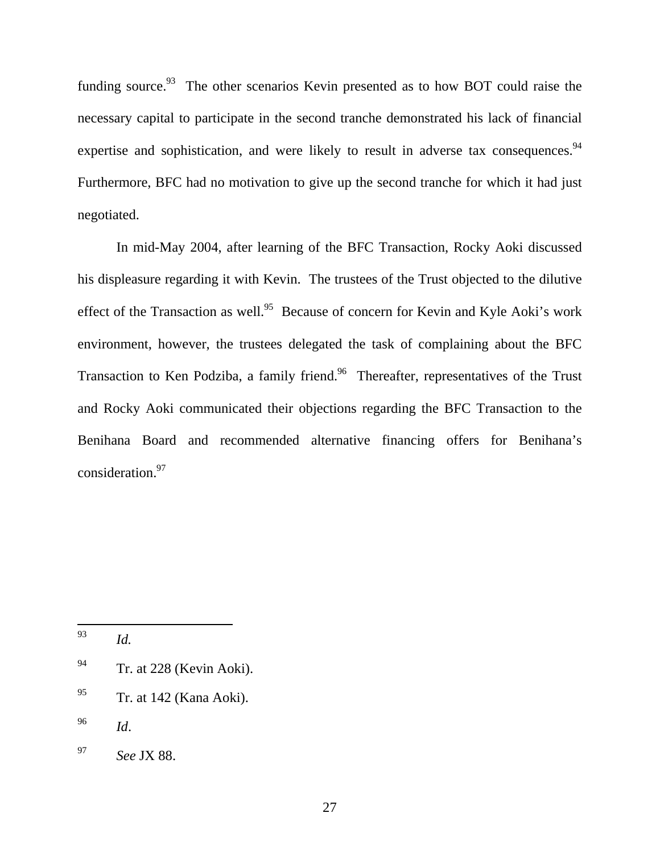funding source.<sup>93</sup> The other scenarios Kevin presented as to how BOT could raise the necessary capital to participate in the second tranche demonstrated his lack of financial expertise and sophistication, and were likely to result in adverse tax consequences.<sup>94</sup> Furthermore, BFC had no motivation to give up the second tranche for which it had just negotiated.

In mid-May 2004, after learning of the BFC Transaction, Rocky Aoki discussed his displeasure regarding it with Kevin. The trustees of the Trust objected to the dilutive effect of the Transaction as well.<sup>95</sup> Because of concern for Kevin and Kyle Aoki's work environment, however, the trustees delegated the task of complaining about the BFC Transaction to Ken Podziba, a family friend.<sup>96</sup> Thereafter, representatives of the Trust and Rocky Aoki communicated their objections regarding the BFC Transaction to the Benihana Board and recommended alternative financing offers for Benihana's consideration.97

93 *Id.* 

<sup>&</sup>lt;sup>94</sup> Tr. at 228 (Kevin Aoki).

 $^{95}$  Tr. at 142 (Kana Aoki).

<sup>96</sup> *Id*.

<sup>97</sup> *See* JX 88.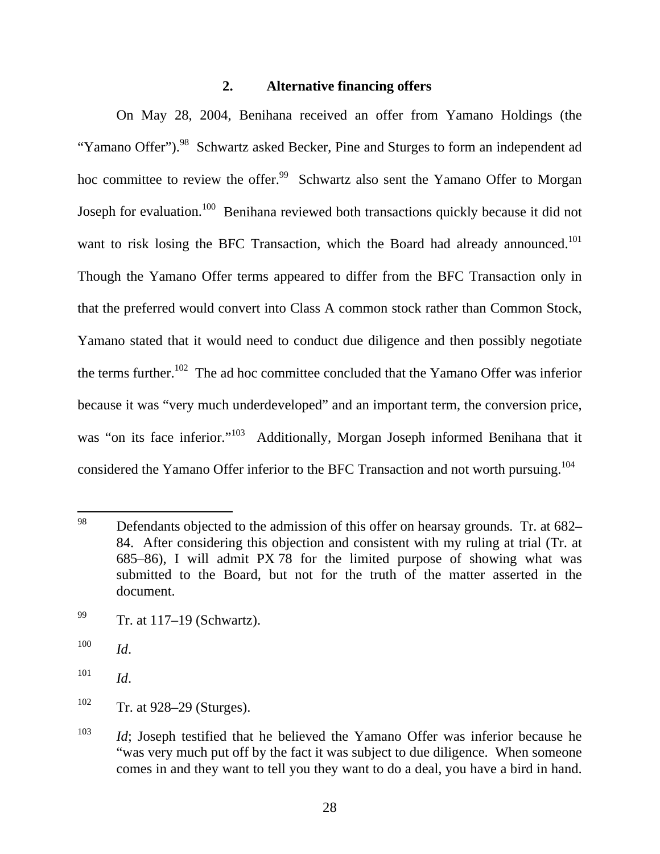### **2. Alternative financing offers**

On May 28, 2004, Benihana received an offer from Yamano Holdings (the "Yamano Offer").<sup>98</sup> Schwartz asked Becker, Pine and Sturges to form an independent ad hoc committee to review the offer.<sup>99</sup> Schwartz also sent the Yamano Offer to Morgan Joseph for evaluation.<sup>100</sup> Benihana reviewed both transactions quickly because it did not want to risk losing the BFC Transaction, which the Board had already announced.<sup>101</sup> Though the Yamano Offer terms appeared to differ from the BFC Transaction only in that the preferred would convert into Class A common stock rather than Common Stock, Yamano stated that it would need to conduct due diligence and then possibly negotiate the terms further.<sup>102</sup> The ad hoc committee concluded that the Yamano Offer was inferior because it was "very much underdeveloped" and an important term, the conversion price, was "on its face inferior."<sup>103</sup> Additionally, Morgan Joseph informed Benihana that it considered the Yamano Offer inferior to the BFC Transaction and not worth pursuing.<sup>104</sup>

<sup>98</sup> Defendants objected to the admission of this offer on hearsay grounds. Tr. at 682– 84. After considering this objection and consistent with my ruling at trial (Tr. at 685–86), I will admit PX 78 for the limited purpose of showing what was submitted to the Board, but not for the truth of the matter asserted in the document.

 $^{99}$  Tr. at 117–19 (Schwartz).

<sup>100</sup> *Id*.

 $101$  *Id.* 

 $102$  Tr. at 928–29 (Sturges).

<sup>&</sup>lt;sup>103</sup> *Id*; Joseph testified that he believed the Yamano Offer was inferior because he "was very much put off by the fact it was subject to due diligence. When someone comes in and they want to tell you they want to do a deal, you have a bird in hand.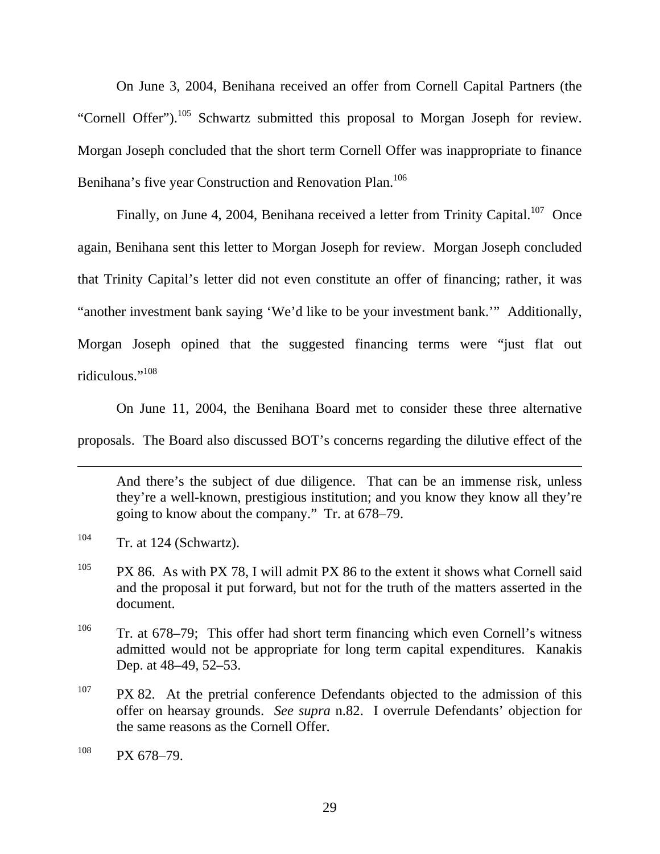On June 3, 2004, Benihana received an offer from Cornell Capital Partners (the "Cornell Offer").<sup>105</sup> Schwartz submitted this proposal to Morgan Joseph for review. Morgan Joseph concluded that the short term Cornell Offer was inappropriate to finance Benihana's five year Construction and Renovation Plan.<sup>106</sup>

Finally, on June 4, 2004, Benihana received a letter from Trinity Capital.<sup>107</sup> Once again, Benihana sent this letter to Morgan Joseph for review. Morgan Joseph concluded that Trinity Capital's letter did not even constitute an offer of financing; rather, it was "another investment bank saying 'We'd like to be your investment bank.'" Additionally, Morgan Joseph opined that the suggested financing terms were "just flat out ridiculous<sup>",108</sup>

On June 11, 2004, the Benihana Board met to consider these three alternative proposals. The Board also discussed BOT's concerns regarding the dilutive effect of the

And there's the subject of due diligence. That can be an immense risk, unless they're a well-known, prestigious institution; and you know they know all they're going to know about the company." Tr. at 678–79.

 $104$  Tr. at 124 (Schwartz).

 $\overline{a}$ 

- <sup>105</sup> PX 86. As with PX 78, I will admit PX 86 to the extent it shows what Cornell said and the proposal it put forward, but not for the truth of the matters asserted in the document.
- <sup>106</sup> Tr. at  $678-79$ ; This offer had short term financing which even Cornell's witness admitted would not be appropriate for long term capital expenditures. Kanakis Dep. at 48–49, 52–53.
- $107$  PX 82. At the pretrial conference Defendants objected to the admission of this offer on hearsay grounds. *See supra* n.82. I overrule Defendants' objection for the same reasons as the Cornell Offer.

 $^{108}$  PX 678-79.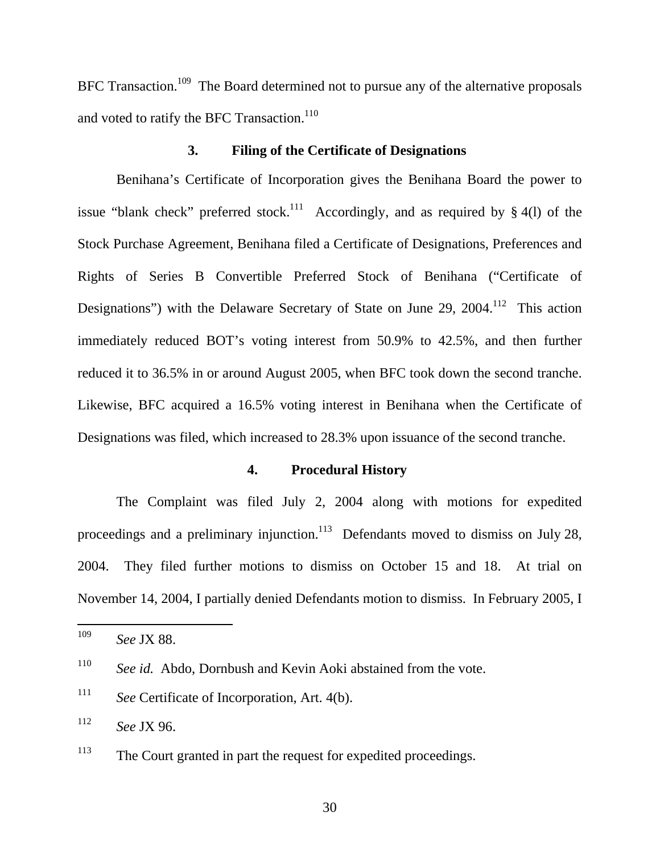BFC Transaction.<sup>109</sup> The Board determined not to pursue any of the alternative proposals and voted to ratify the BFC Transaction.<sup>110</sup>

## **3. Filing of the Certificate of Designations**

Benihana's Certificate of Incorporation gives the Benihana Board the power to issue "blank check" preferred stock.<sup>111</sup> Accordingly, and as required by  $\S$  4(l) of the Stock Purchase Agreement, Benihana filed a Certificate of Designations, Preferences and Rights of Series B Convertible Preferred Stock of Benihana ("Certificate of Designations") with the Delaware Secretary of State on June 29, 2004.<sup>112</sup> This action immediately reduced BOT's voting interest from 50.9% to 42.5%, and then further reduced it to 36.5% in or around August 2005, when BFC took down the second tranche. Likewise, BFC acquired a 16.5% voting interest in Benihana when the Certificate of Designations was filed, which increased to 28.3% upon issuance of the second tranche.

## **4. Procedural History**

The Complaint was filed July 2, 2004 along with motions for expedited proceedings and a preliminary injunction.<sup>113</sup> Defendants moved to dismiss on July 28, 2004. They filed further motions to dismiss on October 15 and 18. At trial on November 14, 2004, I partially denied Defendants motion to dismiss. In February 2005, I

<sup>109</sup> <sup>109</sup> *See* JX 88.

<sup>110</sup> *See id.* Abdo, Dornbush and Kevin Aoki abstained from the vote.

<sup>111</sup> *See* Certificate of Incorporation, Art. 4(b).

<sup>112</sup> *See* JX 96.

<sup>&</sup>lt;sup>113</sup> The Court granted in part the request for expedited proceedings.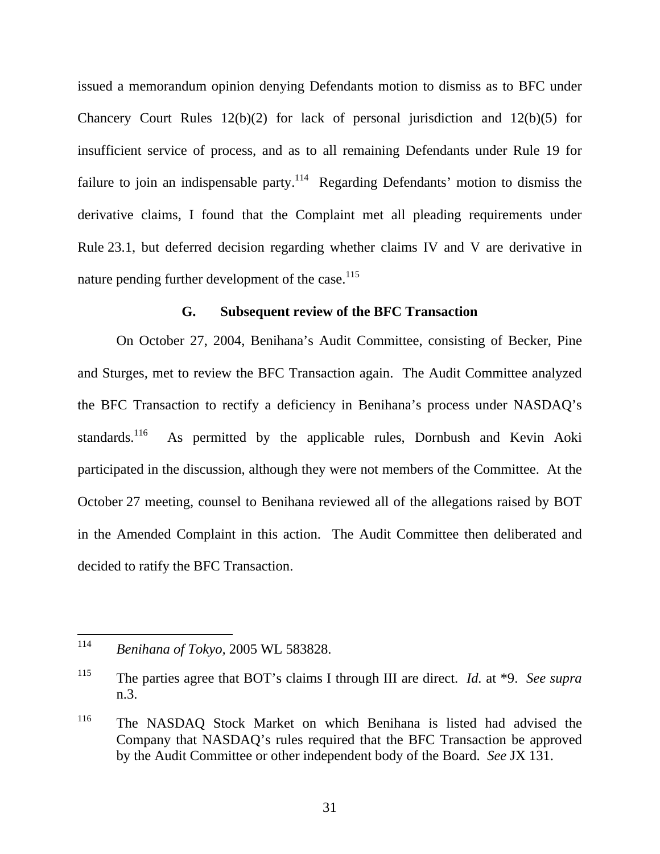issued a memorandum opinion denying Defendants motion to dismiss as to BFC under Chancery Court Rules  $12(b)(2)$  for lack of personal jurisdiction and  $12(b)(5)$  for insufficient service of process, and as to all remaining Defendants under Rule 19 for failure to join an indispensable party.<sup>114</sup> Regarding Defendants' motion to dismiss the derivative claims, I found that the Complaint met all pleading requirements under Rule 23.1, but deferred decision regarding whether claims IV and V are derivative in nature pending further development of the case.<sup>115</sup>

#### **G. Subsequent review of the BFC Transaction**

On October 27, 2004, Benihana's Audit Committee, consisting of Becker, Pine and Sturges, met to review the BFC Transaction again. The Audit Committee analyzed the BFC Transaction to rectify a deficiency in Benihana's process under NASDAQ's standards.<sup>116</sup> As permitted by the applicable rules, Dornbush and Kevin Aoki participated in the discussion, although they were not members of the Committee. At the October 27 meeting, counsel to Benihana reviewed all of the allegations raised by BOT in the Amended Complaint in this action. The Audit Committee then deliberated and decided to ratify the BFC Transaction.

<sup>114</sup> <sup>114</sup> *Benihana of Tokyo,* 2005 WL 583828.

<sup>115</sup> The parties agree that BOT's claims I through III are direct. *Id.* at \*9. *See supra* n.3.

<sup>116</sup> The NASDAQ Stock Market on which Benihana is listed had advised the Company that NASDAQ's rules required that the BFC Transaction be approved by the Audit Committee or other independent body of the Board. *See* JX 131.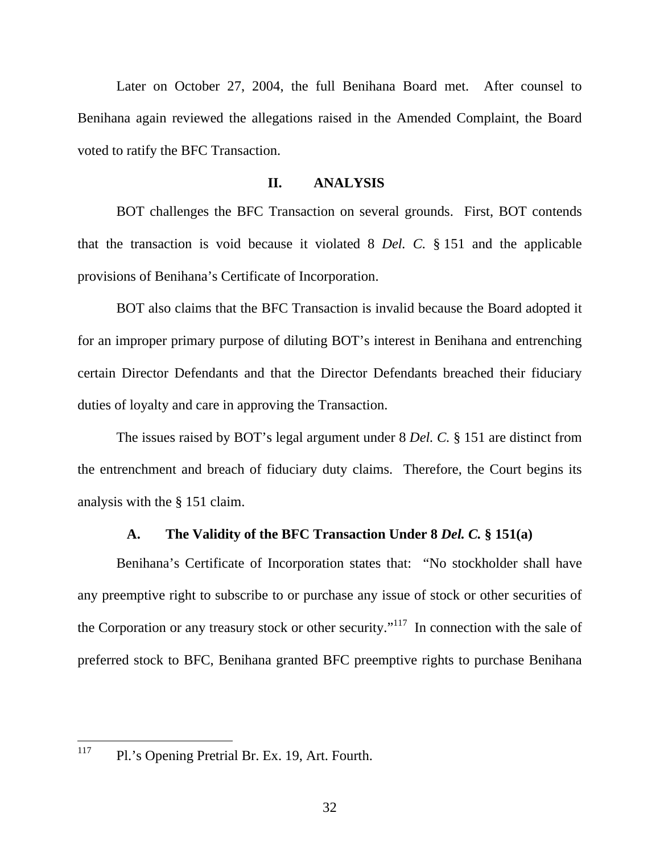Later on October 27, 2004, the full Benihana Board met. After counsel to Benihana again reviewed the allegations raised in the Amended Complaint, the Board voted to ratify the BFC Transaction.

#### **II. ANALYSIS**

BOT challenges the BFC Transaction on several grounds. First, BOT contends that the transaction is void because it violated 8 *Del. C.* § 151 and the applicable provisions of Benihana's Certificate of Incorporation.

BOT also claims that the BFC Transaction is invalid because the Board adopted it for an improper primary purpose of diluting BOT's interest in Benihana and entrenching certain Director Defendants and that the Director Defendants breached their fiduciary duties of loyalty and care in approving the Transaction.

The issues raised by BOT's legal argument under 8 *Del. C.* § 151 are distinct from the entrenchment and breach of fiduciary duty claims. Therefore, the Court begins its analysis with the § 151 claim.

## **A. The Validity of the BFC Transaction Under 8** *Del. C.* **§ 151(a)**

Benihana's Certificate of Incorporation states that: "No stockholder shall have any preemptive right to subscribe to or purchase any issue of stock or other securities of the Corporation or any treasury stock or other security."<sup>117</sup> In connection with the sale of preferred stock to BFC, Benihana granted BFC preemptive rights to purchase Benihana

117 Pl.'s Opening Pretrial Br. Ex. 19, Art. Fourth.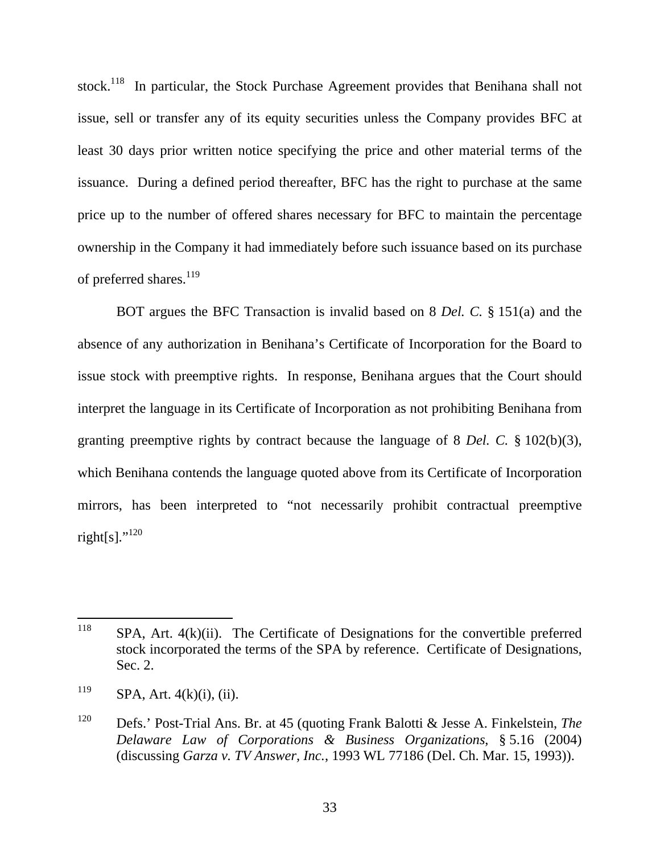stock.<sup>118</sup> In particular, the Stock Purchase Agreement provides that Benihana shall not issue, sell or transfer any of its equity securities unless the Company provides BFC at least 30 days prior written notice specifying the price and other material terms of the issuance. During a defined period thereafter, BFC has the right to purchase at the same price up to the number of offered shares necessary for BFC to maintain the percentage ownership in the Company it had immediately before such issuance based on its purchase of preferred shares.<sup>119</sup>

BOT argues the BFC Transaction is invalid based on 8 *Del. C.* § 151(a) and the absence of any authorization in Benihana's Certificate of Incorporation for the Board to issue stock with preemptive rights. In response, Benihana argues that the Court should interpret the language in its Certificate of Incorporation as not prohibiting Benihana from granting preemptive rights by contract because the language of 8 *Del. C.* § 102(b)(3), which Benihana contends the language quoted above from its Certificate of Incorporation mirrors, has been interpreted to "not necessarily prohibit contractual preemptive right[s]." $^{120}$ 

<sup>118</sup>  $SPA$ , Art.  $4(k)(ii)$ . The Certificate of Designations for the convertible preferred stock incorporated the terms of the SPA by reference. Certificate of Designations, Sec. 2.

 $119$  SPA, Art. 4(k)(i), (ii).

<sup>120</sup> Defs.' Post-Trial Ans. Br. at 45 (quoting Frank Balotti & Jesse A. Finkelstein, *The Delaware Law of Corporations & Business Organizations*, § 5.16 (2004) (discussing *Garza v. TV Answer, Inc.*, 1993 WL 77186 (Del. Ch. Mar. 15, 1993)).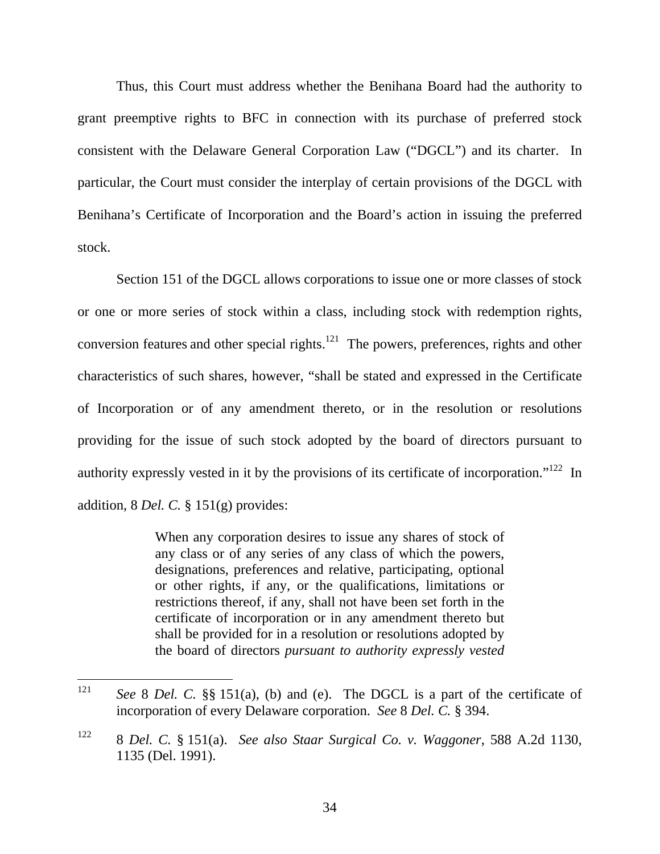Thus, this Court must address whether the Benihana Board had the authority to grant preemptive rights to BFC in connection with its purchase of preferred stock consistent with the Delaware General Corporation Law ("DGCL") and its charter. In particular, the Court must consider the interplay of certain provisions of the DGCL with Benihana's Certificate of Incorporation and the Board's action in issuing the preferred stock.

Section 151 of the DGCL allows corporations to issue one or more classes of stock or one or more series of stock within a class, including stock with redemption rights, conversion features and other special rights.<sup>121</sup> The powers, preferences, rights and other characteristics of such shares, however, "shall be stated and expressed in the Certificate of Incorporation or of any amendment thereto, or in the resolution or resolutions providing for the issue of such stock adopted by the board of directors pursuant to authority expressly vested in it by the provisions of its certificate of incorporation."122 In addition, 8 *Del. C.* § 151(g) provides:

> When any corporation desires to issue any shares of stock of any class or of any series of any class of which the powers, designations, preferences and relative, participating, optional or other rights, if any, or the qualifications, limitations or restrictions thereof, if any, shall not have been set forth in the certificate of incorporation or in any amendment thereto but shall be provided for in a resolution or resolutions adopted by the board of directors *pursuant to authority expressly vested*

<sup>121</sup> See 8 *Del.* C. §§ 151(a), (b) and (e). The DGCL is a part of the certificate of incorporation of every Delaware corporation. *See* 8 *Del. C.* § 394.

<sup>122 8</sup> *Del. C.* § 151(a). *See also Staar Surgical Co. v. Waggoner*, 588 A.2d 1130, 1135 (Del. 1991).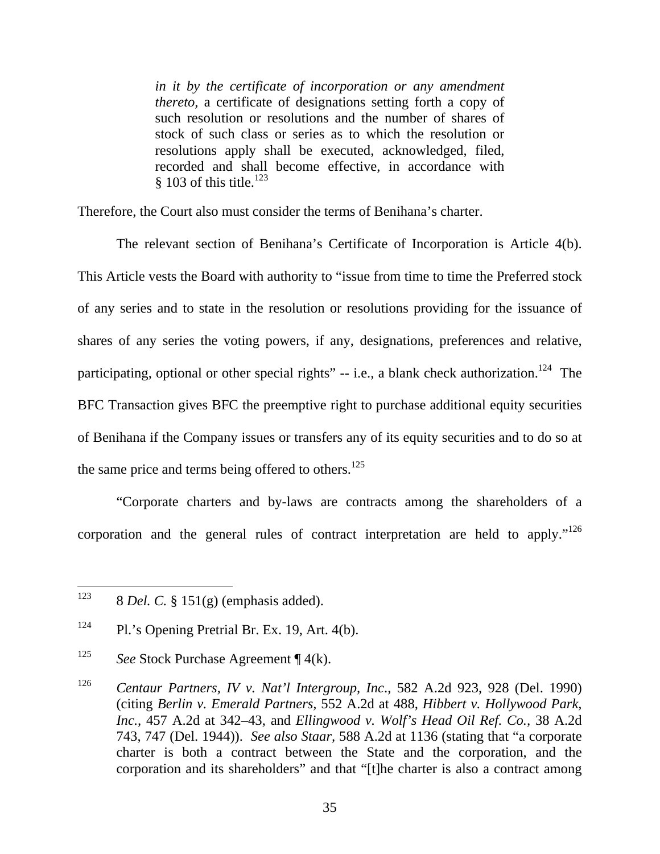*in it by the certificate of incorporation or any amendment thereto,* a certificate of designations setting forth a copy of such resolution or resolutions and the number of shares of stock of such class or series as to which the resolution or resolutions apply shall be executed, acknowledged, filed, recorded and shall become effective, in accordance with  $§ 103$  of this title.<sup>123</sup>

Therefore, the Court also must consider the terms of Benihana's charter.

The relevant section of Benihana's Certificate of Incorporation is Article 4(b). This Article vests the Board with authority to "issue from time to time the Preferred stock of any series and to state in the resolution or resolutions providing for the issuance of shares of any series the voting powers, if any, designations, preferences and relative, participating, optional or other special rights"  $-$  i.e., a blank check authorization.<sup>124</sup> The BFC Transaction gives BFC the preemptive right to purchase additional equity securities of Benihana if the Company issues or transfers any of its equity securities and to do so at the same price and terms being offered to others. $125$ 

"Corporate charters and by-laws are contracts among the shareholders of a corporation and the general rules of contract interpretation are held to apply."<sup>126</sup>

<sup>123</sup> 123 8 *Del. C.* § 151(g) (emphasis added).

<sup>&</sup>lt;sup>124</sup> Pl.'s Opening Pretrial Br. Ex. 19, Art. 4(b).

<sup>125</sup> *See* Stock Purchase Agreement ¶ 4(k).

<sup>126</sup> *Centaur Partners, IV v. Nat'l Intergroup, Inc*., 582 A.2d 923, 928 (Del. 1990) (citing *Berlin v. Emerald Partners,* 552 A.2d at 488, *Hibbert v. Hollywood Park, Inc.,* 457 A.2d at 342–43, and *Ellingwood v. Wolf's Head Oil Ref. Co.,* 38 A.2d 743, 747 (Del. 1944)). *See also Staar,* 588 A.2d at 1136 (stating that "a corporate charter is both a contract between the State and the corporation, and the corporation and its shareholders" and that "[t]he charter is also a contract among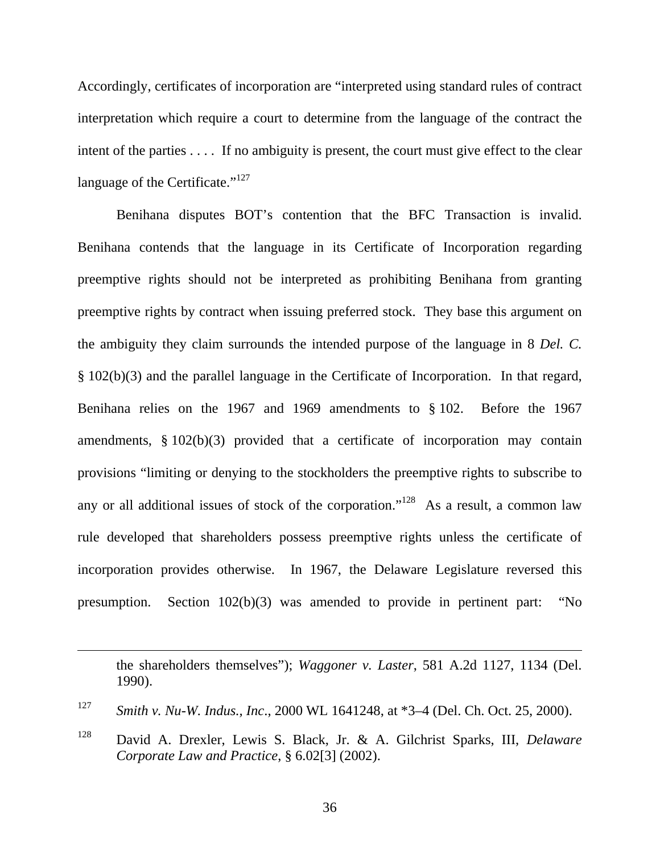Accordingly, certificates of incorporation are "interpreted using standard rules of contract interpretation which require a court to determine from the language of the contract the intent of the parties . . . . If no ambiguity is present, the court must give effect to the clear language of the Certificate."<sup>127</sup>

Benihana disputes BOT's contention that the BFC Transaction is invalid. Benihana contends that the language in its Certificate of Incorporation regarding preemptive rights should not be interpreted as prohibiting Benihana from granting preemptive rights by contract when issuing preferred stock. They base this argument on the ambiguity they claim surrounds the intended purpose of the language in 8 *Del. C.* § 102(b)(3) and the parallel language in the Certificate of Incorporation. In that regard, Benihana relies on the 1967 and 1969 amendments to § 102. Before the 1967 amendments,  $§ 102(b)(3)$  provided that a certificate of incorporation may contain provisions "limiting or denying to the stockholders the preemptive rights to subscribe to any or all additional issues of stock of the corporation."<sup>128</sup> As a result, a common law rule developed that shareholders possess preemptive rights unless the certificate of incorporation provides otherwise. In 1967, the Delaware Legislature reversed this presumption. Section 102(b)(3) was amended to provide in pertinent part: "No

the shareholders themselves"); *Waggoner v. Laster*, 581 A.2d 1127, 1134 (Del. 1990).

 $\overline{a}$ 

<sup>127</sup> *Smith v. Nu-W. Indus., Inc*., 2000 WL 1641248, at \*3–4 (Del. Ch. Oct. 25, 2000).

<sup>128</sup> David A. Drexler, Lewis S. Black, Jr. & A. Gilchrist Sparks, III, *Delaware Corporate Law and Practice*, § 6.02[3] (2002).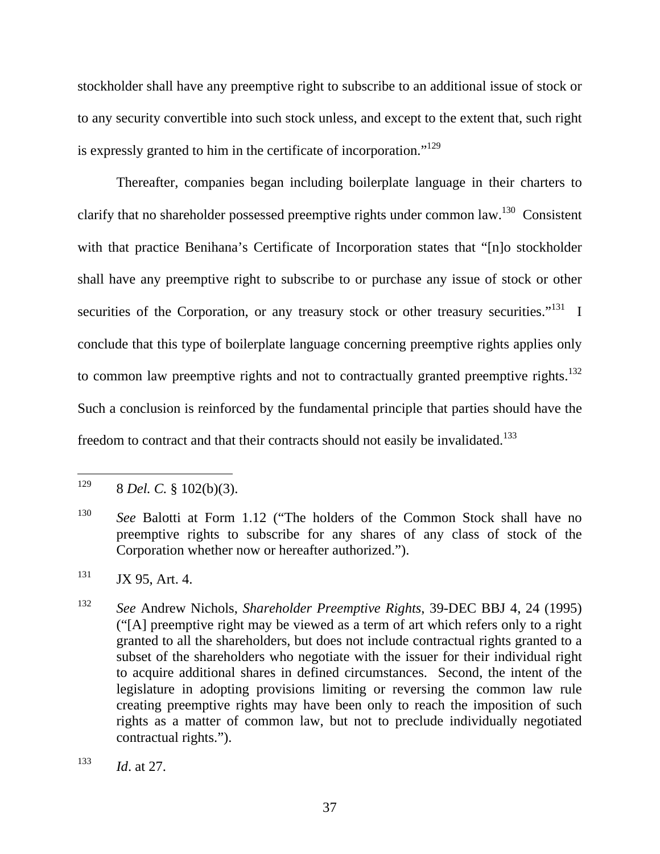stockholder shall have any preemptive right to subscribe to an additional issue of stock or to any security convertible into such stock unless, and except to the extent that, such right is expressly granted to him in the certificate of incorporation."<sup>129</sup>

Thereafter, companies began including boilerplate language in their charters to clarify that no shareholder possessed preemptive rights under common law.<sup>130</sup> Consistent with that practice Benihana's Certificate of Incorporation states that "[n]o stockholder shall have any preemptive right to subscribe to or purchase any issue of stock or other securities of the Corporation, or any treasury stock or other treasury securities."<sup>131</sup> I conclude that this type of boilerplate language concerning preemptive rights applies only to common law preemptive rights and not to contractually granted preemptive rights.<sup>132</sup> Such a conclusion is reinforced by the fundamental principle that parties should have the freedom to contract and that their contracts should not easily be invalidated.<sup>133</sup>

 $131$  JX 95, Art. 4.

<sup>129</sup> 129 8 *Del. C.* § 102(b)(3).

<sup>130</sup> *See* Balotti at Form 1.12 ("The holders of the Common Stock shall have no preemptive rights to subscribe for any shares of any class of stock of the Corporation whether now or hereafter authorized.").

<sup>132</sup> *See* Andrew Nichols, *Shareholder Preemptive Rights*, 39-DEC BBJ 4, 24 (1995) ("[A] preemptive right may be viewed as a term of art which refers only to a right granted to all the shareholders, but does not include contractual rights granted to a subset of the shareholders who negotiate with the issuer for their individual right to acquire additional shares in defined circumstances. Second, the intent of the legislature in adopting provisions limiting or reversing the common law rule creating preemptive rights may have been only to reach the imposition of such rights as a matter of common law, but not to preclude individually negotiated contractual rights.").

<sup>133</sup> *Id*. at 27.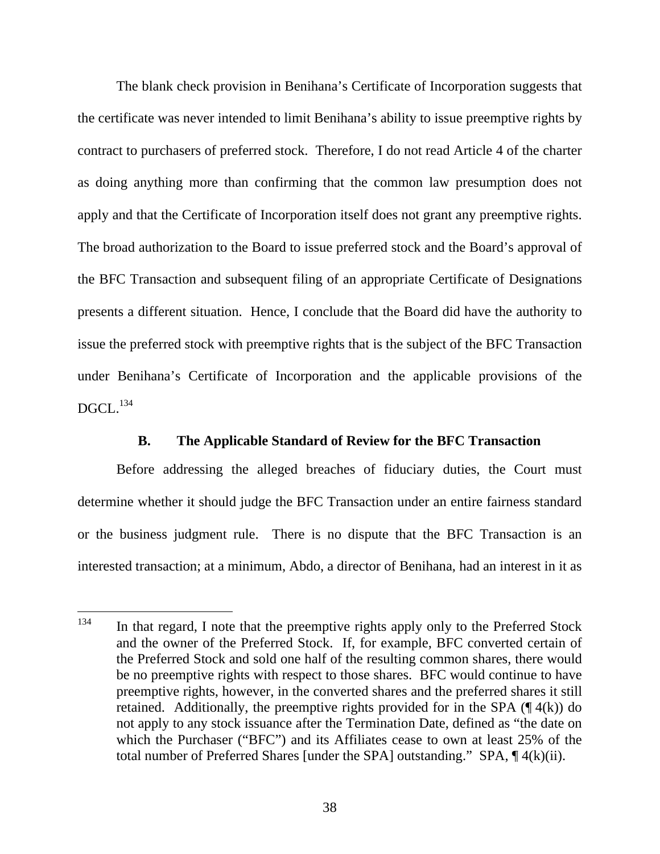The blank check provision in Benihana's Certificate of Incorporation suggests that the certificate was never intended to limit Benihana's ability to issue preemptive rights by contract to purchasers of preferred stock. Therefore, I do not read Article 4 of the charter as doing anything more than confirming that the common law presumption does not apply and that the Certificate of Incorporation itself does not grant any preemptive rights. The broad authorization to the Board to issue preferred stock and the Board's approval of the BFC Transaction and subsequent filing of an appropriate Certificate of Designations presents a different situation. Hence, I conclude that the Board did have the authority to issue the preferred stock with preemptive rights that is the subject of the BFC Transaction under Benihana's Certificate of Incorporation and the applicable provisions of the  $DGCL$ <sup>134</sup>

# **B. The Applicable Standard of Review for the BFC Transaction**

Before addressing the alleged breaches of fiduciary duties, the Court must determine whether it should judge the BFC Transaction under an entire fairness standard or the business judgment rule. There is no dispute that the BFC Transaction is an interested transaction; at a minimum, Abdo, a director of Benihana, had an interest in it as

<sup>134</sup> In that regard, I note that the preemptive rights apply only to the Preferred Stock and the owner of the Preferred Stock. If, for example, BFC converted certain of the Preferred Stock and sold one half of the resulting common shares, there would be no preemptive rights with respect to those shares. BFC would continue to have preemptive rights, however, in the converted shares and the preferred shares it still retained. Additionally, the preemptive rights provided for in the SPA  $(\P 4(k))$  do not apply to any stock issuance after the Termination Date, defined as "the date on which the Purchaser ("BFC") and its Affiliates cease to own at least 25% of the total number of Preferred Shares [under the SPA] outstanding." SPA, ¶ 4(k)(ii).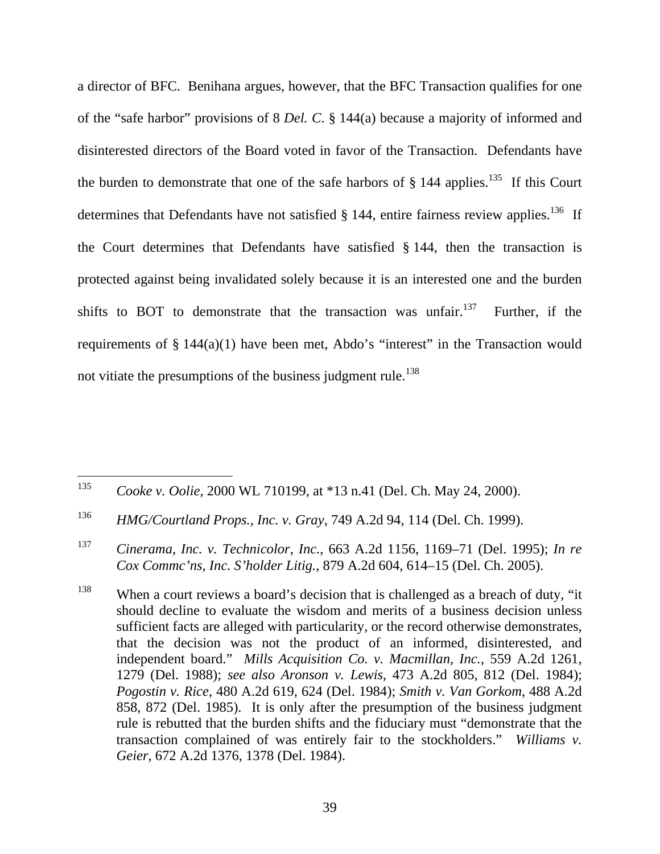a director of BFC. Benihana argues, however, that the BFC Transaction qualifies for one of the "safe harbor" provisions of 8 *Del. C*. § 144(a) because a majority of informed and disinterested directors of the Board voted in favor of the Transaction. Defendants have the burden to demonstrate that one of the safe harbors of  $\S$  144 applies.<sup>135</sup> If this Court determines that Defendants have not satisfied  $\S$  144, entire fairness review applies.<sup>136</sup> If the Court determines that Defendants have satisfied § 144, then the transaction is protected against being invalidated solely because it is an interested one and the burden shifts to BOT to demonstrate that the transaction was unfair.<sup>137</sup> Further, if the requirements of  $\S 144(a)(1)$  have been met, Abdo's "interest" in the Transaction would not vitiate the presumptions of the business judgment rule.<sup>138</sup>

<sup>135</sup> <sup>135</sup> *Cooke v. Oolie*, 2000 WL 710199, at \*13 n.41 (Del. Ch. May 24, 2000).

<sup>136</sup> *HMG/Courtland Props., Inc. v. Gray*, 749 A.2d 94, 114 (Del. Ch. 1999).

<sup>137</sup> *Cinerama, Inc. v. Technicolor, Inc.*, 663 A.2d 1156, 1169–71 (Del. 1995); *In re Cox Commc'ns, Inc. S'holder Litig.*, 879 A.2d 604, 614–15 (Del. Ch. 2005).

<sup>&</sup>lt;sup>138</sup> When a court reviews a board's decision that is challenged as a breach of duty, "it should decline to evaluate the wisdom and merits of a business decision unless sufficient facts are alleged with particularity, or the record otherwise demonstrates, that the decision was not the product of an informed, disinterested, and independent board." *Mills Acquisition Co. v. Macmillan, Inc.,* 559 A.2d 1261, 1279 (Del. 1988); *see also Aronson v. Lewis*, 473 A.2d 805, 812 (Del. 1984); *Pogostin v. Rice*, 480 A.2d 619, 624 (Del. 1984); *Smith v. Van Gorkom*, 488 A.2d 858, 872 (Del. 1985). It is only after the presumption of the business judgment rule is rebutted that the burden shifts and the fiduciary must "demonstrate that the transaction complained of was entirely fair to the stockholders." *Williams v. Geier*, 672 A.2d 1376, 1378 (Del. 1984).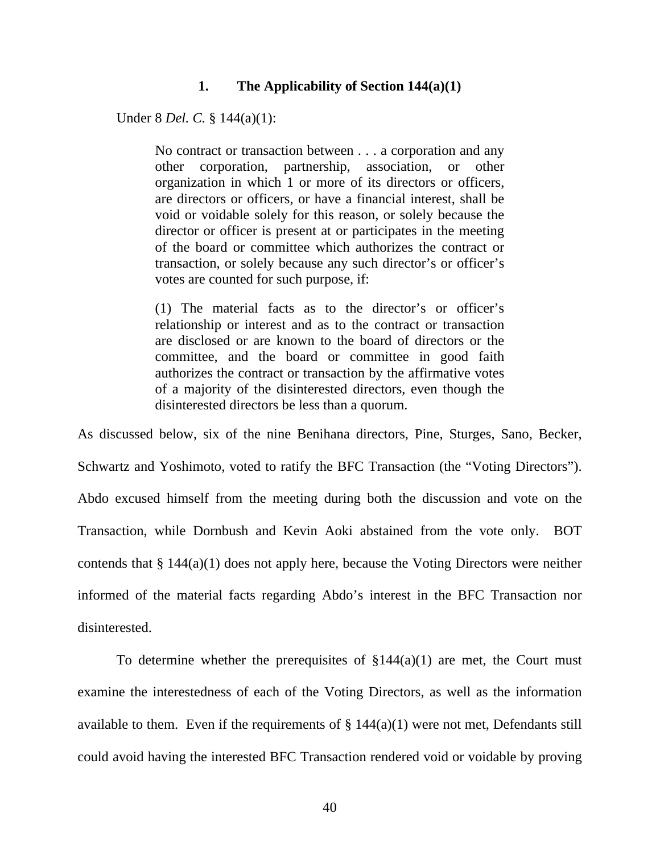### **1. The Applicability of Section 144(a)(1)**

Under 8 *Del. C.* § 144(a)(1):

No contract or transaction between . . . a corporation and any other corporation, partnership, association, or other organization in which 1 or more of its directors or officers, are directors or officers, or have a financial interest, shall be void or voidable solely for this reason, or solely because the director or officer is present at or participates in the meeting of the board or committee which authorizes the contract or transaction, or solely because any such director's or officer's votes are counted for such purpose, if:

(1) The material facts as to the director's or officer's relationship or interest and as to the contract or transaction are disclosed or are known to the board of directors or the committee, and the board or committee in good faith authorizes the contract or transaction by the affirmative votes of a majority of the disinterested directors, even though the disinterested directors be less than a quorum.

As discussed below, six of the nine Benihana directors, Pine, Sturges, Sano, Becker, Schwartz and Yoshimoto, voted to ratify the BFC Transaction (the "Voting Directors"). Abdo excused himself from the meeting during both the discussion and vote on the Transaction, while Dornbush and Kevin Aoki abstained from the vote only. BOT contends that § 144(a)(1) does not apply here, because the Voting Directors were neither informed of the material facts regarding Abdo's interest in the BFC Transaction nor disinterested.

To determine whether the prerequisites of  $\S 144(a)(1)$  are met, the Court must examine the interestedness of each of the Voting Directors, as well as the information available to them. Even if the requirements of  $\S 144(a)(1)$  were not met, Defendants still could avoid having the interested BFC Transaction rendered void or voidable by proving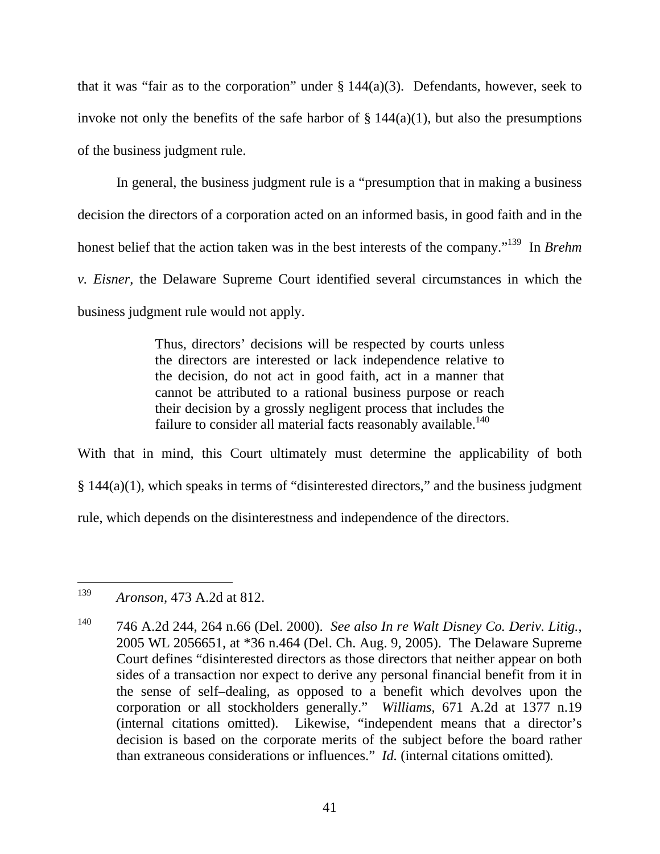that it was "fair as to the corporation" under  $\S 144(a)(3)$ . Defendants, however, seek to invoke not only the benefits of the safe harbor of  $\S 144(a)(1)$ , but also the presumptions of the business judgment rule.

In general, the business judgment rule is a "presumption that in making a business decision the directors of a corporation acted on an informed basis, in good faith and in the honest belief that the action taken was in the best interests of the company."139 In *Brehm v. Eisner*, the Delaware Supreme Court identified several circumstances in which the business judgment rule would not apply.

> Thus, directors' decisions will be respected by courts unless the directors are interested or lack independence relative to the decision, do not act in good faith, act in a manner that cannot be attributed to a rational business purpose or reach their decision by a grossly negligent process that includes the failure to consider all material facts reasonably available.<sup>140</sup>

With that in mind, this Court ultimately must determine the applicability of both § 144(a)(1), which speaks in terms of "disinterested directors," and the business judgment rule, which depends on the disinterestness and independence of the directors.

<sup>139</sup> <sup>139</sup> *Aronson,* 473 A.2d at 812.

<sup>140 746</sup> A.2d 244, 264 n.66 (Del. 2000). *See also In re Walt Disney Co. Deriv. Litig.*, 2005 WL 2056651, at \*36 n.464 (Del. Ch. Aug. 9, 2005). The Delaware Supreme Court defines "disinterested directors as those directors that neither appear on both sides of a transaction nor expect to derive any personal financial benefit from it in the sense of self–dealing, as opposed to a benefit which devolves upon the corporation or all stockholders generally." *Williams*, 671 A.2d at 1377 n.19 (internal citations omitted). Likewise, "independent means that a director's decision is based on the corporate merits of the subject before the board rather than extraneous considerations or influences." *Id.* (internal citations omitted)*.*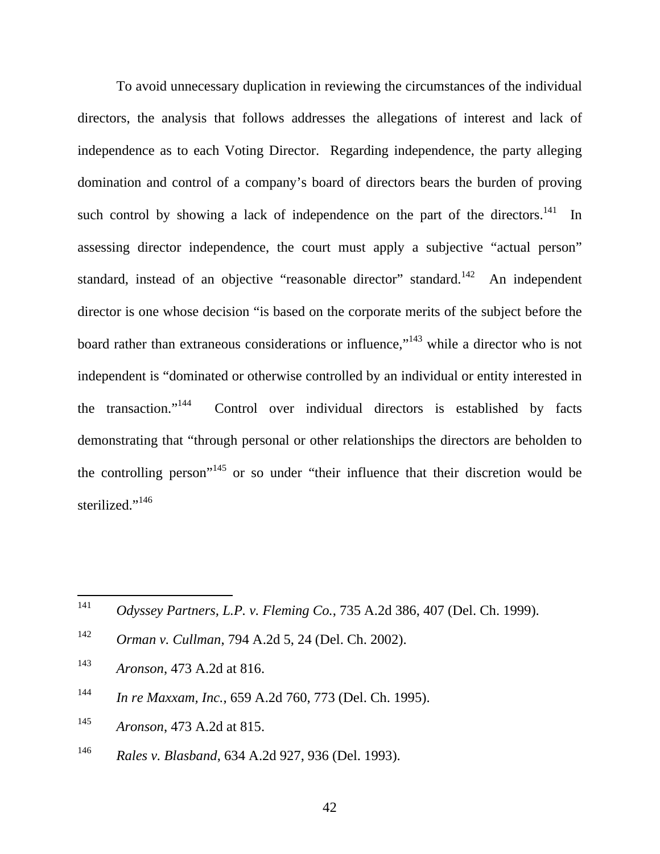To avoid unnecessary duplication in reviewing the circumstances of the individual directors, the analysis that follows addresses the allegations of interest and lack of independence as to each Voting Director. Regarding independence, the party alleging domination and control of a company's board of directors bears the burden of proving such control by showing a lack of independence on the part of the directors. $141$  In assessing director independence, the court must apply a subjective "actual person" standard, instead of an objective "reasonable director" standard.<sup>142</sup> An independent director is one whose decision "is based on the corporate merits of the subject before the board rather than extraneous considerations or influence,"<sup>143</sup> while a director who is not independent is "dominated or otherwise controlled by an individual or entity interested in the transaction."144 Control over individual directors is established by facts demonstrating that "through personal or other relationships the directors are beholden to the controlling person"145 or so under "their influence that their discretion would be sterilized."<sup>146</sup>

- <sup>142</sup> *Orman v. Cullman*, 794 A.2d 5, 24 (Del. Ch. 2002).
- <sup>143</sup> *Aronson*, 473 A.2d at 816.
- <sup>144</sup> *In re Maxxam, Inc.*, 659 A.2d 760, 773 (Del. Ch. 1995).
- <sup>145</sup> *Aronson*, 473 A.2d at 815.
- <sup>146</sup> *Rales v. Blasband*, 634 A.2d 927, 936 (Del. 1993).

42

<sup>141</sup> <sup>141</sup> *Odyssey Partners, L.P. v. Fleming Co.*, 735 A.2d 386, 407 (Del. Ch. 1999).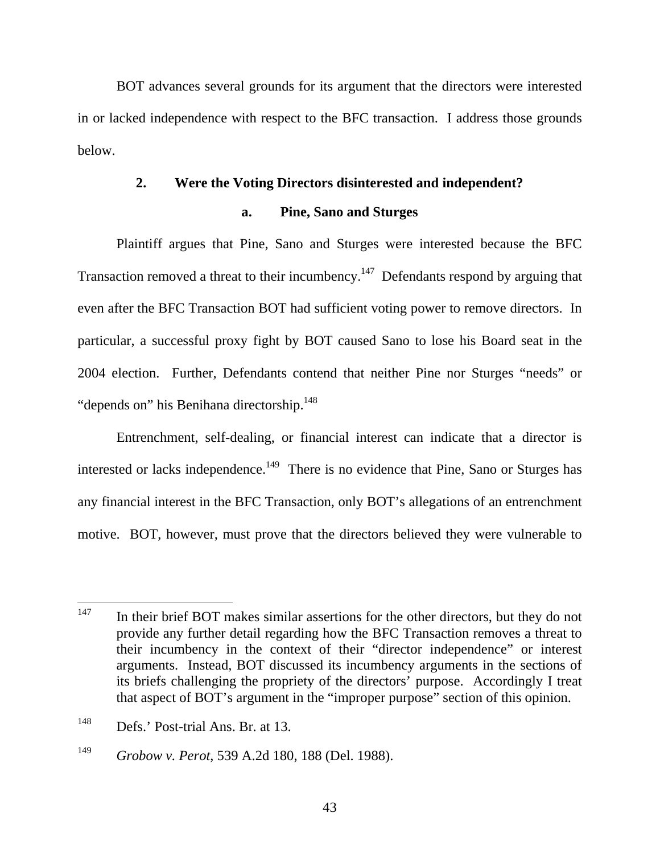BOT advances several grounds for its argument that the directors were interested in or lacked independence with respect to the BFC transaction. I address those grounds below.

### **2. Were the Voting Directors disinterested and independent?**

## **a. Pine, Sano and Sturges**

Plaintiff argues that Pine, Sano and Sturges were interested because the BFC Transaction removed a threat to their incumbency.<sup>147</sup> Defendants respond by arguing that even after the BFC Transaction BOT had sufficient voting power to remove directors. In particular, a successful proxy fight by BOT caused Sano to lose his Board seat in the 2004 election. Further, Defendants contend that neither Pine nor Sturges "needs" or "depends on" his Benihana directorship.<sup>148</sup>

Entrenchment, self-dealing, or financial interest can indicate that a director is interested or lacks independence.<sup>149</sup> There is no evidence that Pine, Sano or Sturges has any financial interest in the BFC Transaction, only BOT's allegations of an entrenchment motive. BOT, however, must prove that the directors believed they were vulnerable to

<sup>147</sup> In their brief BOT makes similar assertions for the other directors, but they do not provide any further detail regarding how the BFC Transaction removes a threat to their incumbency in the context of their "director independence" or interest arguments. Instead, BOT discussed its incumbency arguments in the sections of its briefs challenging the propriety of the directors' purpose. Accordingly I treat that aspect of BOT's argument in the "improper purpose" section of this opinion.

<sup>148</sup> Defs.' Post-trial Ans. Br. at 13.

<sup>149</sup> *Grobow v. Perot*, 539 A.2d 180, 188 (Del. 1988).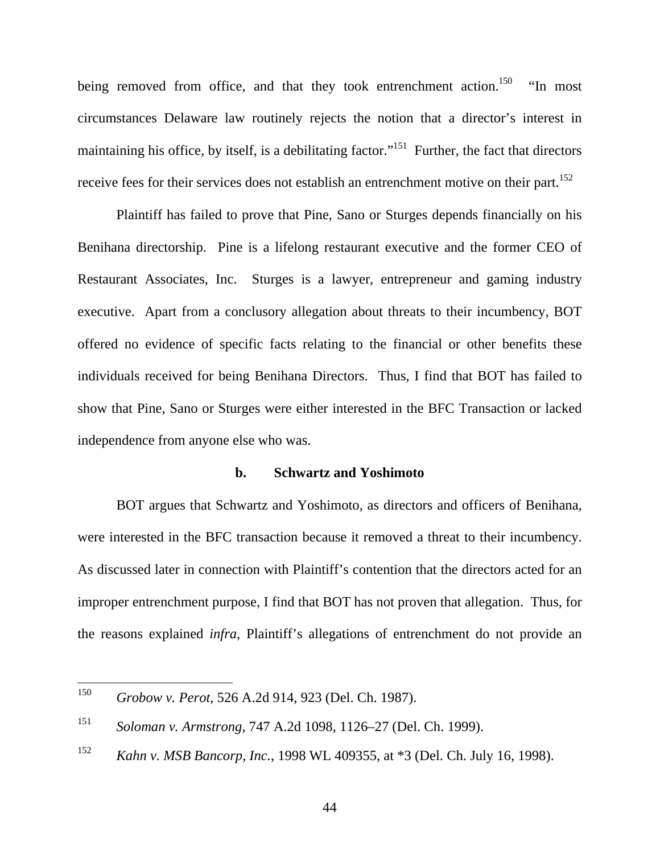being removed from office, and that they took entrenchment action.<sup>150</sup> "In most" circumstances Delaware law routinely rejects the notion that a director's interest in maintaining his office, by itself, is a debilitating factor."<sup>151</sup> Further, the fact that directors receive fees for their services does not establish an entrenchment motive on their part.<sup>152</sup>

Plaintiff has failed to prove that Pine, Sano or Sturges depends financially on his Benihana directorship. Pine is a lifelong restaurant executive and the former CEO of Restaurant Associates, Inc. Sturges is a lawyer, entrepreneur and gaming industry executive. Apart from a conclusory allegation about threats to their incumbency, BOT offered no evidence of specific facts relating to the financial or other benefits these individuals received for being Benihana Directors. Thus, I find that BOT has failed to show that Pine, Sano or Sturges were either interested in the BFC Transaction or lacked independence from anyone else who was.

### **b. Schwartz and Yoshimoto**

BOT argues that Schwartz and Yoshimoto, as directors and officers of Benihana, were interested in the BFC transaction because it removed a threat to their incumbency. As discussed later in connection with Plaintiff's contention that the directors acted for an improper entrenchment purpose, I find that BOT has not proven that allegation. Thus, for the reasons explained *infra*, Plaintiff's allegations of entrenchment do not provide an

<sup>150</sup> <sup>150</sup> *Grobow v. Perot*, 526 A.2d 914, 923 (Del. Ch. 1987).

<sup>151</sup> *Soloman v. Armstrong*, 747 A.2d 1098, 1126–27 (Del. Ch. 1999).

<sup>152</sup> *Kahn v. MSB Bancorp, Inc.*, 1998 WL 409355, at \*3 (Del. Ch. July 16, 1998).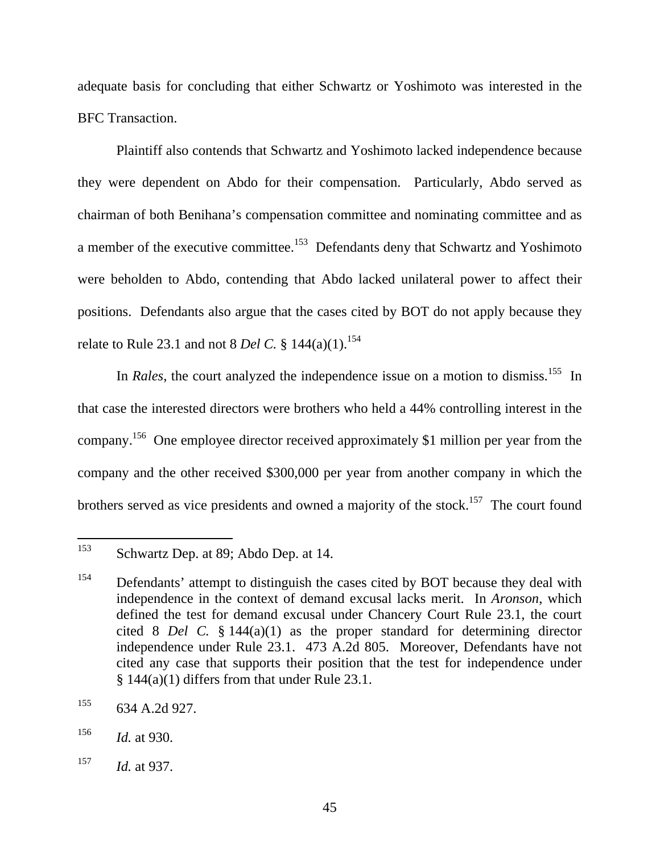adequate basis for concluding that either Schwartz or Yoshimoto was interested in the BFC Transaction.

Plaintiff also contends that Schwartz and Yoshimoto lacked independence because they were dependent on Abdo for their compensation. Particularly, Abdo served as chairman of both Benihana's compensation committee and nominating committee and as a member of the executive committee.<sup>153</sup> Defendants deny that Schwartz and Yoshimoto were beholden to Abdo, contending that Abdo lacked unilateral power to affect their positions. Defendants also argue that the cases cited by BOT do not apply because they relate to Rule 23.1 and not 8 *Del C*. §  $144(a)(1)$ .<sup>154</sup>

In *Rales*, the court analyzed the independence issue on a motion to dismiss.<sup>155</sup> In that case the interested directors were brothers who held a 44% controlling interest in the company.156 One employee director received approximately \$1 million per year from the company and the other received \$300,000 per year from another company in which the brothers served as vice presidents and owned a majority of the stock.<sup>157</sup> The court found

<sup>153</sup> Schwartz Dep. at 89; Abdo Dep. at 14.

<sup>&</sup>lt;sup>154</sup> Defendants' attempt to distinguish the cases cited by BOT because they deal with independence in the context of demand excusal lacks merit. In *Aronson*, which defined the test for demand excusal under Chancery Court Rule 23.1, the court cited 8 *Del C.* § 144(a)(1) as the proper standard for determining director independence under Rule 23.1. 473 A.2d 805. Moreover, Defendants have not cited any case that supports their position that the test for independence under  $§ 144(a)(1)$  differs from that under Rule 23.1.

 $155$  634 A.2d 927.

<sup>156</sup> *Id.* at 930.

<sup>157</sup> *Id.* at 937.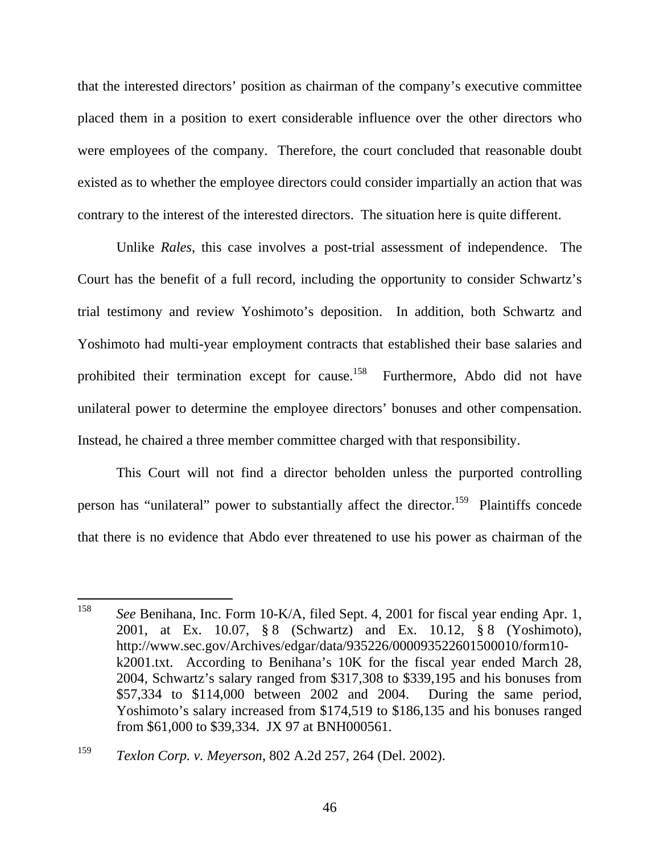that the interested directors' position as chairman of the company's executive committee placed them in a position to exert considerable influence over the other directors who were employees of the company. Therefore, the court concluded that reasonable doubt existed as to whether the employee directors could consider impartially an action that was contrary to the interest of the interested directors. The situation here is quite different.

Unlike *Rales*, this case involves a post-trial assessment of independence. The Court has the benefit of a full record, including the opportunity to consider Schwartz's trial testimony and review Yoshimoto's deposition. In addition, both Schwartz and Yoshimoto had multi-year employment contracts that established their base salaries and prohibited their termination except for cause.<sup>158</sup> Furthermore, Abdo did not have unilateral power to determine the employee directors' bonuses and other compensation. Instead, he chaired a three member committee charged with that responsibility.

This Court will not find a director beholden unless the purported controlling person has "unilateral" power to substantially affect the director.<sup>159</sup> Plaintiffs concede that there is no evidence that Abdo ever threatened to use his power as chairman of the

 $\overline{a}$ 

<sup>158</sup> *See* Benihana, Inc. Form 10-K/A, filed Sept. 4, 2001 for fiscal year ending Apr. 1, 2001, at Ex. 10.07, § 8 (Schwartz) and Ex. 10.12, § 8 (Yoshimoto), http://www.sec.gov/Archives/edgar/data/935226/000093522601500010/form10 k2001.txt. According to Benihana's 10K for the fiscal year ended March 28, 2004, Schwartz's salary ranged from \$317,308 to \$339,195 and his bonuses from \$57,334 to \$114,000 between 2002 and 2004. During the same period, Yoshimoto's salary increased from \$174,519 to \$186,135 and his bonuses ranged from \$61,000 to \$39,334. JX 97 at BNH000561.

<sup>159</sup> *Texlon Corp. v. Meyerson*, 802 A.2d 257, 264 (Del. 2002).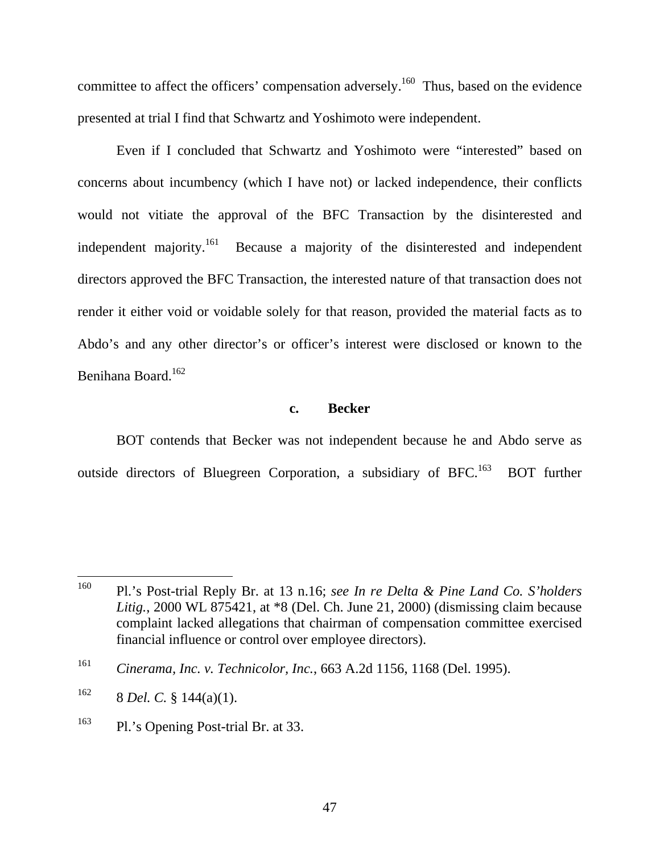committee to affect the officers' compensation adversely.<sup>160</sup> Thus, based on the evidence presented at trial I find that Schwartz and Yoshimoto were independent.

Even if I concluded that Schwartz and Yoshimoto were "interested" based on concerns about incumbency (which I have not) or lacked independence, their conflicts would not vitiate the approval of the BFC Transaction by the disinterested and independent majority.<sup>161</sup> Because a majority of the disinterested and independent directors approved the BFC Transaction, the interested nature of that transaction does not render it either void or voidable solely for that reason, provided the material facts as to Abdo's and any other director's or officer's interest were disclosed or known to the Benihana Board.162

## **c. Becker**

BOT contends that Becker was not independent because he and Abdo serve as outside directors of Bluegreen Corporation, a subsidiary of BFC.<sup>163</sup> BOT further

<sup>163</sup> Pl.'s Opening Post-trial Br. at 33.

<sup>160</sup> 160 Pl.'s Post-trial Reply Br. at 13 n.16; *see In re Delta & Pine Land Co. S'holders Litig.*, 2000 WL 875421, at \*8 (Del. Ch. June 21, 2000) (dismissing claim because complaint lacked allegations that chairman of compensation committee exercised financial influence or control over employee directors).

<sup>161</sup> *Cinerama, Inc. v. Technicolor, Inc.*, 663 A.2d 1156, 1168 (Del. 1995).

 $162$  8 *Del. C.* § 144(a)(1).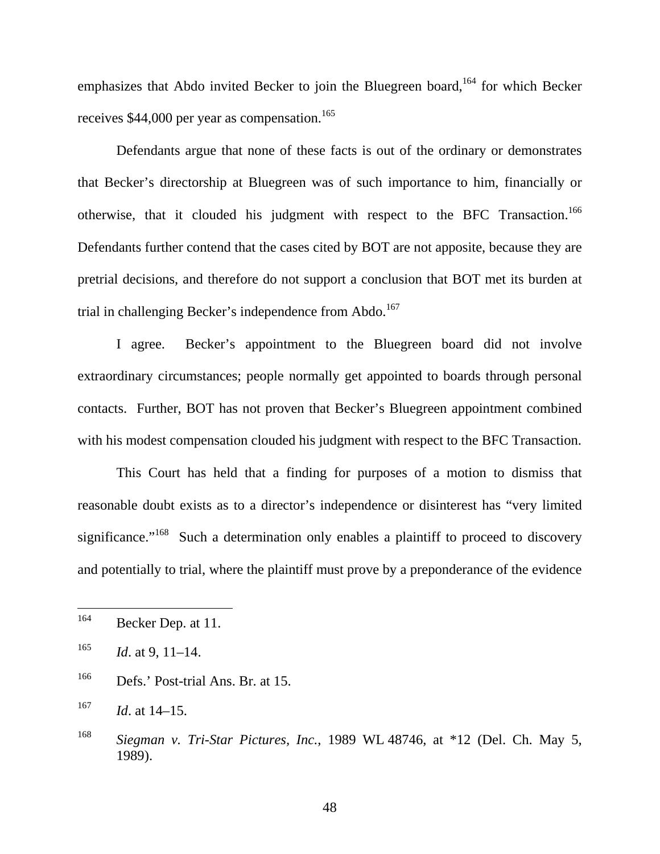emphasizes that Abdo invited Becker to join the Bluegreen board,  $164$  for which Becker receives \$44,000 per year as compensation.<sup>165</sup>

Defendants argue that none of these facts is out of the ordinary or demonstrates that Becker's directorship at Bluegreen was of such importance to him, financially or otherwise, that it clouded his judgment with respect to the BFC Transaction.<sup>166</sup> Defendants further contend that the cases cited by BOT are not apposite, because they are pretrial decisions, and therefore do not support a conclusion that BOT met its burden at trial in challenging Becker's independence from Abdo.<sup>167</sup>

I agree. Becker's appointment to the Bluegreen board did not involve extraordinary circumstances; people normally get appointed to boards through personal contacts. Further, BOT has not proven that Becker's Bluegreen appointment combined with his modest compensation clouded his judgment with respect to the BFC Transaction.

This Court has held that a finding for purposes of a motion to dismiss that reasonable doubt exists as to a director's independence or disinterest has "very limited significance."<sup>168</sup> Such a determination only enables a plaintiff to proceed to discovery and potentially to trial, where the plaintiff must prove by a preponderance of the evidence

<sup>164</sup> Becker Dep. at 11.

<sup>165</sup> *Id*. at 9, 11–14.

<sup>166</sup> Defs.' Post-trial Ans. Br. at 15.

<sup>167</sup> *Id*. at 14–15.

<sup>168</sup> *Siegman v. Tri-Star Pictures, Inc.*, 1989 WL 48746, at \*12 (Del. Ch. May 5, 1989).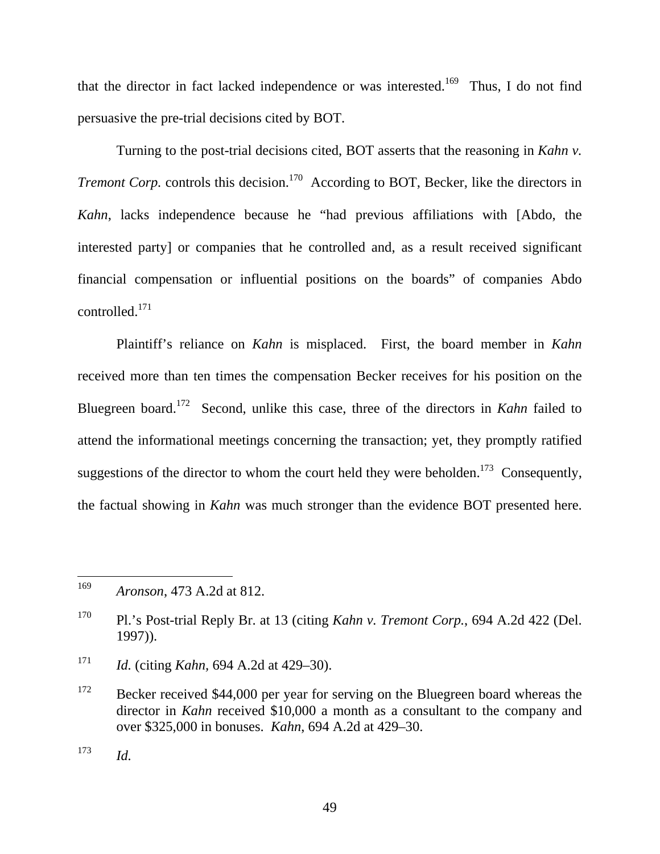that the director in fact lacked independence or was interested.<sup>169</sup> Thus, I do not find persuasive the pre-trial decisions cited by BOT.

Turning to the post-trial decisions cited, BOT asserts that the reasoning in *Kahn v. Tremont Corp.* controls this decision.<sup>170</sup> According to BOT, Becker, like the directors in *Kahn*, lacks independence because he "had previous affiliations with [Abdo, the interested party] or companies that he controlled and, as a result received significant financial compensation or influential positions on the boards" of companies Abdo controlled.171

Plaintiff's reliance on *Kahn* is misplaced. First, the board member in *Kahn* received more than ten times the compensation Becker receives for his position on the Bluegreen board.172 Second, unlike this case, three of the directors in *Kahn* failed to attend the informational meetings concerning the transaction; yet, they promptly ratified suggestions of the director to whom the court held they were beholden.<sup>173</sup> Consequently, the factual showing in *Kahn* was much stronger than the evidence BOT presented here.

<sup>169</sup> <sup>169</sup> *Aronson*, 473 A.2d at 812.

<sup>170</sup> Pl.'s Post-trial Reply Br. at 13 (citing *Kahn v. Tremont Corp.*, 694 A.2d 422 (Del. 1997)).

<sup>171</sup> *Id.* (citing *Kahn,* 694 A.2d at 429–30).

<sup>&</sup>lt;sup>172</sup> Becker received \$44,000 per year for serving on the Bluegreen board whereas the director in *Kahn* received \$10,000 a month as a consultant to the company and over \$325,000 in bonuses. *Kahn*, 694 A.2d at 429–30.

 $173$  *Id.*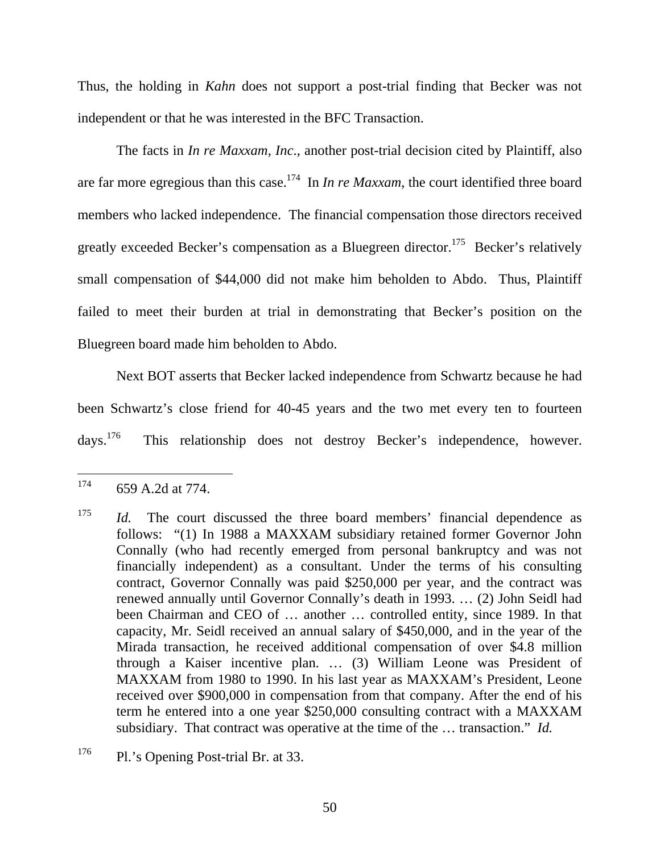Thus, the holding in *Kahn* does not support a post-trial finding that Becker was not independent or that he was interested in the BFC Transaction.

The facts in *In re Maxxam, Inc*., another post-trial decision cited by Plaintiff, also are far more egregious than this case.<sup>174</sup> In *In re Maxxam*, the court identified three board members who lacked independence. The financial compensation those directors received greatly exceeded Becker's compensation as a Bluegreen director.<sup>175</sup> Becker's relatively small compensation of \$44,000 did not make him beholden to Abdo. Thus, Plaintiff failed to meet their burden at trial in demonstrating that Becker's position on the Bluegreen board made him beholden to Abdo.

Next BOT asserts that Becker lacked independence from Schwartz because he had been Schwartz's close friend for 40-45 years and the two met every ten to fourteen days.176 This relationship does not destroy Becker's independence, however.

<sup>174</sup> 174 659 A.2d at 774.

<sup>&</sup>lt;sup>175</sup> *Id.* The court discussed the three board members' financial dependence as follows: "(1) In 1988 a MAXXAM subsidiary retained former Governor John Connally (who had recently emerged from personal bankruptcy and was not financially independent) as a consultant. Under the terms of his consulting contract, Governor Connally was paid \$250,000 per year, and the contract was renewed annually until Governor Connally's death in 1993. … (2) John Seidl had been Chairman and CEO of … another … controlled entity, since 1989. In that capacity, Mr. Seidl received an annual salary of \$450,000, and in the year of the Mirada transaction, he received additional compensation of over \$4.8 million through a Kaiser incentive plan. … (3) William Leone was President of MAXXAM from 1980 to 1990. In his last year as MAXXAM's President, Leone received over \$900,000 in compensation from that company. After the end of his term he entered into a one year \$250,000 consulting contract with a MAXXAM subsidiary. That contract was operative at the time of the … transaction." *Id.*

<sup>&</sup>lt;sup>176</sup> Pl.'s Opening Post-trial Br. at 33.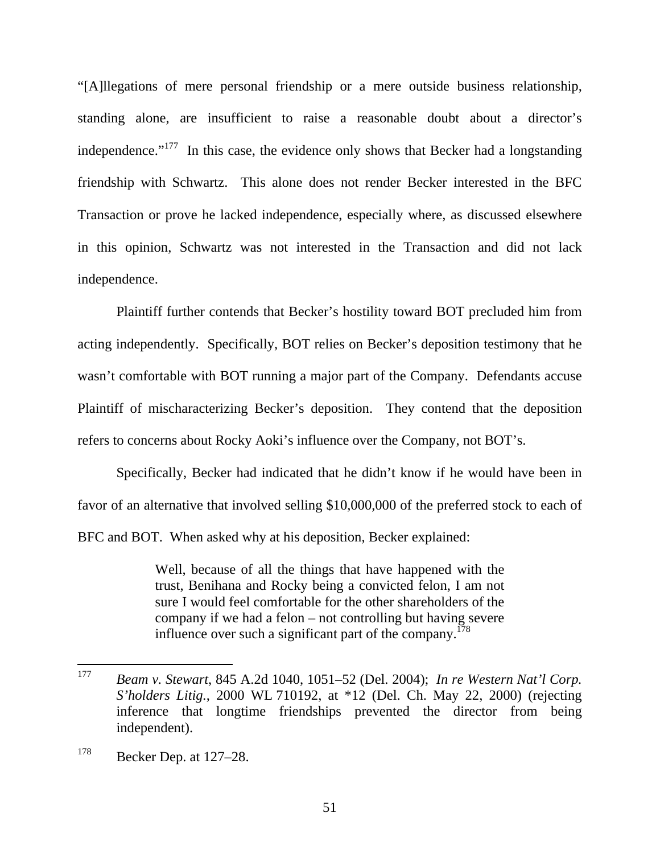"[A]llegations of mere personal friendship or a mere outside business relationship, standing alone, are insufficient to raise a reasonable doubt about a director's independence."<sup>177</sup> In this case, the evidence only shows that Becker had a longstanding friendship with Schwartz. This alone does not render Becker interested in the BFC Transaction or prove he lacked independence, especially where, as discussed elsewhere in this opinion, Schwartz was not interested in the Transaction and did not lack independence.

Plaintiff further contends that Becker's hostility toward BOT precluded him from acting independently. Specifically, BOT relies on Becker's deposition testimony that he wasn't comfortable with BOT running a major part of the Company. Defendants accuse Plaintiff of mischaracterizing Becker's deposition. They contend that the deposition refers to concerns about Rocky Aoki's influence over the Company, not BOT's.

Specifically, Becker had indicated that he didn't know if he would have been in favor of an alternative that involved selling \$10,000,000 of the preferred stock to each of BFC and BOT. When asked why at his deposition, Becker explained:

> Well, because of all the things that have happened with the trust, Benihana and Rocky being a convicted felon, I am not sure I would feel comfortable for the other shareholders of the company if we had a felon – not controlling but having severe influence over such a significant part of the company.<sup>178</sup>

<sup>177</sup> <sup>177</sup> *Beam v. Stewart*, 845 A.2d 1040, 1051–52 (Del. 2004); *In re Western Nat'l Corp. S'holders Litig.*, 2000 WL 710192, at \*12 (Del. Ch. May 22, 2000) (rejecting inference that longtime friendships prevented the director from being independent).

 $178$  Becker Dep. at 127–28.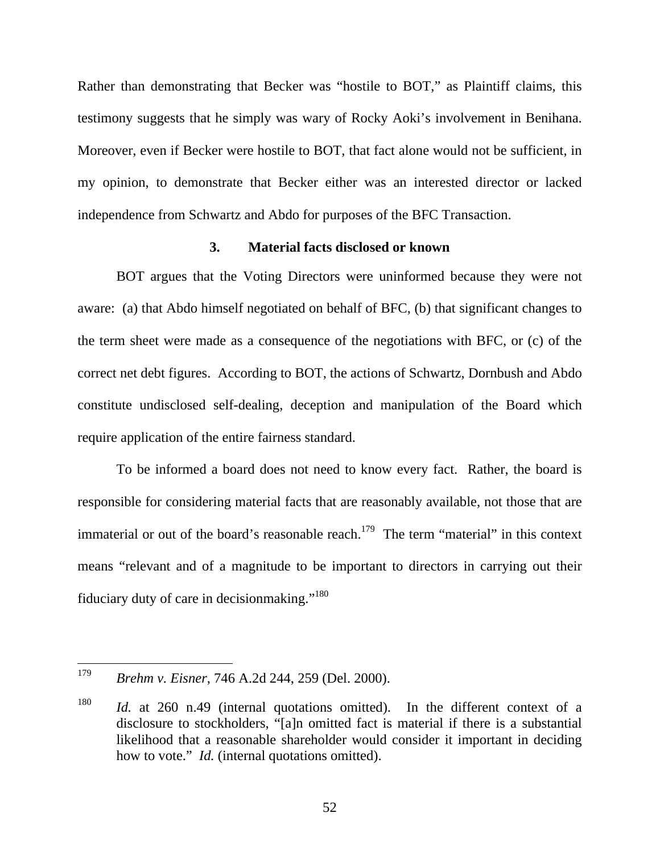Rather than demonstrating that Becker was "hostile to BOT," as Plaintiff claims, this testimony suggests that he simply was wary of Rocky Aoki's involvement in Benihana. Moreover, even if Becker were hostile to BOT, that fact alone would not be sufficient, in my opinion, to demonstrate that Becker either was an interested director or lacked independence from Schwartz and Abdo for purposes of the BFC Transaction.

## **3. Material facts disclosed or known**

BOT argues that the Voting Directors were uninformed because they were not aware: (a) that Abdo himself negotiated on behalf of BFC, (b) that significant changes to the term sheet were made as a consequence of the negotiations with BFC, or (c) of the correct net debt figures. According to BOT, the actions of Schwartz, Dornbush and Abdo constitute undisclosed self-dealing, deception and manipulation of the Board which require application of the entire fairness standard.

To be informed a board does not need to know every fact. Rather, the board is responsible for considering material facts that are reasonably available, not those that are immaterial or out of the board's reasonable reach.<sup>179</sup> The term "material" in this context means "relevant and of a magnitude to be important to directors in carrying out their fiduciary duty of care in decision making."<sup>180</sup>

<sup>179</sup> <sup>179</sup> *Brehm v. Eisner*, 746 A.2d 244, 259 (Del. 2000).

<sup>180</sup> *Id.* at 260 n.49 (internal quotations omitted). In the different context of a disclosure to stockholders, "[a]n omitted fact is material if there is a substantial likelihood that a reasonable shareholder would consider it important in deciding how to vote." *Id.* (internal quotations omitted).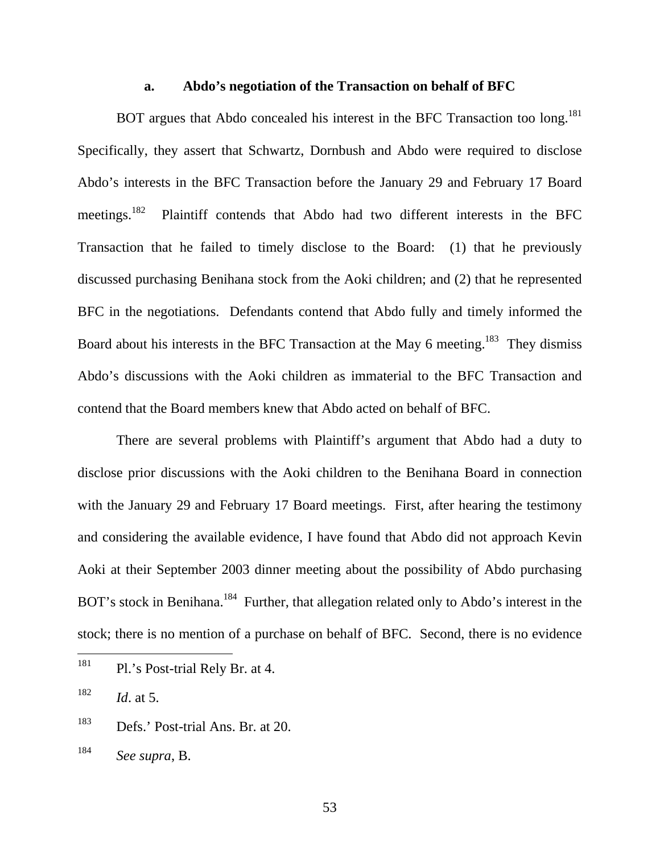#### **a. Abdo's negotiation of the Transaction on behalf of BFC**

BOT argues that Abdo concealed his interest in the BFC Transaction too long.<sup>181</sup> Specifically, they assert that Schwartz, Dornbush and Abdo were required to disclose Abdo's interests in the BFC Transaction before the January 29 and February 17 Board meetings.182 Plaintiff contends that Abdo had two different interests in the BFC Transaction that he failed to timely disclose to the Board: (1) that he previously discussed purchasing Benihana stock from the Aoki children; and (2) that he represented BFC in the negotiations. Defendants contend that Abdo fully and timely informed the Board about his interests in the BFC Transaction at the May 6 meeting.<sup>183</sup> They dismiss Abdo's discussions with the Aoki children as immaterial to the BFC Transaction and contend that the Board members knew that Abdo acted on behalf of BFC.

There are several problems with Plaintiff's argument that Abdo had a duty to disclose prior discussions with the Aoki children to the Benihana Board in connection with the January 29 and February 17 Board meetings. First, after hearing the testimony and considering the available evidence, I have found that Abdo did not approach Kevin Aoki at their September 2003 dinner meeting about the possibility of Abdo purchasing BOT's stock in Benihana.<sup>184</sup> Further, that allegation related only to Abdo's interest in the stock; there is no mention of a purchase on behalf of BFC. Second, there is no evidence

 $182$  *Id.* at 5.

<sup>181</sup> Pl.'s Post-trial Rely Br. at 4.

<sup>183</sup> Defs.' Post-trial Ans. Br. at 20.

<sup>184</sup> *See supra*, B.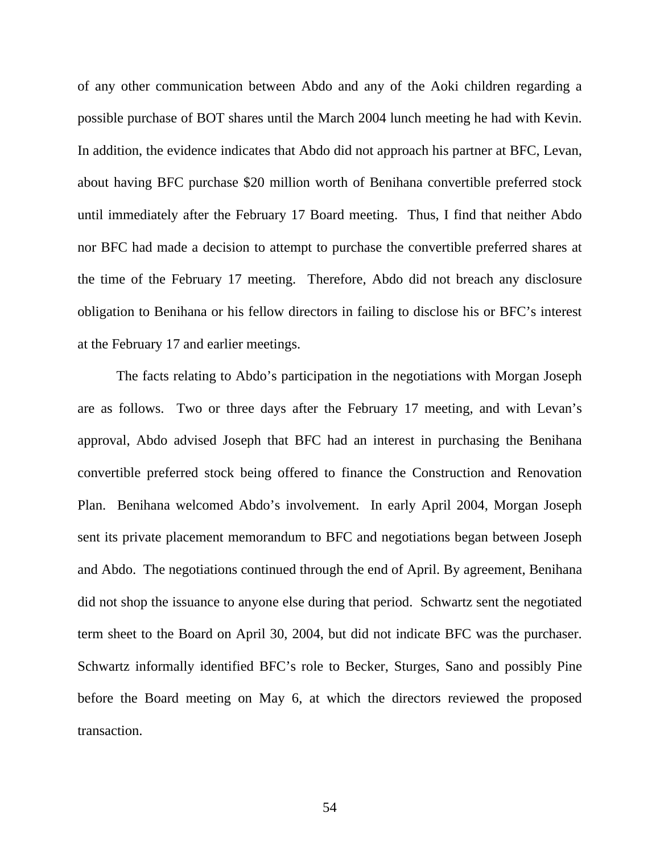of any other communication between Abdo and any of the Aoki children regarding a possible purchase of BOT shares until the March 2004 lunch meeting he had with Kevin. In addition, the evidence indicates that Abdo did not approach his partner at BFC, Levan, about having BFC purchase \$20 million worth of Benihana convertible preferred stock until immediately after the February 17 Board meeting. Thus, I find that neither Abdo nor BFC had made a decision to attempt to purchase the convertible preferred shares at the time of the February 17 meeting. Therefore, Abdo did not breach any disclosure obligation to Benihana or his fellow directors in failing to disclose his or BFC's interest at the February 17 and earlier meetings.

The facts relating to Abdo's participation in the negotiations with Morgan Joseph are as follows. Two or three days after the February 17 meeting, and with Levan's approval, Abdo advised Joseph that BFC had an interest in purchasing the Benihana convertible preferred stock being offered to finance the Construction and Renovation Plan. Benihana welcomed Abdo's involvement. In early April 2004, Morgan Joseph sent its private placement memorandum to BFC and negotiations began between Joseph and Abdo. The negotiations continued through the end of April. By agreement, Benihana did not shop the issuance to anyone else during that period. Schwartz sent the negotiated term sheet to the Board on April 30, 2004, but did not indicate BFC was the purchaser. Schwartz informally identified BFC's role to Becker, Sturges, Sano and possibly Pine before the Board meeting on May 6, at which the directors reviewed the proposed transaction.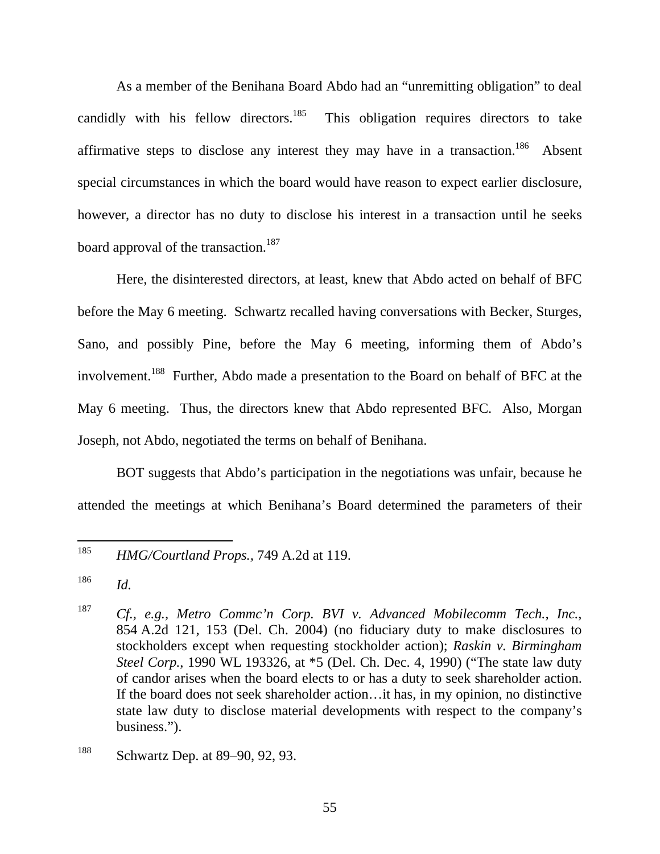As a member of the Benihana Board Abdo had an "unremitting obligation" to deal candidly with his fellow directors.<sup>185</sup> This obligation requires directors to take affirmative steps to disclose any interest they may have in a transaction.<sup>186</sup> Absent special circumstances in which the board would have reason to expect earlier disclosure, however, a director has no duty to disclose his interest in a transaction until he seeks board approval of the transaction.<sup>187</sup>

Here, the disinterested directors, at least, knew that Abdo acted on behalf of BFC before the May 6 meeting. Schwartz recalled having conversations with Becker, Sturges, Sano, and possibly Pine, before the May 6 meeting, informing them of Abdo's involvement.<sup>188</sup> Further, Abdo made a presentation to the Board on behalf of BFC at the May 6 meeting. Thus, the directors knew that Abdo represented BFC. Also, Morgan Joseph, not Abdo, negotiated the terms on behalf of Benihana.

BOT suggests that Abdo's participation in the negotiations was unfair, because he attended the meetings at which Benihana's Board determined the parameters of their

<sup>185</sup> <sup>185</sup> *HMG/Courtland Props.,* 749 A.2d at 119.

<sup>186</sup> *Id.* 

<sup>187</sup> *Cf., e.g., Metro Commc'n Corp. BVI v. Advanced Mobilecomm Tech., Inc.*, 854 A.2d 121, 153 (Del. Ch. 2004) (no fiduciary duty to make disclosures to stockholders except when requesting stockholder action); *Raskin v. Birmingham Steel Corp.*, 1990 WL 193326, at \*5 (Del. Ch. Dec. 4, 1990) ("The state law duty of candor arises when the board elects to or has a duty to seek shareholder action. If the board does not seek shareholder action…it has, in my opinion, no distinctive state law duty to disclose material developments with respect to the company's business.").

<sup>&</sup>lt;sup>188</sup> Schwartz Dep. at 89–90, 92, 93.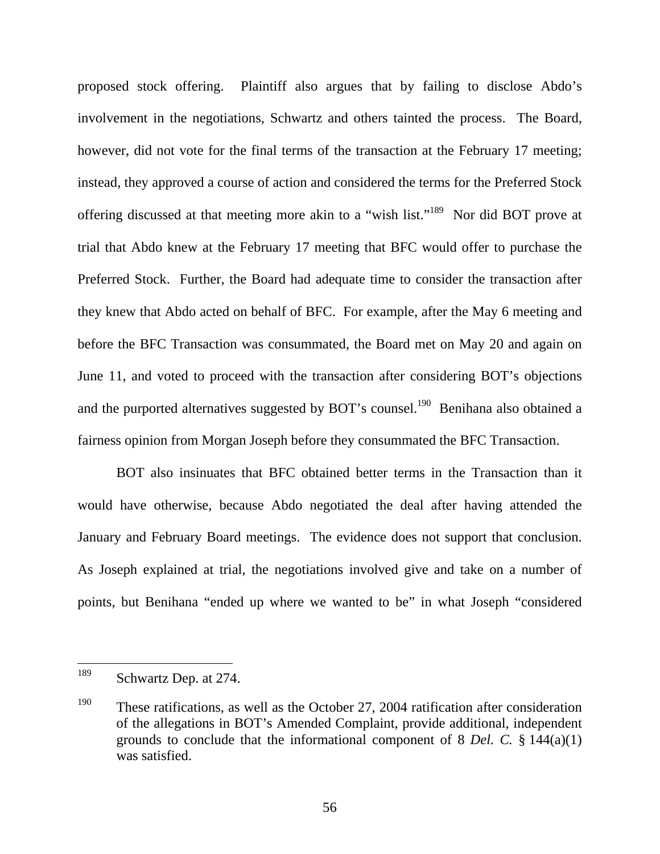proposed stock offering. Plaintiff also argues that by failing to disclose Abdo's involvement in the negotiations, Schwartz and others tainted the process. The Board, however, did not vote for the final terms of the transaction at the February 17 meeting; instead, they approved a course of action and considered the terms for the Preferred Stock offering discussed at that meeting more akin to a "wish list."189 Nor did BOT prove at trial that Abdo knew at the February 17 meeting that BFC would offer to purchase the Preferred Stock. Further, the Board had adequate time to consider the transaction after they knew that Abdo acted on behalf of BFC. For example, after the May 6 meeting and before the BFC Transaction was consummated, the Board met on May 20 and again on June 11, and voted to proceed with the transaction after considering BOT's objections and the purported alternatives suggested by BOT's counsel.<sup>190</sup> Benihana also obtained a fairness opinion from Morgan Joseph before they consummated the BFC Transaction.

BOT also insinuates that BFC obtained better terms in the Transaction than it would have otherwise, because Abdo negotiated the deal after having attended the January and February Board meetings. The evidence does not support that conclusion. As Joseph explained at trial, the negotiations involved give and take on a number of points, but Benihana "ended up where we wanted to be" in what Joseph "considered

<sup>189</sup> Schwartz Dep. at 274.

<sup>&</sup>lt;sup>190</sup> These ratifications, as well as the October 27, 2004 ratification after consideration of the allegations in BOT's Amended Complaint, provide additional, independent grounds to conclude that the informational component of 8 *Del. C.* § 144(a)(1) was satisfied.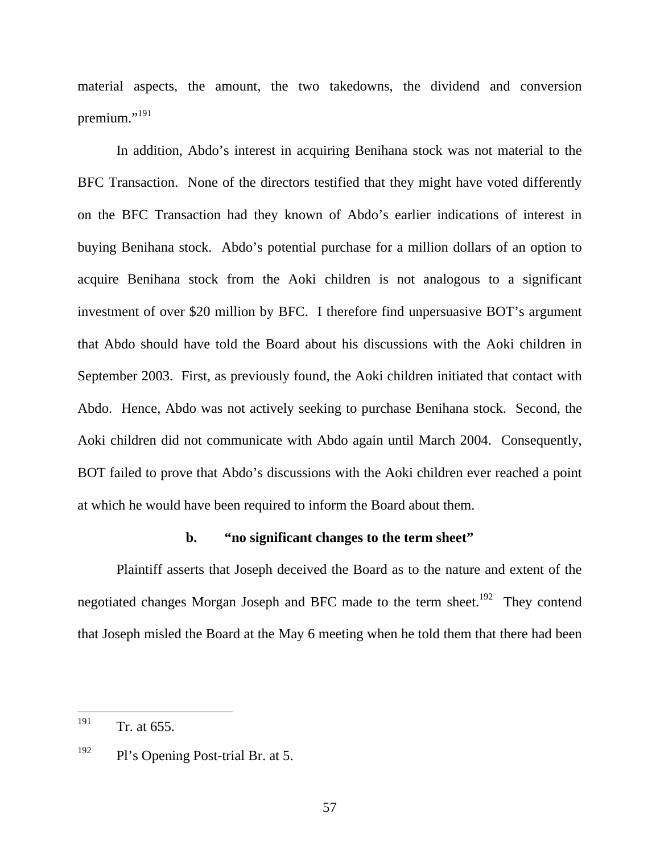material aspects, the amount, the two takedowns, the dividend and conversion premium."<sup>191</sup>

In addition, Abdo's interest in acquiring Benihana stock was not material to the BFC Transaction. None of the directors testified that they might have voted differently on the BFC Transaction had they known of Abdo's earlier indications of interest in buying Benihana stock. Abdo's potential purchase for a million dollars of an option to acquire Benihana stock from the Aoki children is not analogous to a significant investment of over \$20 million by BFC. I therefore find unpersuasive BOT's argument that Abdo should have told the Board about his discussions with the Aoki children in September 2003. First, as previously found, the Aoki children initiated that contact with Abdo. Hence, Abdo was not actively seeking to purchase Benihana stock. Second, the Aoki children did not communicate with Abdo again until March 2004. Consequently, BOT failed to prove that Abdo's discussions with the Aoki children ever reached a point at which he would have been required to inform the Board about them.

### **b. "no significant changes to the term sheet"**

Plaintiff asserts that Joseph deceived the Board as to the nature and extent of the negotiated changes Morgan Joseph and BFC made to the term sheet.<sup>192</sup> They contend that Joseph misled the Board at the May 6 meeting when he told them that there had been

<sup>191</sup> Tr. at 655.

<sup>&</sup>lt;sup>192</sup> Pl's Opening Post-trial Br. at 5.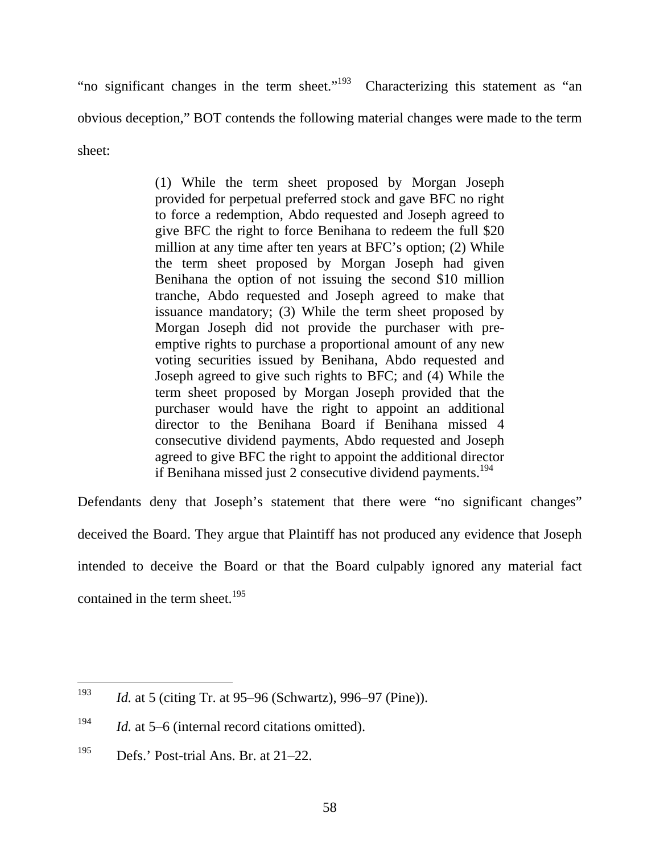"no significant changes in the term sheet."<sup>193</sup> Characterizing this statement as "an obvious deception," BOT contends the following material changes were made to the term sheet:

> (1) While the term sheet proposed by Morgan Joseph provided for perpetual preferred stock and gave BFC no right to force a redemption, Abdo requested and Joseph agreed to give BFC the right to force Benihana to redeem the full \$20 million at any time after ten years at BFC's option; (2) While the term sheet proposed by Morgan Joseph had given Benihana the option of not issuing the second \$10 million tranche, Abdo requested and Joseph agreed to make that issuance mandatory; (3) While the term sheet proposed by Morgan Joseph did not provide the purchaser with preemptive rights to purchase a proportional amount of any new voting securities issued by Benihana, Abdo requested and Joseph agreed to give such rights to BFC; and (4) While the term sheet proposed by Morgan Joseph provided that the purchaser would have the right to appoint an additional director to the Benihana Board if Benihana missed 4 consecutive dividend payments, Abdo requested and Joseph agreed to give BFC the right to appoint the additional director if Benihana missed just 2 consecutive dividend payments.<sup>194</sup>

Defendants deny that Joseph's statement that there were "no significant changes" deceived the Board. They argue that Plaintiff has not produced any evidence that Joseph intended to deceive the Board or that the Board culpably ignored any material fact contained in the term sheet.<sup>195</sup>

<sup>193</sup> *Id.* at 5 (citing Tr. at 95–96 (Schwartz), 996–97 (Pine)).

<sup>&</sup>lt;sup>194</sup> *Id.* at 5–6 (internal record citations omitted).

<sup>&</sup>lt;sup>195</sup> Defs.' Post-trial Ans. Br. at  $21-22$ .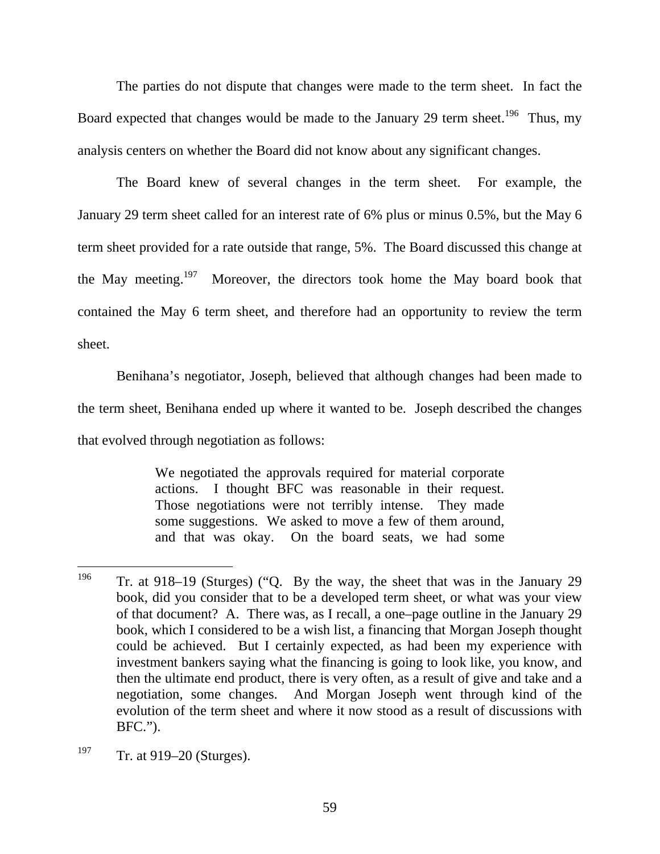The parties do not dispute that changes were made to the term sheet. In fact the Board expected that changes would be made to the January 29 term sheet.<sup>196</sup> Thus, my analysis centers on whether the Board did not know about any significant changes.

The Board knew of several changes in the term sheet. For example, the January 29 term sheet called for an interest rate of 6% plus or minus 0.5%, but the May 6 term sheet provided for a rate outside that range, 5%. The Board discussed this change at the May meeting.<sup>197</sup> Moreover, the directors took home the May board book that contained the May 6 term sheet, and therefore had an opportunity to review the term sheet.

Benihana's negotiator, Joseph, believed that although changes had been made to the term sheet, Benihana ended up where it wanted to be. Joseph described the changes that evolved through negotiation as follows:

> We negotiated the approvals required for material corporate actions. I thought BFC was reasonable in their request. Those negotiations were not terribly intense. They made some suggestions. We asked to move a few of them around, and that was okay. On the board seats, we had some

<sup>196</sup> 196 Tr. at 918–19 (Sturges) ("Q. By the way, the sheet that was in the January 29 book, did you consider that to be a developed term sheet, or what was your view of that document? A. There was, as I recall, a one–page outline in the January 29 book, which I considered to be a wish list, a financing that Morgan Joseph thought could be achieved. But I certainly expected, as had been my experience with investment bankers saying what the financing is going to look like, you know, and then the ultimate end product, there is very often, as a result of give and take and a negotiation, some changes. And Morgan Joseph went through kind of the evolution of the term sheet and where it now stood as a result of discussions with BFC.").

<sup>&</sup>lt;sup>197</sup> Tr. at 919–20 (Sturges).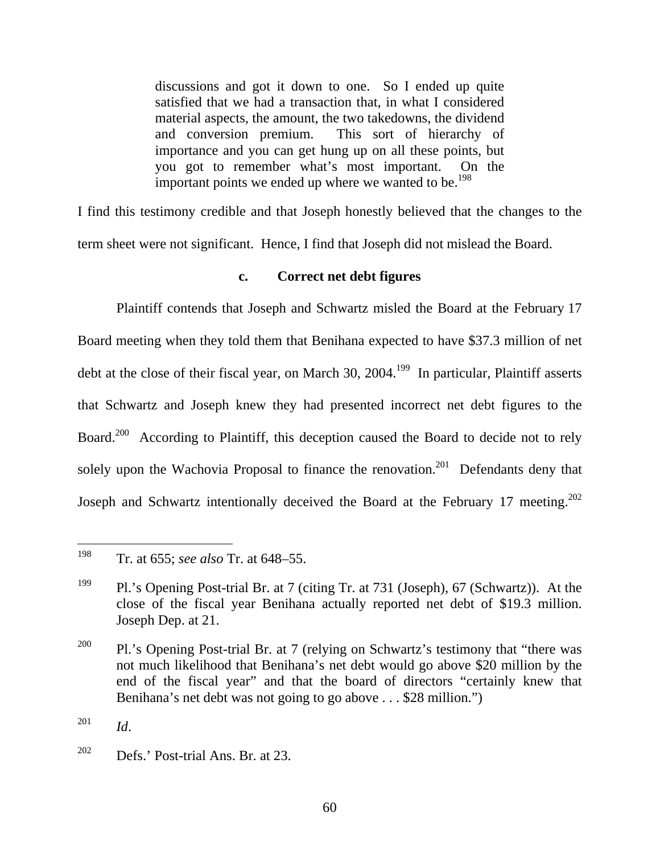discussions and got it down to one. So I ended up quite satisfied that we had a transaction that, in what I considered material aspects, the amount, the two takedowns, the dividend and conversion premium. This sort of hierarchy of importance and you can get hung up on all these points, but you got to remember what's most important. On the important points we ended up where we wanted to be.<sup>198</sup>

I find this testimony credible and that Joseph honestly believed that the changes to the term sheet were not significant. Hence, I find that Joseph did not mislead the Board.

# **c. Correct net debt figures**

Plaintiff contends that Joseph and Schwartz misled the Board at the February 17 Board meeting when they told them that Benihana expected to have \$37.3 million of net debt at the close of their fiscal year, on March 30, 2004.<sup>199</sup> In particular, Plaintiff asserts that Schwartz and Joseph knew they had presented incorrect net debt figures to the Board.<sup>200</sup> According to Plaintiff, this deception caused the Board to decide not to rely solely upon the Wachovia Proposal to finance the renovation.<sup>201</sup> Defendants deny that Joseph and Schwartz intentionally deceived the Board at the February 17 meeting.<sup>202</sup>

<sup>198</sup> 198 Tr. at 655; *see also* Tr. at 648–55.

<sup>199</sup> Pl.'s Opening Post-trial Br. at 7 (citing Tr. at 731 (Joseph), 67 (Schwartz)). At the close of the fiscal year Benihana actually reported net debt of \$19.3 million. Joseph Dep. at 21.

<sup>&</sup>lt;sup>200</sup> Pl.'s Opening Post-trial Br. at 7 (relying on Schwartz's testimony that "there was not much likelihood that Benihana's net debt would go above \$20 million by the end of the fiscal year" and that the board of directors "certainly knew that Benihana's net debt was not going to go above . . . \$28 million.")

 $^{201}$  *Id.* 

 $202$  Defs.' Post-trial Ans. Br. at 23.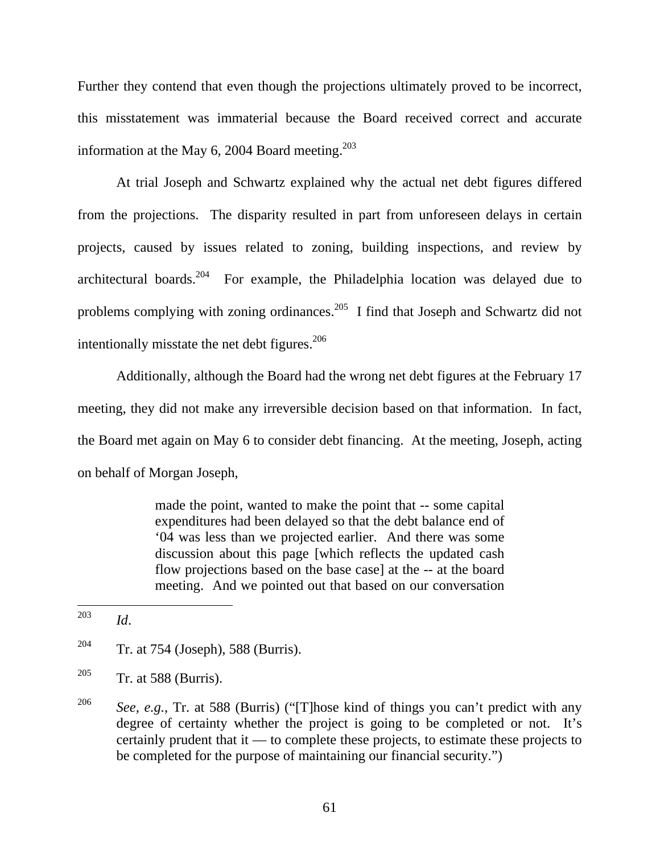Further they contend that even though the projections ultimately proved to be incorrect, this misstatement was immaterial because the Board received correct and accurate information at the May 6, 2004 Board meeting. $203$ 

At trial Joseph and Schwartz explained why the actual net debt figures differed from the projections. The disparity resulted in part from unforeseen delays in certain projects, caused by issues related to zoning, building inspections, and review by architectural boards.<sup>204</sup> For example, the Philadelphia location was delayed due to problems complying with zoning ordinances.<sup>205</sup> I find that Joseph and Schwartz did not intentionally misstate the net debt figures.<sup>206</sup>

Additionally, although the Board had the wrong net debt figures at the February 17 meeting, they did not make any irreversible decision based on that information. In fact, the Board met again on May 6 to consider debt financing. At the meeting, Joseph, acting on behalf of Morgan Joseph,

> made the point, wanted to make the point that -- some capital expenditures had been delayed so that the debt balance end of '04 was less than we projected earlier. And there was some discussion about this page [which reflects the updated cash flow projections based on the base case] at the -- at the board meeting. And we pointed out that based on our conversation

- $205$  Tr. at 588 (Burris).
- <sup>206</sup> *See, e.g.*, Tr. at 588 (Burris) ("[T]hose kind of things you can't predict with any degree of certainty whether the project is going to be completed or not. It's certainly prudent that it –– to complete these projects, to estimate these projects to be completed for the purpose of maintaining our financial security.")

<sup>203</sup>  $Id.$ 

<sup>&</sup>lt;sup>204</sup> Tr. at 754 (Joseph), 588 (Burris).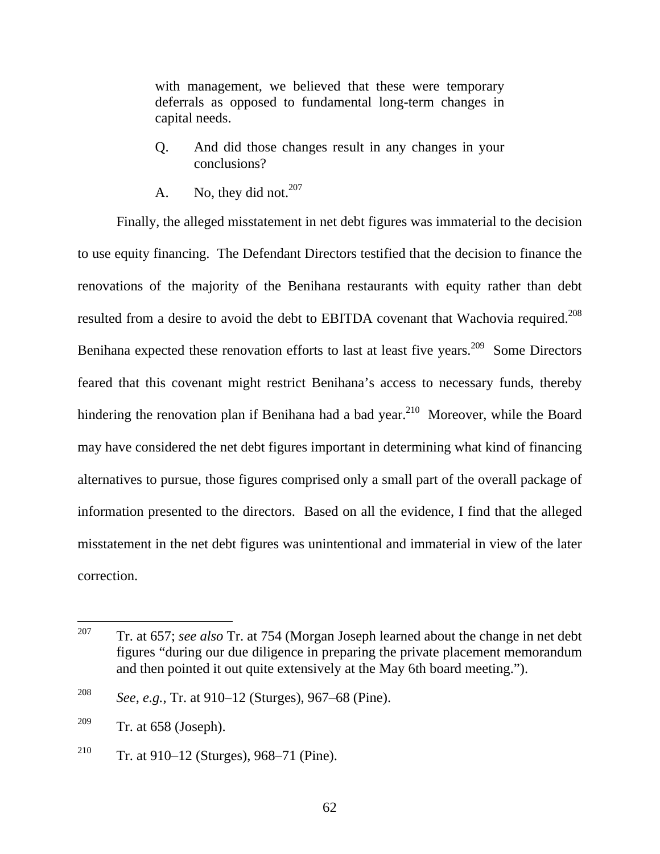with management, we believed that these were temporary deferrals as opposed to fundamental long-term changes in capital needs.

- Q. And did those changes result in any changes in your conclusions?
- A. No, they did not.  $207$

Finally, the alleged misstatement in net debt figures was immaterial to the decision to use equity financing. The Defendant Directors testified that the decision to finance the renovations of the majority of the Benihana restaurants with equity rather than debt resulted from a desire to avoid the debt to EBITDA covenant that Wachovia required.<sup>208</sup> Benihana expected these renovation efforts to last at least five years.<sup>209</sup> Some Directors feared that this covenant might restrict Benihana's access to necessary funds, thereby hindering the renovation plan if Benihana had a bad year.<sup>210</sup> Moreover, while the Board may have considered the net debt figures important in determining what kind of financing alternatives to pursue, those figures comprised only a small part of the overall package of information presented to the directors. Based on all the evidence, I find that the alleged misstatement in the net debt figures was unintentional and immaterial in view of the later correction.

<sup>207</sup> 207 Tr. at 657; *see also* Tr. at 754 (Morgan Joseph learned about the change in net debt figures "during our due diligence in preparing the private placement memorandum and then pointed it out quite extensively at the May 6th board meeting.").

<sup>208</sup> *See, e.g.*, Tr. at 910–12 (Sturges), 967–68 (Pine).

 $209$  Tr. at 658 (Joseph).

<sup>&</sup>lt;sup>210</sup> Tr. at 910–12 (Sturges), 968–71 (Pine).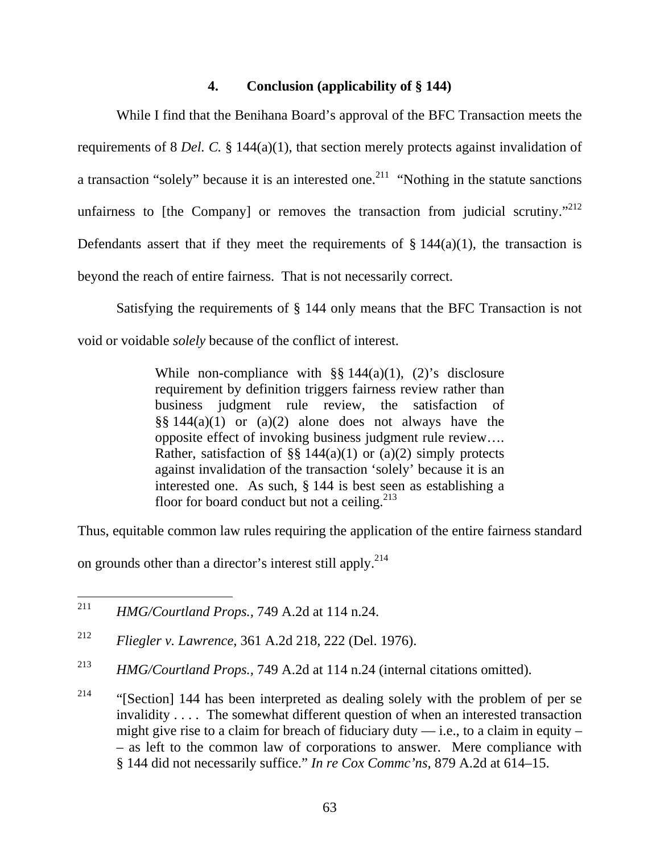## **4. Conclusion (applicability of § 144)**

While I find that the Benihana Board's approval of the BFC Transaction meets the requirements of 8 *Del. C.* § 144(a)(1), that section merely protects against invalidation of a transaction "solely" because it is an interested one.<sup>211</sup> "Nothing in the statute sanctions" unfairness to [the Company] or removes the transaction from judicial scrutiny."<sup>212</sup> Defendants assert that if they meet the requirements of  $\S 144(a)(1)$ , the transaction is beyond the reach of entire fairness. That is not necessarily correct.

Satisfying the requirements of § 144 only means that the BFC Transaction is not void or voidable *solely* because of the conflict of interest.

> While non-compliance with  $\S$ § 144(a)(1), (2)'s disclosure requirement by definition triggers fairness review rather than business judgment rule review, the satisfaction of  $\S$ § 144(a)(1) or (a)(2) alone does not always have the opposite effect of invoking business judgment rule review…. Rather, satisfaction of §§ 144(a)(1) or (a)(2) simply protects against invalidation of the transaction 'solely' because it is an interested one. As such, § 144 is best seen as establishing a floor for board conduct but not a ceiling.<sup>213</sup>

Thus, equitable common law rules requiring the application of the entire fairness standard

on grounds other than a director's interest still apply.<sup>214</sup>

<sup>211</sup> <sup>211</sup> *HMG/Courtland Props.,* 749 A.2d at 114 n.24.

<sup>212</sup> *Fliegler v. Lawrence*, 361 A.2d 218, 222 (Del. 1976).

<sup>213</sup> *HMG/Courtland Props.,* 749 A.2d at 114 n.24 (internal citations omitted).

 $214$  "[Section] 144 has been interpreted as dealing solely with the problem of per se invalidity . . . . The somewhat different question of when an interested transaction might give rise to a claim for breach of fiduciary duty  $-$  i.e., to a claim in equity – – as left to the common law of corporations to answer. Mere compliance with § 144 did not necessarily suffice." *In re Cox Commc'ns*, 879 A.2d at 614–15.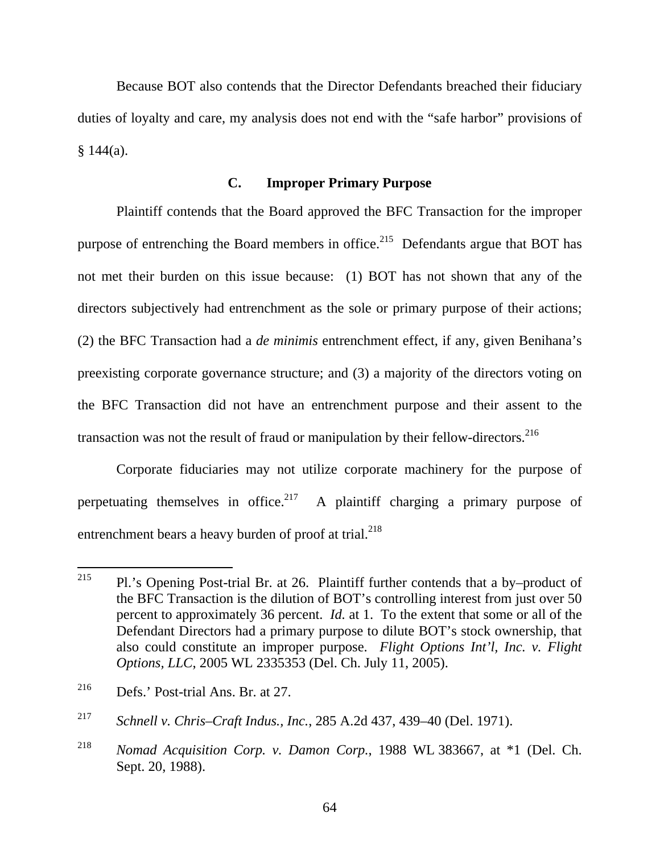Because BOT also contends that the Director Defendants breached their fiduciary duties of loyalty and care, my analysis does not end with the "safe harbor" provisions of  $§ 144(a).$ 

## **C. Improper Primary Purpose**

Plaintiff contends that the Board approved the BFC Transaction for the improper purpose of entrenching the Board members in office.<sup>215</sup> Defendants argue that BOT has not met their burden on this issue because: (1) BOT has not shown that any of the directors subjectively had entrenchment as the sole or primary purpose of their actions; (2) the BFC Transaction had a *de minimis* entrenchment effect, if any, given Benihana's preexisting corporate governance structure; and (3) a majority of the directors voting on the BFC Transaction did not have an entrenchment purpose and their assent to the transaction was not the result of fraud or manipulation by their fellow-directors.<sup>216</sup>

Corporate fiduciaries may not utilize corporate machinery for the purpose of perpetuating themselves in office.<sup>217</sup> A plaintiff charging a primary purpose of entrenchment bears a heavy burden of proof at trial.<sup>218</sup>

<sup>215</sup> 215 Pl.'s Opening Post-trial Br. at 26. Plaintiff further contends that a by–product of the BFC Transaction is the dilution of BOT's controlling interest from just over 50 percent to approximately 36 percent. *Id.* at 1. To the extent that some or all of the Defendant Directors had a primary purpose to dilute BOT's stock ownership, that also could constitute an improper purpose. *Flight Options Int'l, Inc. v. Flight Options, LLC*, 2005 WL 2335353 (Del. Ch. July 11, 2005).

<sup>216</sup> Defs.' Post-trial Ans. Br. at 27.

<sup>217</sup> *Schnell v. Chris–Craft Indus., Inc.*, 285 A.2d 437, 439–40 (Del. 1971).

<sup>218</sup> *Nomad Acquisition Corp. v. Damon Corp.*, 1988 WL 383667, at \*1 (Del. Ch. Sept. 20, 1988).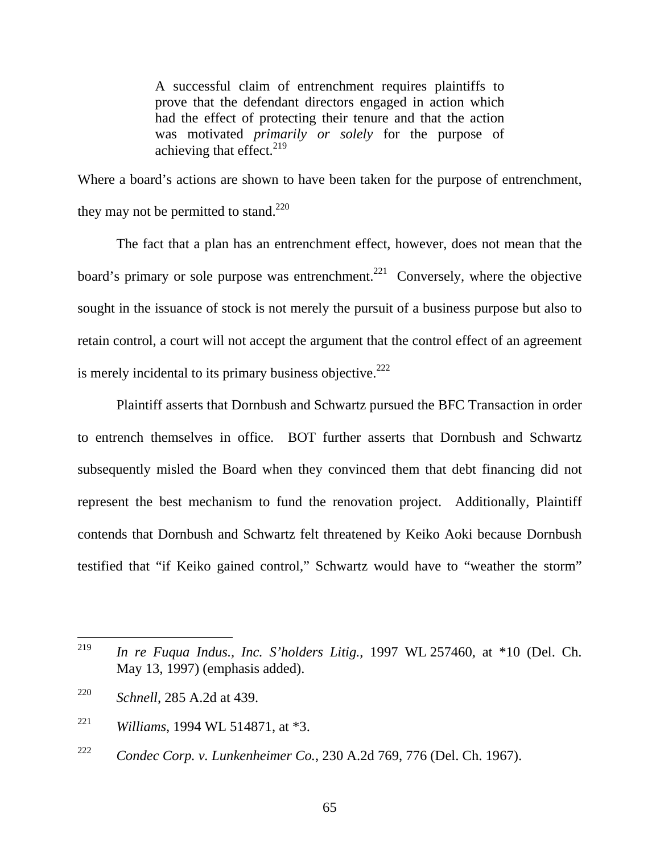A successful claim of entrenchment requires plaintiffs to prove that the defendant directors engaged in action which had the effect of protecting their tenure and that the action was motivated *primarily or solely* for the purpose of achieving that effect. $^{219}$ 

Where a board's actions are shown to have been taken for the purpose of entrenchment, they may not be permitted to stand. $220$ 

The fact that a plan has an entrenchment effect, however, does not mean that the board's primary or sole purpose was entrenchment.<sup>221</sup> Conversely, where the objective sought in the issuance of stock is not merely the pursuit of a business purpose but also to retain control, a court will not accept the argument that the control effect of an agreement is merely incidental to its primary business objective.<sup>222</sup>

Plaintiff asserts that Dornbush and Schwartz pursued the BFC Transaction in order to entrench themselves in office. BOT further asserts that Dornbush and Schwartz subsequently misled the Board when they convinced them that debt financing did not represent the best mechanism to fund the renovation project. Additionally, Plaintiff contends that Dornbush and Schwartz felt threatened by Keiko Aoki because Dornbush testified that "if Keiko gained control," Schwartz would have to "weather the storm"

<sup>219</sup> <sup>219</sup> *In re Fuqua Indus., Inc. S'holders Litig.*, 1997 WL 257460, at \*10 (Del. Ch. May 13, 1997) (emphasis added).

<sup>220</sup> *Schnell*, 285 A.2d at 439.

<sup>221</sup> *Williams*, 1994 WL 514871, at \*3.

<sup>222</sup> *Condec Corp. v. Lunkenheimer Co.*, 230 A.2d 769, 776 (Del. Ch. 1967).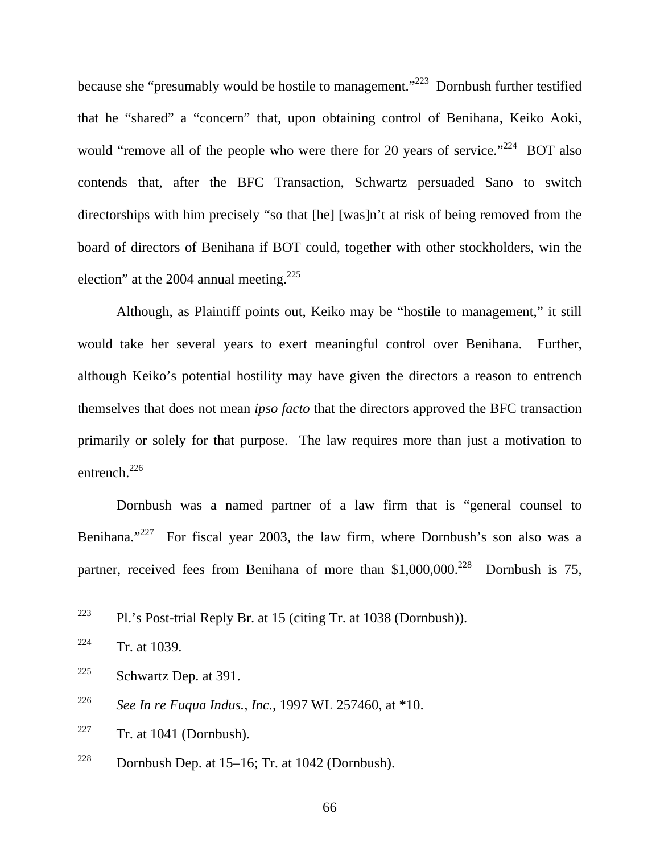because she "presumably would be hostile to management."<sup>223</sup> Dornbush further testified that he "shared" a "concern" that, upon obtaining control of Benihana, Keiko Aoki, would "remove all of the people who were there for 20 years of service."<sup>224</sup> BOT also contends that, after the BFC Transaction, Schwartz persuaded Sano to switch directorships with him precisely "so that [he] [was]n't at risk of being removed from the board of directors of Benihana if BOT could, together with other stockholders, win the election" at the 2004 annual meeting.<sup>225</sup>

Although, as Plaintiff points out, Keiko may be "hostile to management," it still would take her several years to exert meaningful control over Benihana. Further, although Keiko's potential hostility may have given the directors a reason to entrench themselves that does not mean *ipso facto* that the directors approved the BFC transaction primarily or solely for that purpose. The law requires more than just a motivation to entrench.<sup>226</sup>

Dornbush was a named partner of a law firm that is "general counsel to Benihana."<sup>227</sup> For fiscal year 2003, the law firm, where Dornbush's son also was a partner, received fees from Benihana of more than  $$1,000,000.<sup>228</sup>$  Dornbush is 75,

 $227$  Tr. at 1041 (Dornbush).

<sup>228</sup> Dornbush Dep. at  $15-16$ ; Tr. at  $1042$  (Dornbush).

<sup>223</sup> 223 Pl.'s Post-trial Reply Br. at 15 (citing Tr. at 1038 (Dornbush)).

 $224$  Tr. at 1039.

<sup>&</sup>lt;sup>225</sup> Schwartz Dep. at 391.

<sup>226</sup> *See In re Fuqua Indus., Inc.,* 1997 WL 257460, at \*10.

<sup>66</sup>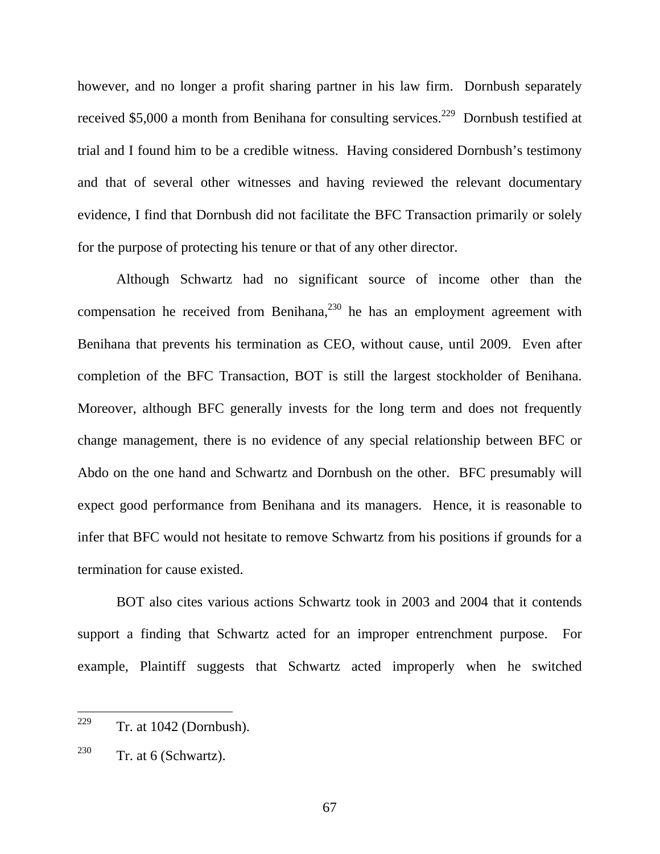however, and no longer a profit sharing partner in his law firm. Dornbush separately received \$5,000 a month from Benihana for consulting services.<sup>229</sup> Dornbush testified at trial and I found him to be a credible witness. Having considered Dornbush's testimony and that of several other witnesses and having reviewed the relevant documentary evidence, I find that Dornbush did not facilitate the BFC Transaction primarily or solely for the purpose of protecting his tenure or that of any other director.

Although Schwartz had no significant source of income other than the compensation he received from Benihana,<sup>230</sup> he has an employment agreement with Benihana that prevents his termination as CEO, without cause, until 2009. Even after completion of the BFC Transaction, BOT is still the largest stockholder of Benihana. Moreover, although BFC generally invests for the long term and does not frequently change management, there is no evidence of any special relationship between BFC or Abdo on the one hand and Schwartz and Dornbush on the other. BFC presumably will expect good performance from Benihana and its managers. Hence, it is reasonable to infer that BFC would not hesitate to remove Schwartz from his positions if grounds for a termination for cause existed.

BOT also cites various actions Schwartz took in 2003 and 2004 that it contends support a finding that Schwartz acted for an improper entrenchment purpose. For example, Plaintiff suggests that Schwartz acted improperly when he switched

<sup>229</sup> Tr. at 1042 (Dornbush).

 $230$  Tr. at 6 (Schwartz).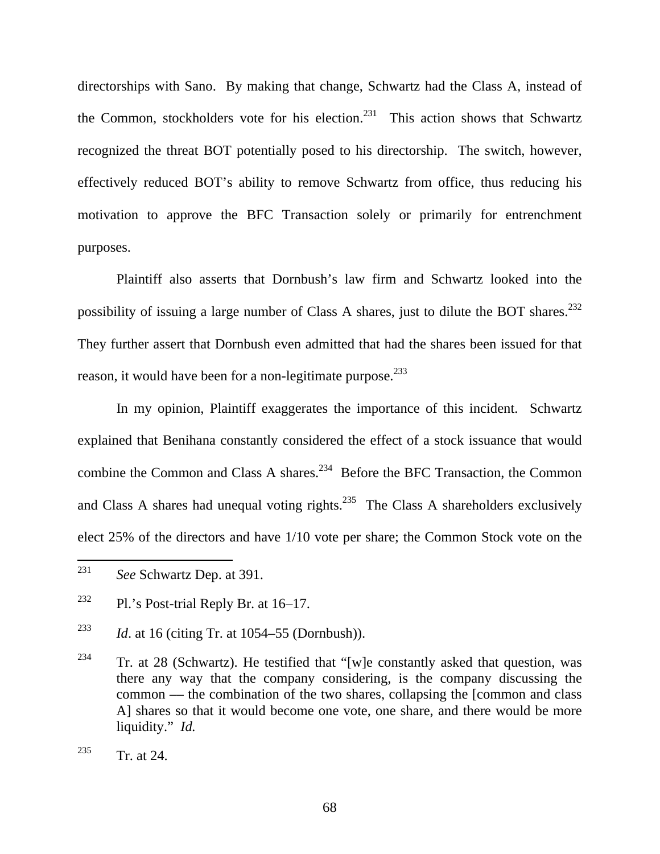directorships with Sano. By making that change, Schwartz had the Class A, instead of the Common, stockholders vote for his election.<sup>231</sup> This action shows that Schwartz recognized the threat BOT potentially posed to his directorship. The switch, however, effectively reduced BOT's ability to remove Schwartz from office, thus reducing his motivation to approve the BFC Transaction solely or primarily for entrenchment purposes.

Plaintiff also asserts that Dornbush's law firm and Schwartz looked into the possibility of issuing a large number of Class A shares, just to dilute the BOT shares.<sup>232</sup> They further assert that Dornbush even admitted that had the shares been issued for that reason, it would have been for a non-legitimate purpose.<sup>233</sup>

In my opinion, Plaintiff exaggerates the importance of this incident. Schwartz explained that Benihana constantly considered the effect of a stock issuance that would combine the Common and Class A shares.<sup>234</sup> Before the BFC Transaction, the Common and Class A shares had unequal voting rights.<sup>235</sup> The Class A shareholders exclusively elect 25% of the directors and have 1/10 vote per share; the Common Stock vote on the

<sup>231</sup> See Schwartz Dep. at 391.

<sup>&</sup>lt;sup>232</sup> Pl.'s Post-trial Reply Br. at  $16-17$ .

<sup>233</sup> *Id*. at 16 (citing Tr. at 1054–55 (Dornbush)).

<sup>&</sup>lt;sup>234</sup> Tr. at 28 (Schwartz). He testified that "[w]e constantly asked that question, was there any way that the company considering, is the company discussing the common –– the combination of the two shares, collapsing the [common and class A] shares so that it would become one vote, one share, and there would be more liquidity." *Id.* 

 $235$  Tr. at 24.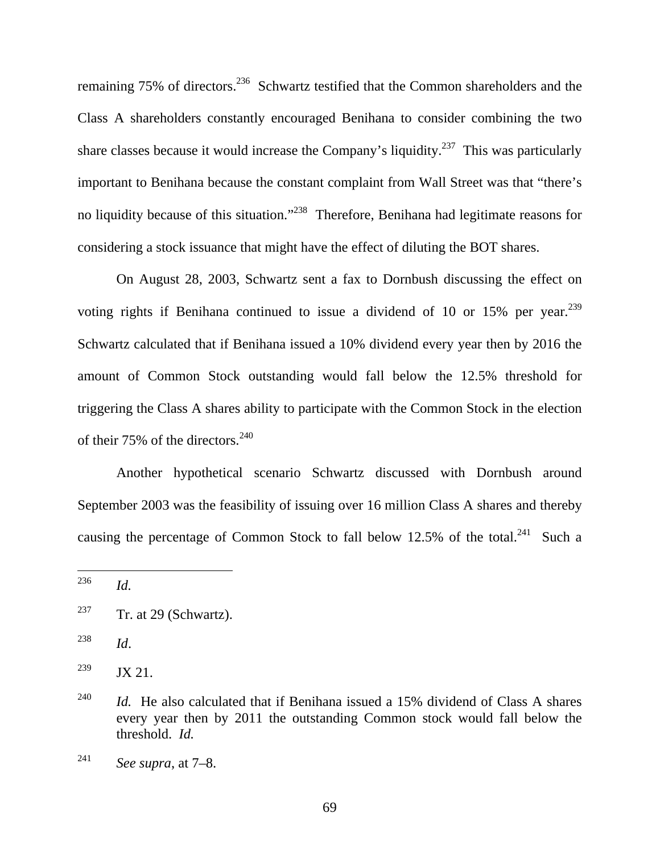remaining 75% of directors.<sup>236</sup> Schwartz testified that the Common shareholders and the Class A shareholders constantly encouraged Benihana to consider combining the two share classes because it would increase the Company's liquidity.<sup>237</sup> This was particularly important to Benihana because the constant complaint from Wall Street was that "there's no liquidity because of this situation."<sup>238</sup> Therefore, Benihana had legitimate reasons for considering a stock issuance that might have the effect of diluting the BOT shares.

On August 28, 2003, Schwartz sent a fax to Dornbush discussing the effect on voting rights if Benihana continued to issue a dividend of 10 or 15% per year.<sup>239</sup> Schwartz calculated that if Benihana issued a 10% dividend every year then by 2016 the amount of Common Stock outstanding would fall below the 12.5% threshold for triggering the Class A shares ability to participate with the Common Stock in the election of their 75% of the directors.<sup>240</sup>

Another hypothetical scenario Schwartz discussed with Dornbush around September 2003 was the feasibility of issuing over 16 million Class A shares and thereby causing the percentage of Common Stock to fall below 12.5% of the total.<sup>241</sup> Such a

<sup>238</sup> *Id*.

<sup>236</sup> *Id.* 

<sup>&</sup>lt;sup>237</sup> Tr. at 29 (Schwartz).

 $239$  JX 21.

<sup>&</sup>lt;sup>240</sup> *Id.* He also calculated that if Benihana issued a 15% dividend of Class A shares every year then by 2011 the outstanding Common stock would fall below the threshold. *Id.* 

<sup>241</sup> *See supra*, at 7–8.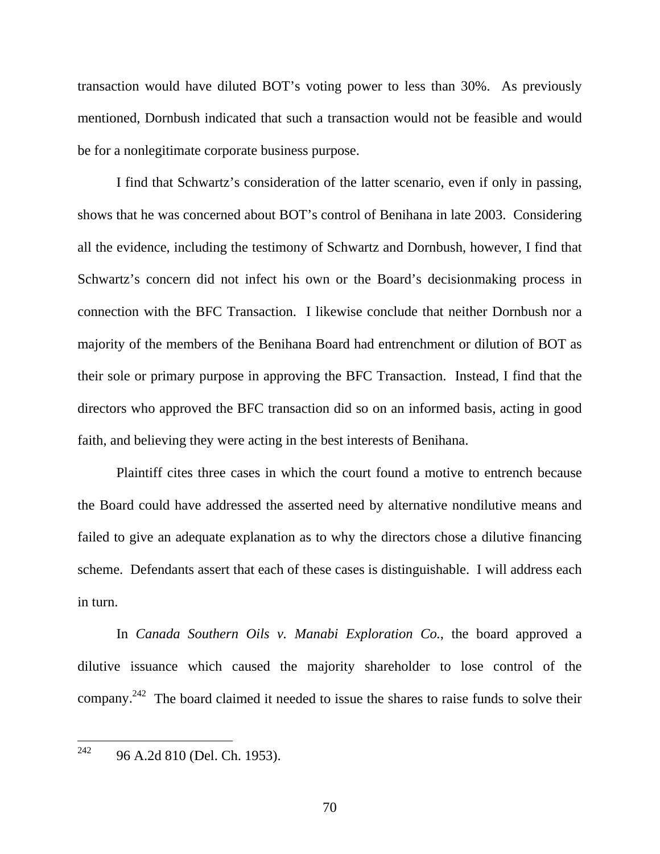transaction would have diluted BOT's voting power to less than 30%. As previously mentioned, Dornbush indicated that such a transaction would not be feasible and would be for a nonlegitimate corporate business purpose.

I find that Schwartz's consideration of the latter scenario, even if only in passing, shows that he was concerned about BOT's control of Benihana in late 2003. Considering all the evidence, including the testimony of Schwartz and Dornbush, however, I find that Schwartz's concern did not infect his own or the Board's decisionmaking process in connection with the BFC Transaction. I likewise conclude that neither Dornbush nor a majority of the members of the Benihana Board had entrenchment or dilution of BOT as their sole or primary purpose in approving the BFC Transaction. Instead, I find that the directors who approved the BFC transaction did so on an informed basis, acting in good faith, and believing they were acting in the best interests of Benihana.

Plaintiff cites three cases in which the court found a motive to entrench because the Board could have addressed the asserted need by alternative nondilutive means and failed to give an adequate explanation as to why the directors chose a dilutive financing scheme. Defendants assert that each of these cases is distinguishable. I will address each in turn.

In *Canada Southern Oils v. Manabi Exploration Co.*, the board approved a dilutive issuance which caused the majority shareholder to lose control of the company.<sup>242</sup> The board claimed it needed to issue the shares to raise funds to solve their

<sup>242</sup> 96 A.2d 810 (Del. Ch. 1953).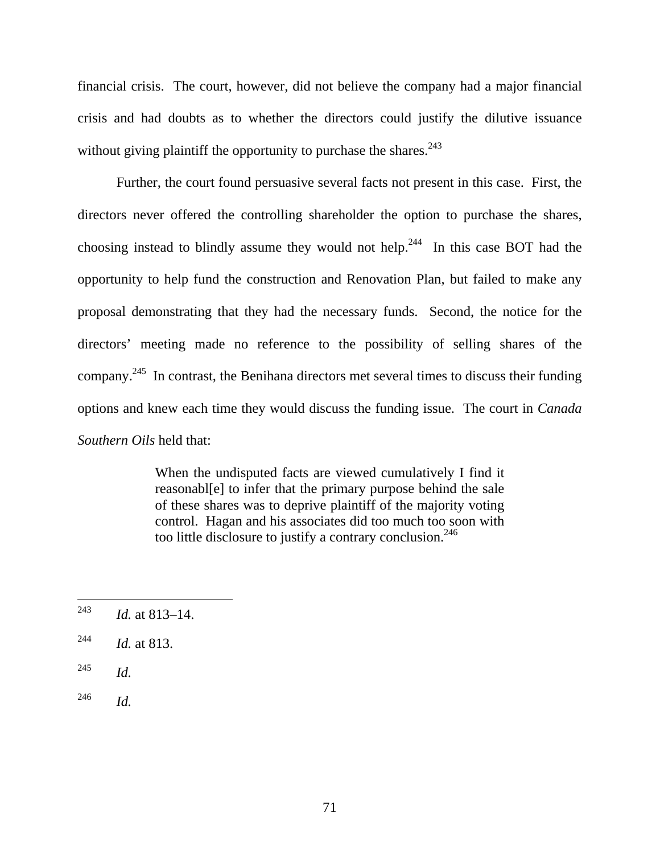financial crisis. The court, however, did not believe the company had a major financial crisis and had doubts as to whether the directors could justify the dilutive issuance without giving plaintiff the opportunity to purchase the shares.  $243$ 

Further, the court found persuasive several facts not present in this case. First, the directors never offered the controlling shareholder the option to purchase the shares, choosing instead to blindly assume they would not help.<sup>244</sup> In this case BOT had the opportunity to help fund the construction and Renovation Plan, but failed to make any proposal demonstrating that they had the necessary funds. Second, the notice for the directors' meeting made no reference to the possibility of selling shares of the company.245 In contrast, the Benihana directors met several times to discuss their funding options and knew each time they would discuss the funding issue. The court in *Canada Southern Oils* held that:

> When the undisputed facts are viewed cumulatively I find it reasonabl[e] to infer that the primary purpose behind the sale of these shares was to deprive plaintiff of the majority voting control. Hagan and his associates did too much too soon with too little disclosure to justify a contrary conclusion.<sup>246</sup>

<sup>245</sup> *Id.* 

<sup>246</sup> *Id.*

<sup>243</sup> *Id.* at 813–14.

<sup>244</sup> *Id.* at 813.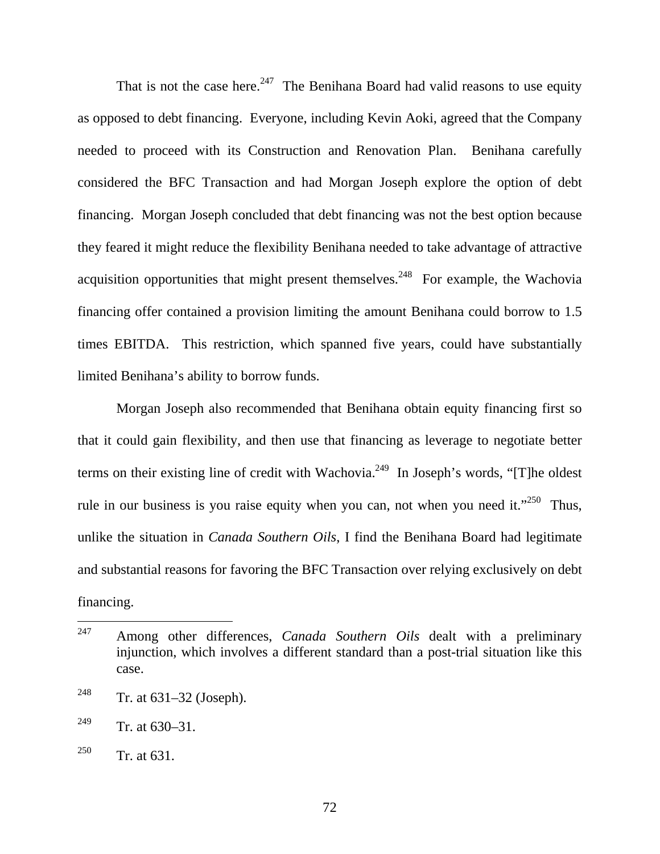That is not the case here.<sup>247</sup> The Benihana Board had valid reasons to use equity as opposed to debt financing. Everyone, including Kevin Aoki, agreed that the Company needed to proceed with its Construction and Renovation Plan. Benihana carefully considered the BFC Transaction and had Morgan Joseph explore the option of debt financing. Morgan Joseph concluded that debt financing was not the best option because they feared it might reduce the flexibility Benihana needed to take advantage of attractive acquisition opportunities that might present themselves.<sup>248</sup> For example, the Wachovia financing offer contained a provision limiting the amount Benihana could borrow to 1.5 times EBITDA. This restriction, which spanned five years, could have substantially limited Benihana's ability to borrow funds.

Morgan Joseph also recommended that Benihana obtain equity financing first so that it could gain flexibility, and then use that financing as leverage to negotiate better terms on their existing line of credit with Wachovia.<sup>249</sup> In Joseph's words, "[T]he oldest rule in our business is you raise equity when you can, not when you need it."<sup>250</sup> Thus, unlike the situation in *Canada Southern Oils*, I find the Benihana Board had legitimate and substantial reasons for favoring the BFC Transaction over relying exclusively on debt financing.

<sup>247</sup> 247 Among other differences, *Canada Southern Oils* dealt with a preliminary injunction, which involves a different standard than a post-trial situation like this case.

<sup>&</sup>lt;sup>248</sup> Tr. at  $631-32$  (Joseph).

<sup>&</sup>lt;sup>249</sup> Tr. at  $630-31$ .

<sup>&</sup>lt;sup>250</sup> Tr. at 631.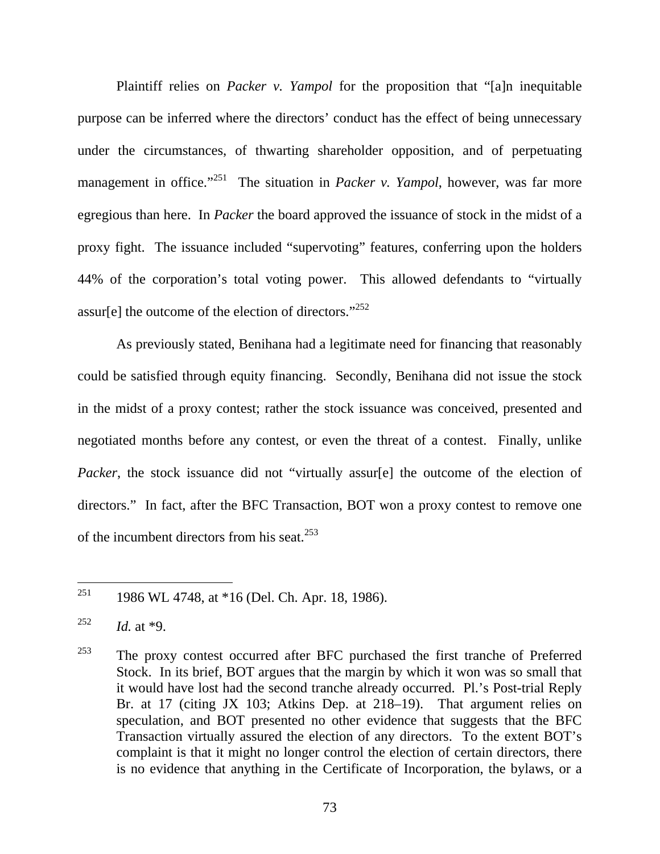Plaintiff relies on *Packer v. Yampol* for the proposition that "[a]n inequitable purpose can be inferred where the directors' conduct has the effect of being unnecessary under the circumstances, of thwarting shareholder opposition, and of perpetuating management in office."<sup>251</sup> The situation in *Packer v. Yampol*, however, was far more egregious than here. In *Packer* the board approved the issuance of stock in the midst of a proxy fight. The issuance included "supervoting" features, conferring upon the holders 44% of the corporation's total voting power. This allowed defendants to "virtually assur[e] the outcome of the election of directors."<sup>252</sup>

As previously stated, Benihana had a legitimate need for financing that reasonably could be satisfied through equity financing. Secondly, Benihana did not issue the stock in the midst of a proxy contest; rather the stock issuance was conceived, presented and negotiated months before any contest, or even the threat of a contest. Finally, unlike *Packer*, the stock issuance did not "virtually assur[e] the outcome of the election of directors." In fact, after the BFC Transaction, BOT won a proxy contest to remove one of the incumbent directors from his seat.<sup>253</sup>

<sup>251</sup> 1986 WL 4748, at \*16 (Del. Ch. Apr. 18, 1986).

<sup>252</sup> *Id.* at \*9.

<sup>253</sup> The proxy contest occurred after BFC purchased the first tranche of Preferred Stock. In its brief, BOT argues that the margin by which it won was so small that it would have lost had the second tranche already occurred. Pl.'s Post-trial Reply Br. at 17 (citing JX 103; Atkins Dep. at 218–19). That argument relies on speculation, and BOT presented no other evidence that suggests that the BFC Transaction virtually assured the election of any directors. To the extent BOT's complaint is that it might no longer control the election of certain directors, there is no evidence that anything in the Certificate of Incorporation, the bylaws, or a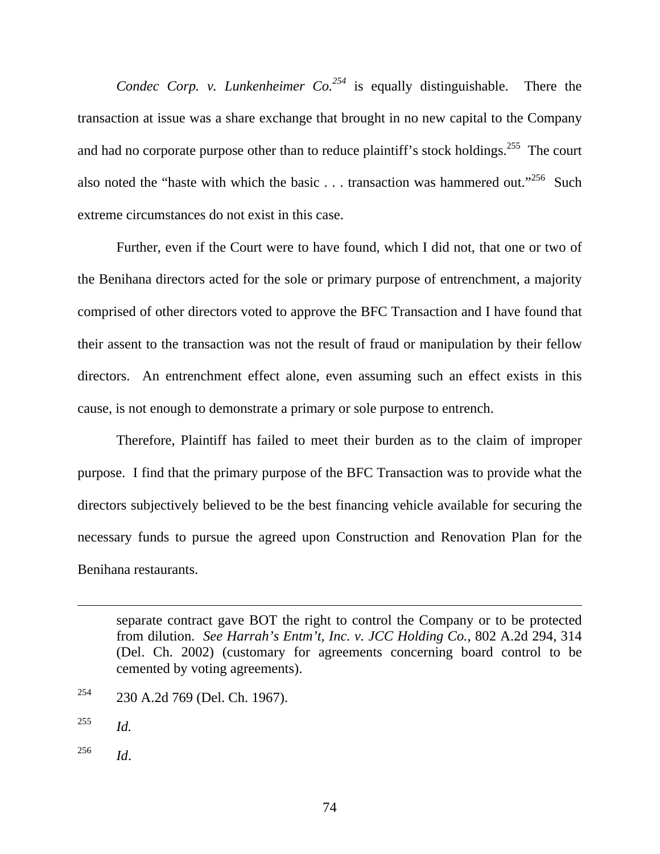*Condec Corp. v. Lunkenheimer Co.*<sup>254</sup> is equally distinguishable. There the transaction at issue was a share exchange that brought in no new capital to the Company and had no corporate purpose other than to reduce plaintiff's stock holdings.<sup>255</sup> The court also noted the "haste with which the basic  $\dots$  transaction was hammered out."<sup>256</sup> Such extreme circumstances do not exist in this case.

Further, even if the Court were to have found, which I did not, that one or two of the Benihana directors acted for the sole or primary purpose of entrenchment, a majority comprised of other directors voted to approve the BFC Transaction and I have found that their assent to the transaction was not the result of fraud or manipulation by their fellow directors. An entrenchment effect alone, even assuming such an effect exists in this cause, is not enough to demonstrate a primary or sole purpose to entrench.

Therefore, Plaintiff has failed to meet their burden as to the claim of improper purpose. I find that the primary purpose of the BFC Transaction was to provide what the directors subjectively believed to be the best financing vehicle available for securing the necessary funds to pursue the agreed upon Construction and Renovation Plan for the Benihana restaurants.

- 254 230 A.2d 769 (Del. Ch. 1967).
- <sup>255</sup> *Id.*

 $\overline{a}$ 

<sup>256</sup> *Id*.

separate contract gave BOT the right to control the Company or to be protected from dilution. *See Harrah's Entm't, Inc. v. JCC Holding Co.*, 802 A.2d 294, 314 (Del. Ch. 2002) (customary for agreements concerning board control to be cemented by voting agreements).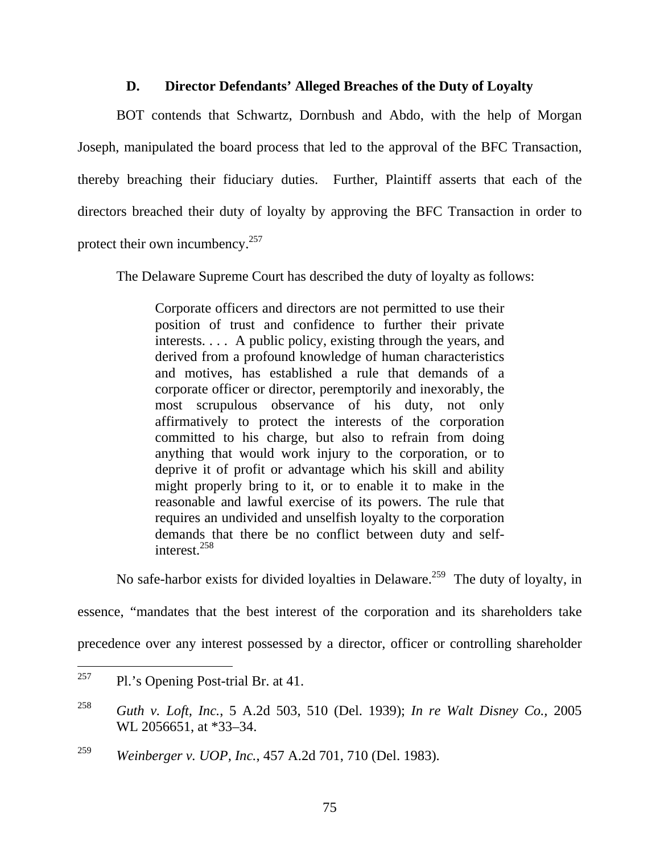## **D. Director Defendants' Alleged Breaches of the Duty of Loyalty**

BOT contends that Schwartz, Dornbush and Abdo, with the help of Morgan Joseph, manipulated the board process that led to the approval of the BFC Transaction, thereby breaching their fiduciary duties. Further, Plaintiff asserts that each of the directors breached their duty of loyalty by approving the BFC Transaction in order to protect their own incumbency.<sup>257</sup>

The Delaware Supreme Court has described the duty of loyalty as follows:

Corporate officers and directors are not permitted to use their position of trust and confidence to further their private interests. . . . A public policy, existing through the years, and derived from a profound knowledge of human characteristics and motives, has established a rule that demands of a corporate officer or director, peremptorily and inexorably, the most scrupulous observance of his duty, not only affirmatively to protect the interests of the corporation committed to his charge, but also to refrain from doing anything that would work injury to the corporation, or to deprive it of profit or advantage which his skill and ability might properly bring to it, or to enable it to make in the reasonable and lawful exercise of its powers. The rule that requires an undivided and unselfish loyalty to the corporation demands that there be no conflict between duty and selfinterest<sup>258</sup>

No safe-harbor exists for divided loyalties in Delaware.<sup>259</sup> The duty of loyalty, in

essence, "mandates that the best interest of the corporation and its shareholders take

precedence over any interest possessed by a director, officer or controlling shareholder

<sup>257</sup> Pl.'s Opening Post-trial Br. at 41.

<sup>258</sup> *Guth v. Loft, Inc.*, 5 A.2d 503, 510 (Del. 1939); *In re Walt Disney Co.,* 2005 WL 2056651, at \*33–34.

<sup>259</sup> *Weinberger v. UOP, Inc.*, 457 A.2d 701, 710 (Del. 1983).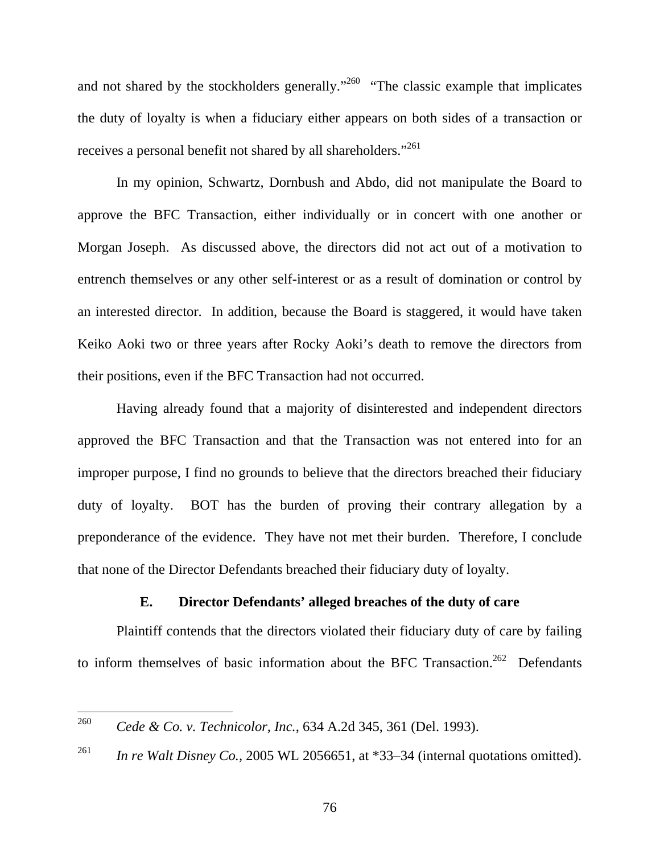and not shared by the stockholders generally."<sup>260</sup> "The classic example that implicates the duty of loyalty is when a fiduciary either appears on both sides of a transaction or receives a personal benefit not shared by all shareholders."<sup>261</sup>

In my opinion, Schwartz, Dornbush and Abdo, did not manipulate the Board to approve the BFC Transaction, either individually or in concert with one another or Morgan Joseph. As discussed above, the directors did not act out of a motivation to entrench themselves or any other self-interest or as a result of domination or control by an interested director. In addition, because the Board is staggered, it would have taken Keiko Aoki two or three years after Rocky Aoki's death to remove the directors from their positions, even if the BFC Transaction had not occurred.

Having already found that a majority of disinterested and independent directors approved the BFC Transaction and that the Transaction was not entered into for an improper purpose, I find no grounds to believe that the directors breached their fiduciary duty of loyalty. BOT has the burden of proving their contrary allegation by a preponderance of the evidence. They have not met their burden. Therefore, I conclude that none of the Director Defendants breached their fiduciary duty of loyalty.

### **E. Director Defendants' alleged breaches of the duty of care**

Plaintiff contends that the directors violated their fiduciary duty of care by failing to inform themselves of basic information about the BFC Transaction.<sup>262</sup> Defendants

<sup>260</sup> <sup>260</sup> *Cede & Co. v. Technicolor, Inc.*, 634 A.2d 345, 361 (Del. 1993).

<sup>&</sup>lt;sup>261</sup> *In re Walt Disney Co.,* 2005 WL 2056651, at \*33–34 (internal quotations omitted).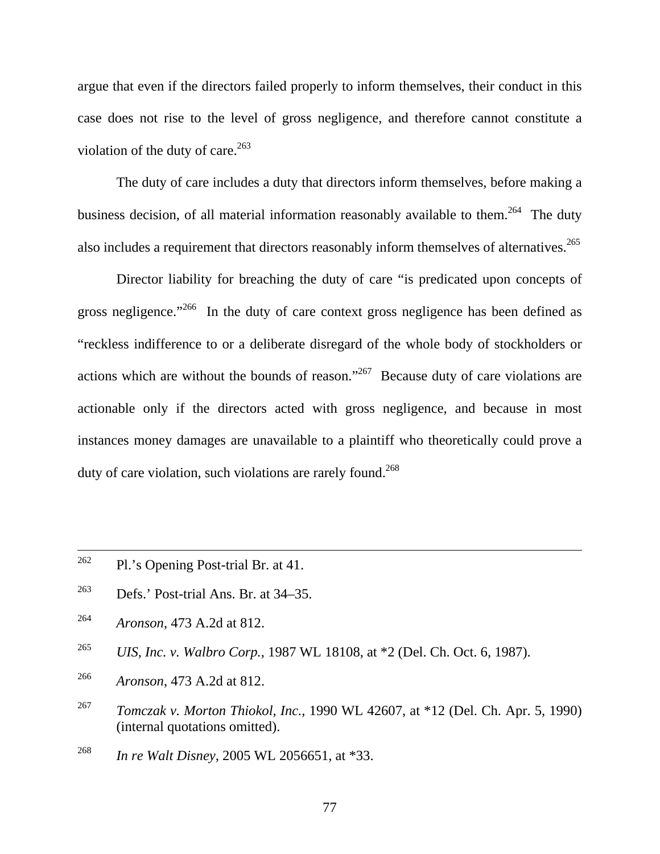argue that even if the directors failed properly to inform themselves, their conduct in this case does not rise to the level of gross negligence, and therefore cannot constitute a violation of the duty of care.  $263$ 

The duty of care includes a duty that directors inform themselves, before making a business decision, of all material information reasonably available to them.<sup>264</sup> The duty also includes a requirement that directors reasonably inform themselves of alternatives.<sup>265</sup>

Director liability for breaching the duty of care "is predicated upon concepts of gross negligence."<sup>266</sup> In the duty of care context gross negligence has been defined as "reckless indifference to or a deliberate disregard of the whole body of stockholders or actions which are without the bounds of reason."267 Because duty of care violations are actionable only if the directors acted with gross negligence, and because in most instances money damages are unavailable to a plaintiff who theoretically could prove a duty of care violation, such violations are rarely found.<sup>268</sup>

- <sup>262</sup> Pl.'s Opening Post-trial Br. at 41.
- $^{263}$  Defs.' Post-trial Ans. Br. at 34–35.
- 264 *Aronson*, 473 A.2d at 812.

265 *UIS, Inc. v. Walbro Corp.*, 1987 WL 18108, at \*2 (Del. Ch. Oct. 6, 1987).

- 266 *Aronson*, 473 A.2d at 812.
- 267 *Tomczak v. Morton Thiokol, Inc.,* 1990 WL 42607, at \*12 (Del. Ch. Apr. 5, 1990) (internal quotations omitted).
- <sup>268</sup> *In re Walt Disney*, 2005 WL 2056651, at \*33.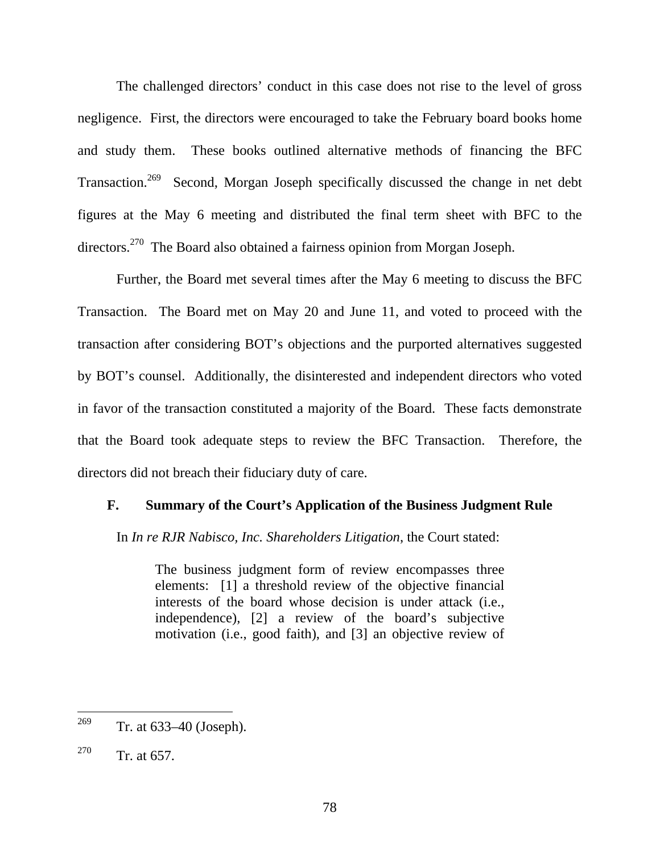The challenged directors' conduct in this case does not rise to the level of gross negligence. First, the directors were encouraged to take the February board books home and study them. These books outlined alternative methods of financing the BFC Transaction.<sup>269</sup> Second, Morgan Joseph specifically discussed the change in net debt figures at the May 6 meeting and distributed the final term sheet with BFC to the directors.<sup>270</sup> The Board also obtained a fairness opinion from Morgan Joseph.

Further, the Board met several times after the May 6 meeting to discuss the BFC Transaction. The Board met on May 20 and June 11, and voted to proceed with the transaction after considering BOT's objections and the purported alternatives suggested by BOT's counsel. Additionally, the disinterested and independent directors who voted in favor of the transaction constituted a majority of the Board. These facts demonstrate that the Board took adequate steps to review the BFC Transaction. Therefore, the directors did not breach their fiduciary duty of care.

#### **F. Summary of the Court's Application of the Business Judgment Rule**

In *In re RJR Nabisco, Inc. Shareholders Litigation*, the Court stated:

The business judgment form of review encompasses three elements: [1] a threshold review of the objective financial interests of the board whose decision is under attack (i.e., independence), [2] a review of the board's subjective motivation (i.e., good faith), and [3] an objective review of

<sup>&</sup>lt;sup>269</sup> Tr. at  $633-40$  (Joseph).

<sup>&</sup>lt;sup>270</sup> Tr. at 657.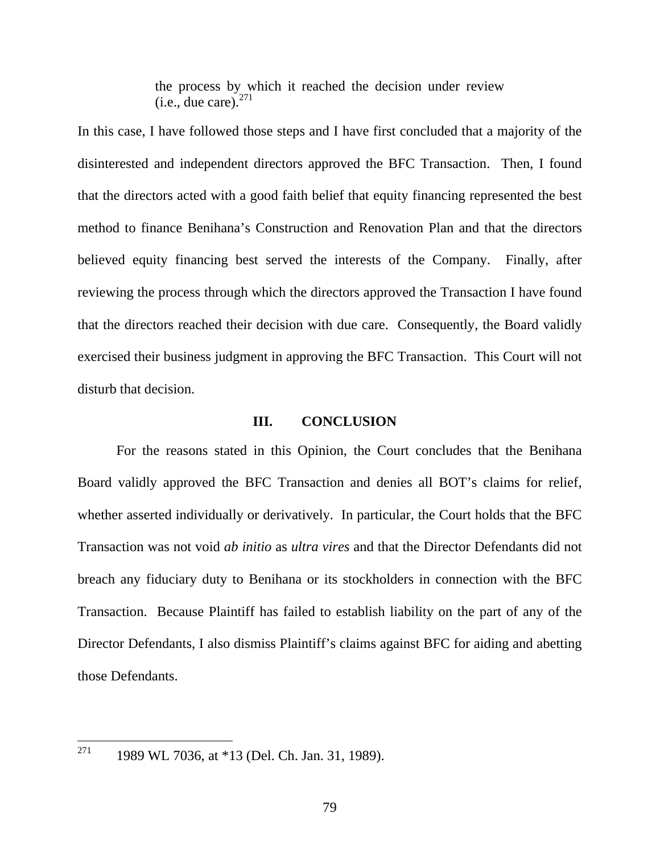the process by which it reached the decision under review  $(i.e., due care)<sup>271</sup>$ 

In this case, I have followed those steps and I have first concluded that a majority of the disinterested and independent directors approved the BFC Transaction. Then, I found that the directors acted with a good faith belief that equity financing represented the best method to finance Benihana's Construction and Renovation Plan and that the directors believed equity financing best served the interests of the Company. Finally, after reviewing the process through which the directors approved the Transaction I have found that the directors reached their decision with due care. Consequently, the Board validly exercised their business judgment in approving the BFC Transaction. This Court will not disturb that decision.

## **III. CONCLUSION**

For the reasons stated in this Opinion, the Court concludes that the Benihana Board validly approved the BFC Transaction and denies all BOT's claims for relief, whether asserted individually or derivatively. In particular, the Court holds that the BFC Transaction was not void *ab initio* as *ultra vires* and that the Director Defendants did not breach any fiduciary duty to Benihana or its stockholders in connection with the BFC Transaction. Because Plaintiff has failed to establish liability on the part of any of the Director Defendants, I also dismiss Plaintiff's claims against BFC for aiding and abetting those Defendants.

271 1989 WL 7036, at \*13 (Del. Ch. Jan. 31, 1989).